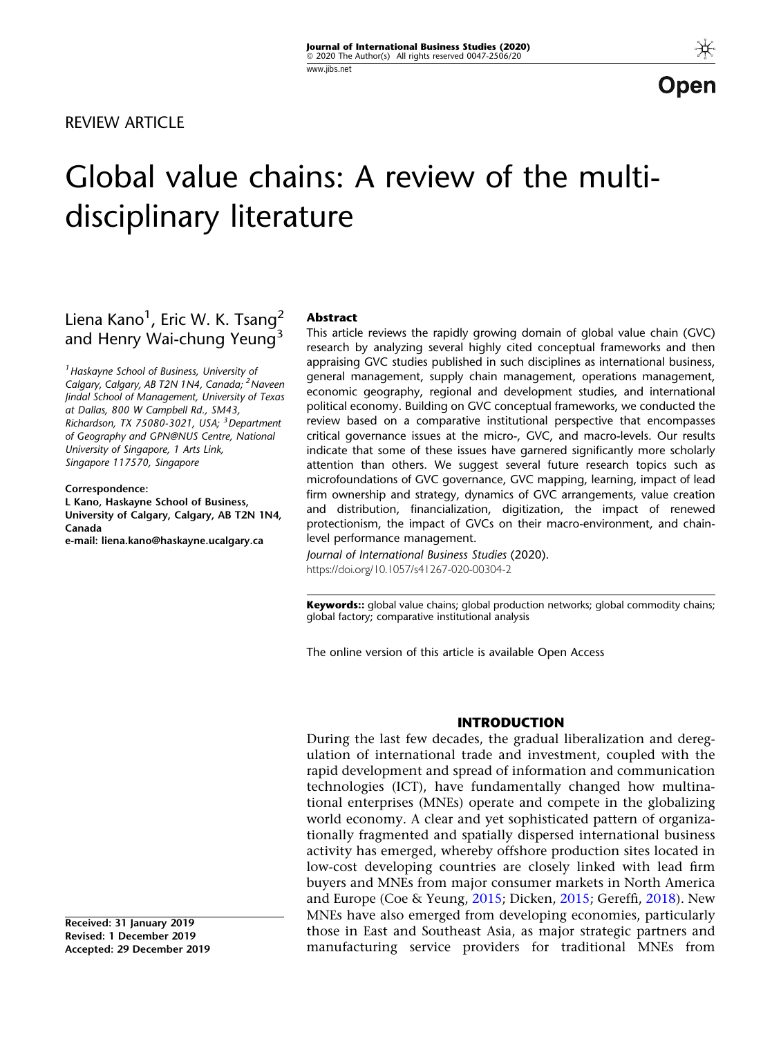# Global value chains: A review of the multidisciplinary literature

## Liena Kano<sup>1</sup>, Eric W. K. Tsang<sup>2</sup> and Henry Wai-chung Yeung<sup>3</sup>

<sup>1</sup> Haskayne School of Business, University of Calgary, Calgary, AB T2N 1N4, Canada; <sup>2</sup> Naveen Jindal School of Management, University of Texas at Dallas, 800 W Campbell Rd., SM43, Richardson, TX 75080-3021, USA; <sup>3</sup> Department of Geography and GPN@NUS Centre, National University of Singapore, 1 Arts Link, Singapore 117570, Singapore

Correspondence: L Kano, Haskayne School of Business, University of Calgary, Calgary, AB T2N 1N4, Canada e-mail: liena.kano@haskayne.ucalgary.ca

## Abstract

This article reviews the rapidly growing domain of global value chain (GVC) research by analyzing several highly cited conceptual frameworks and then appraising GVC studies published in such disciplines as international business, general management, supply chain management, operations management, economic geography, regional and development studies, and international political economy. Building on GVC conceptual frameworks, we conducted the review based on a comparative institutional perspective that encompasses critical governance issues at the micro-, GVC, and macro-levels. Our results indicate that some of these issues have garnered significantly more scholarly attention than others. We suggest several future research topics such as microfoundations of GVC governance, GVC mapping, learning, impact of lead firm ownership and strategy, dynamics of GVC arrangements, value creation and distribution, financialization, digitization, the impact of renewed protectionism, the impact of GVCs on their macro-environment, and chainlevel performance management.

Journal of International Business Studies (2020). https://doi.org/10.1057/s41267-020-00304-2

**Keywords::** global value chains; global production networks; global commodity chains; global factory; comparative institutional analysis

The online version of this article is available Open Access

## INTRODUCTION

During the last few decades, the gradual liberalization and deregulation of international trade and investment, coupled with the rapid development and spread of information and communication technologies (ICT), have fundamentally changed how multinational enterprises (MNEs) operate and compete in the globalizing world economy. A clear and yet sophisticated pattern of organizationally fragmented and spatially dispersed international business activity has emerged, whereby offshore production sites located in low-cost developing countries are closely linked with lead firm buyers and MNEs from major consumer markets in North America and Europe (Coe & Yeung, [2015](#page-41-0); Dicken, [2015](#page-41-0); Gereffi, [2018\)](#page-41-0). New MNEs have also emerged from developing economies, particularly those in East and Southeast Asia, as major strategic partners and manufacturing service providers for traditional MNEs from

Received: 31 January 2019 Revised: 1 December 2019 Accepted: 29 December 2019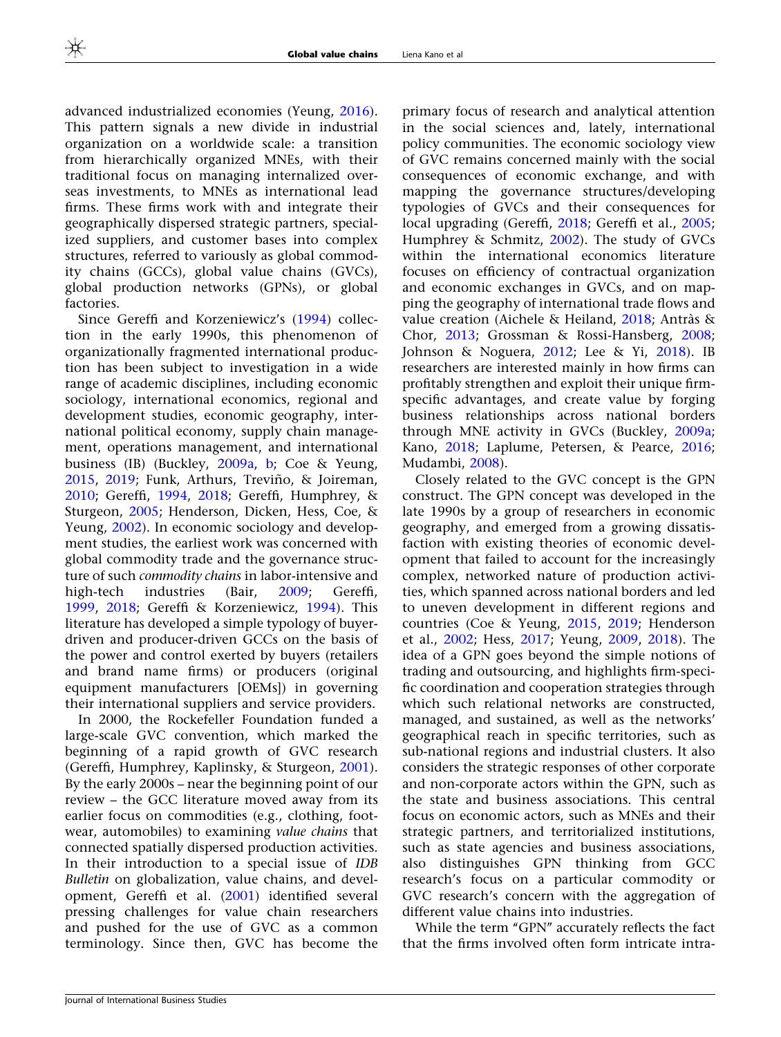advanced industrialized economies (Yeung, [2016\)](#page-45-0). This pattern signals a new divide in industrial organization on a worldwide scale: a transition from hierarchically organized MNEs, with their traditional focus on managing internalized overseas investments, to MNEs as international lead firms. These firms work with and integrate their geographically dispersed strategic partners, specialized suppliers, and customer bases into complex structures, referred to variously as global commodity chains (GCCs), global value chains (GVCs), global production networks (GPNs), or global factories.

Since Gereffi and Korzeniewicz's [\(1994](#page-42-0)) collection in the early 1990s, this phenomenon of organizationally fragmented international production has been subject to investigation in a wide range of academic disciplines, including economic sociology, international economics, regional and development studies, economic geography, international political economy, supply chain management, operations management, and international business (IB) (Buckley, [2009a,](#page-40-0) [b;](#page-40-0) Coe & Yeung, [2015,](#page-41-0) [2019](#page-41-0); Funk, Arthurs, Treviño, & Joireman, [2010;](#page-41-0) Gereffi, [1994,](#page-41-0) [2018;](#page-41-0) Gereffi, Humphrey, & Sturgeon, [2005](#page-42-0); Henderson, Dicken, Hess, Coe, & Yeung, [2002](#page-42-0)). In economic sociology and development studies, the earliest work was concerned with global commodity trade and the governance structure of such commodity chains in labor-intensive and high-tech industries (Bair, [2009](#page-40-0); Gereffi, [1999,](#page-41-0) [2018;](#page-41-0) Gereffi & Korzeniewicz, [1994](#page-42-0)). This literature has developed a simple typology of buyerdriven and producer-driven GCCs on the basis of the power and control exerted by buyers (retailers and brand name firms) or producers (original equipment manufacturers [OEMs]) in governing their international suppliers and service providers.

In 2000, the Rockefeller Foundation funded a large-scale GVC convention, which marked the beginning of a rapid growth of GVC research (Gereffi, Humphrey, Kaplinsky, & Sturgeon, [2001\)](#page-41-0). By the early 2000s – near the beginning point of our review – the GCC literature moved away from its earlier focus on commodities (e.g., clothing, footwear, automobiles) to examining value chains that connected spatially dispersed production activities. In their introduction to a special issue of IDB Bulletin on globalization, value chains, and development, Gereffi et al. ([2001\)](#page-41-0) identified several pressing challenges for value chain researchers and pushed for the use of GVC as a common terminology. Since then, GVC has become the

primary focus of research and analytical attention in the social sciences and, lately, international policy communities. The economic sociology view of GVC remains concerned mainly with the social consequences of economic exchange, and with mapping the governance structures/developing typologies of GVCs and their consequences for local upgrading (Gereffi, [2018](#page-41-0); Gereffi et al., [2005;](#page-42-0) Humphrey & Schmitz, [2002](#page-42-0)). The study of GVCs within the international economics literature focuses on efficiency of contractual organization and economic exchanges in GVCs, and on mapping the geography of international trade flows and value creation (Aichele & Heiland,  $2018$ ; Antràs & Chor, [2013;](#page-40-0) Grossman & Rossi-Hansberg, [2008;](#page-42-0) Johnson & Noguera, [2012](#page-42-0); Lee & Yi, [2018\)](#page-43-0). IB researchers are interested mainly in how firms can profitably strengthen and exploit their unique firmspecific advantages, and create value by forging business relationships across national borders through MNE activity in GVCs (Buckley, [2009a;](#page-40-0) Kano, [2018;](#page-42-0) Laplume, Petersen, & Pearce, [2016;](#page-43-0) Mudambi, [2008](#page-43-0)).

Closely related to the GVC concept is the GPN construct. The GPN concept was developed in the late 1990s by a group of researchers in economic geography, and emerged from a growing dissatisfaction with existing theories of economic development that failed to account for the increasingly complex, networked nature of production activities, which spanned across national borders and led to uneven development in different regions and countries (Coe & Yeung, [2015,](#page-41-0) [2019;](#page-41-0) Henderson et al., [2002](#page-42-0); Hess, [2017;](#page-42-0) Yeung, [2009,](#page-44-0) [2018](#page-45-0)). The idea of a GPN goes beyond the simple notions of trading and outsourcing, and highlights firm-specific coordination and cooperation strategies through which such relational networks are constructed, managed, and sustained, as well as the networks' geographical reach in specific territories, such as sub-national regions and industrial clusters. It also considers the strategic responses of other corporate and non-corporate actors within the GPN, such as the state and business associations. This central focus on economic actors, such as MNEs and their strategic partners, and territorialized institutions, such as state agencies and business associations, also distinguishes GPN thinking from GCC research's focus on a particular commodity or GVC research's concern with the aggregation of different value chains into industries.

While the term "GPN" accurately reflects the fact that the firms involved often form intricate intra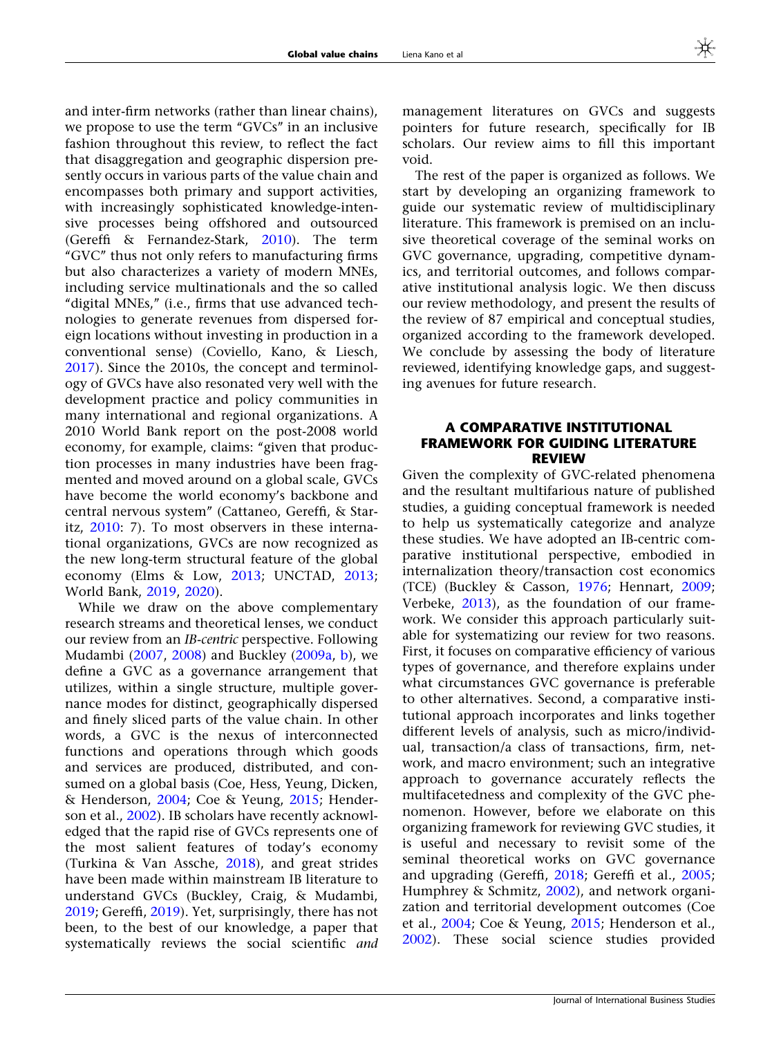and inter-firm networks (rather than linear chains), we propose to use the term "GVCs" in an inclusive fashion throughout this review, to reflect the fact that disaggregation and geographic dispersion presently occurs in various parts of the value chain and encompasses both primary and support activities, with increasingly sophisticated knowledge-intensive processes being offshored and outsourced (Gereffi & Fernandez-Stark, [2010\)](#page-41-0). The term ''GVC'' thus not only refers to manufacturing firms but also characterizes a variety of modern MNEs, including service multinationals and the so called "digital MNEs." (i.e., firms that use advanced technologies to generate revenues from dispersed foreign locations without investing in production in a conventional sense) (Coviello, Kano, & Liesch, [2017\)](#page-41-0). Since the 2010s, the concept and terminology of GVCs have also resonated very well with the development practice and policy communities in many international and regional organizations. A 2010 World Bank report on the post-2008 world economy, for example, claims: "given that production processes in many industries have been fragmented and moved around on a global scale, GVCs have become the world economy's backbone and central nervous system'' (Cattaneo, Gereffi, & Staritz, [2010:](#page-41-0) 7). To most observers in these international organizations, GVCs are now recognized as the new long-term structural feature of the global economy (Elms & Low, [2013](#page-41-0); UNCTAD, [2013;](#page-44-0) World Bank, [2019,](#page-44-0) [2020\)](#page-44-0).

While we draw on the above complementary research streams and theoretical lenses, we conduct our review from an IB-centric perspective. Following Mudambi ([2007,](#page-43-0) [2008\)](#page-43-0) and Buckley [\(2009a](#page-40-0), [b\)](#page-40-0), we define a GVC as a governance arrangement that utilizes, within a single structure, multiple governance modes for distinct, geographically dispersed and finely sliced parts of the value chain. In other words, a GVC is the nexus of interconnected functions and operations through which goods and services are produced, distributed, and consumed on a global basis (Coe, Hess, Yeung, Dicken, & Henderson, [2004;](#page-41-0) Coe & Yeung, [2015;](#page-41-0) Henderson et al., [2002\)](#page-42-0). IB scholars have recently acknowledged that the rapid rise of GVCs represents one of the most salient features of today's economy (Turkina & Van Assche, [2018](#page-44-0)), and great strides have been made within mainstream IB literature to understand GVCs (Buckley, Craig, & Mudambi, [2019;](#page-40-0) Gereffi, [2019\)](#page-41-0). Yet, surprisingly, there has not been, to the best of our knowledge, a paper that systematically reviews the social scientific and

management literatures on GVCs and suggests pointers for future research, specifically for IB scholars. Our review aims to fill this important void.

The rest of the paper is organized as follows. We start by developing an organizing framework to guide our systematic review of multidisciplinary literature. This framework is premised on an inclusive theoretical coverage of the seminal works on GVC governance, upgrading, competitive dynamics, and territorial outcomes, and follows comparative institutional analysis logic. We then discuss our review methodology, and present the results of the review of 87 empirical and conceptual studies, organized according to the framework developed. We conclude by assessing the body of literature reviewed, identifying knowledge gaps, and suggesting avenues for future research.

## A COMPARATIVE INSTITUTIONAL FRAMEWORK FOR GUIDING LITERATURE REVIEW

Given the complexity of GVC-related phenomena and the resultant multifarious nature of published studies, a guiding conceptual framework is needed to help us systematically categorize and analyze these studies. We have adopted an IB-centric comparative institutional perspective, embodied in internalization theory/transaction cost economics (TCE) (Buckley & Casson, [1976;](#page-40-0) Hennart, [2009;](#page-42-0) Verbeke, [2013](#page-44-0)), as the foundation of our framework. We consider this approach particularly suitable for systematizing our review for two reasons. First, it focuses on comparative efficiency of various types of governance, and therefore explains under what circumstances GVC governance is preferable to other alternatives. Second, a comparative institutional approach incorporates and links together different levels of analysis, such as micro/individual, transaction/a class of transactions, firm, network, and macro environment; such an integrative approach to governance accurately reflects the multifacetedness and complexity of the GVC phenomenon. However, before we elaborate on this organizing framework for reviewing GVC studies, it is useful and necessary to revisit some of the seminal theoretical works on GVC governance and upgrading (Gereffi, [2018;](#page-41-0) Gereffi et al., [2005;](#page-42-0) Humphrey & Schmitz, [2002](#page-42-0)), and network organization and territorial development outcomes (Coe et al., [2004;](#page-41-0) Coe & Yeung, [2015](#page-41-0); Henderson et al., [2002\)](#page-42-0). These social science studies provided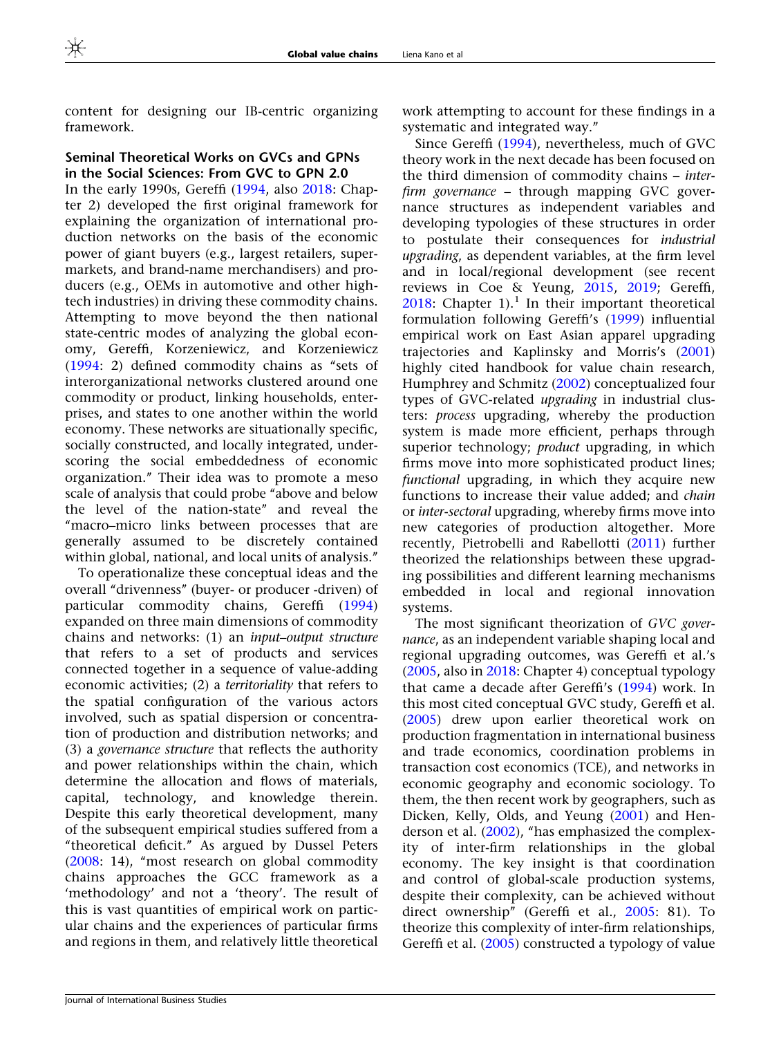content for designing our IB-centric organizing framework.

## Seminal Theoretical Works on GVCs and GPNs in the Social Sciences: From GVC to GPN 2.0

In the early 1990s, Gereffi ([1994,](#page-41-0) also [2018:](#page-41-0) Chapter 2) developed the first original framework for explaining the organization of international production networks on the basis of the economic power of giant buyers (e.g., largest retailers, supermarkets, and brand-name merchandisers) and producers (e.g., OEMs in automotive and other hightech industries) in driving these commodity chains. Attempting to move beyond the then national state-centric modes of analyzing the global economy, Gereffi, Korzeniewicz, and Korzeniewicz [\(1994](#page-42-0): 2) defined commodity chains as ''sets of interorganizational networks clustered around one commodity or product, linking households, enterprises, and states to one another within the world economy. These networks are situationally specific, socially constructed, and locally integrated, underscoring the social embeddedness of economic organization.'' Their idea was to promote a meso scale of analysis that could probe ''above and below the level of the nation-state'' and reveal the ''macro–micro links between processes that are generally assumed to be discretely contained within global, national, and local units of analysis.''

To operationalize these conceptual ideas and the overall ''drivenness'' (buyer- or producer -driven) of particular commodity chains, Gereffi ([1994\)](#page-41-0) expanded on three main dimensions of commodity chains and networks: (1) an input–output structure that refers to a set of products and services connected together in a sequence of value-adding economic activities; (2) a territoriality that refers to the spatial configuration of the various actors involved, such as spatial dispersion or concentration of production and distribution networks; and (3) a governance structure that reflects the authority and power relationships within the chain, which determine the allocation and flows of materials, capital, technology, and knowledge therein. Despite this early theoretical development, many of the subsequent empirical studies suffered from a ''theoretical deficit.'' As argued by Dussel Peters [\(2008](#page-41-0): 14), ''most research on global commodity chains approaches the GCC framework as a 'methodology' and not a 'theory'. The result of this is vast quantities of empirical work on particular chains and the experiences of particular firms and regions in them, and relatively little theoretical

work attempting to account for these findings in a systematic and integrated way.''

Since Gereffi [\(1994](#page-41-0)), nevertheless, much of GVC theory work in the next decade has been focused on the third dimension of commodity chains – interfirm governance – through mapping GVC governance structures as independent variables and developing typologies of these structures in order to postulate their consequences for industrial upgrading, as dependent variables, at the firm level and in local/regional development (see recent reviews in Coe & Yeung, [2015](#page-41-0), [2019](#page-41-0); Gereffi, [2018:](#page-41-0) Chapter 1).<sup>1</sup> In their important theoretical formulation following Gereffi's [\(1999](#page-41-0)) influential empirical work on East Asian apparel upgrading trajectories and Kaplinsky and Morris's [\(2001](#page-42-0)) highly cited handbook for value chain research, Humphrey and Schmitz [\(2002](#page-42-0)) conceptualized four types of GVC-related upgrading in industrial clusters: process upgrading, whereby the production system is made more efficient, perhaps through superior technology; *product* upgrading, in which firms move into more sophisticated product lines; functional upgrading, in which they acquire new functions to increase their value added; and chain or inter-sectoral upgrading, whereby firms move into new categories of production altogether. More recently, Pietrobelli and Rabellotti ([2011](#page-43-0)) further theorized the relationships between these upgrading possibilities and different learning mechanisms embedded in local and regional innovation systems.

The most significant theorization of GVC governance, as an independent variable shaping local and regional upgrading outcomes, was Gereffi et al.'s [\(2005](#page-42-0), also in [2018:](#page-41-0) Chapter 4) conceptual typology that came a decade after Gereffi's ([1994\)](#page-41-0) work. In this most cited conceptual GVC study, Gereffi et al. [\(2005](#page-42-0)) drew upon earlier theoretical work on production fragmentation in international business and trade economics, coordination problems in transaction cost economics (TCE), and networks in economic geography and economic sociology. To them, the then recent work by geographers, such as Dicken, Kelly, Olds, and Yeung ([2001\)](#page-41-0) and Hen-derson et al. ([2002](#page-42-0)), "has emphasized the complexity of inter-firm relationships in the global economy. The key insight is that coordination and control of global-scale production systems, despite their complexity, can be achieved without direct ownership'' (Gereffi et al., [2005:](#page-42-0) 81). To theorize this complexity of inter-firm relationships, Gereffi et al. ([2005\)](#page-42-0) constructed a typology of value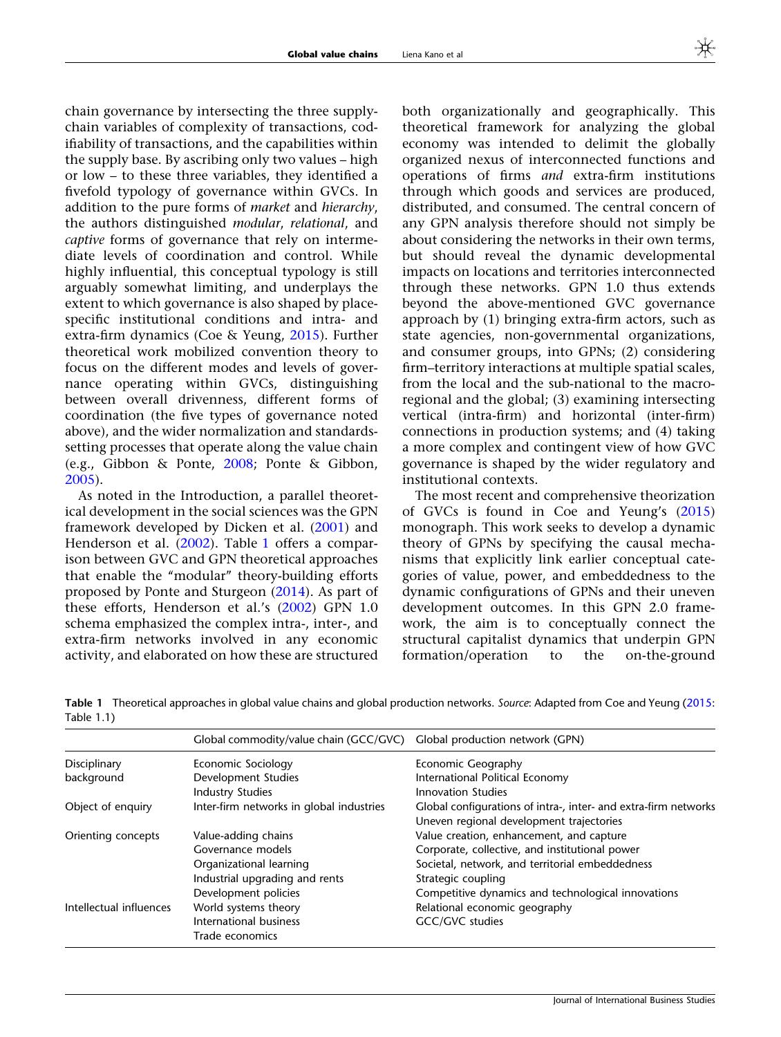chain governance by intersecting the three supplychain variables of complexity of transactions, codifiability of transactions, and the capabilities within the supply base. By ascribing only two values – high or low – to these three variables, they identified a fivefold typology of governance within GVCs. In addition to the pure forms of market and hierarchy, the authors distinguished modular, relational, and captive forms of governance that rely on intermediate levels of coordination and control. While highly influential, this conceptual typology is still arguably somewhat limiting, and underplays the extent to which governance is also shaped by placespecific institutional conditions and intra- and extra-firm dynamics (Coe & Yeung, [2015](#page-41-0)). Further theoretical work mobilized convention theory to focus on the different modes and levels of governance operating within GVCs, distinguishing between overall drivenness, different forms of coordination (the five types of governance noted above), and the wider normalization and standardssetting processes that operate along the value chain (e.g., Gibbon & Ponte, [2008](#page-42-0); Ponte & Gibbon, [2005\)](#page-44-0).

As noted in the Introduction, a parallel theoretical development in the social sciences was the GPN framework developed by Dicken et al. [\(2001\)](#page-41-0) and Henderson et al. [\(2002](#page-42-0)). Table 1 offers a comparison between GVC and GPN theoretical approaches that enable the ''modular'' theory-building efforts proposed by Ponte and Sturgeon [\(2014](#page-44-0)). As part of these efforts, Henderson et al.'s [\(2002\)](#page-42-0) GPN 1.0 schema emphasized the complex intra-, inter-, and extra-firm networks involved in any economic activity, and elaborated on how these are structured both organizationally and geographically. This theoretical framework for analyzing the global economy was intended to delimit the globally organized nexus of interconnected functions and operations of firms and extra-firm institutions through which goods and services are produced, distributed, and consumed. The central concern of any GPN analysis therefore should not simply be about considering the networks in their own terms, but should reveal the dynamic developmental impacts on locations and territories interconnected through these networks. GPN 1.0 thus extends beyond the above-mentioned GVC governance approach by (1) bringing extra-firm actors, such as state agencies, non-governmental organizations, and consumer groups, into GPNs; (2) considering firm–territory interactions at multiple spatial scales, from the local and the sub-national to the macroregional and the global; (3) examining intersecting vertical (intra-firm) and horizontal (inter-firm) connections in production systems; and (4) taking a more complex and contingent view of how GVC governance is shaped by the wider regulatory and institutional contexts.

The most recent and comprehensive theorization of GVCs is found in Coe and Yeung's [\(2015](#page-41-0)) monograph. This work seeks to develop a dynamic theory of GPNs by specifying the causal mechanisms that explicitly link earlier conceptual categories of value, power, and embeddedness to the dynamic configurations of GPNs and their uneven development outcomes. In this GPN 2.0 framework, the aim is to conceptually connect the structural capitalist dynamics that underpin GPN formation/operation to the on-the-ground

Table 1 Theoretical approaches in global value chains and global production networks. Source: Adapted from Coe and Yeung ([2015](#page-41-0): Table 1.1)

|                         | Global commodity/value chain (GCC/GVC) Global production network (GPN) |                                                                                                             |
|-------------------------|------------------------------------------------------------------------|-------------------------------------------------------------------------------------------------------------|
| Disciplinary            | Economic Sociology                                                     | Economic Geography                                                                                          |
| background              | Development Studies                                                    | International Political Economy                                                                             |
|                         | <b>Industry Studies</b>                                                | <b>Innovation Studies</b>                                                                                   |
| Object of enquiry       | Inter-firm networks in global industries                               | Global configurations of intra-, inter- and extra-firm networks<br>Uneven regional development trajectories |
| Orienting concepts      | Value-adding chains                                                    | Value creation, enhancement, and capture                                                                    |
|                         | Governance models                                                      | Corporate, collective, and institutional power                                                              |
|                         | Organizational learning                                                | Societal, network, and territorial embeddedness                                                             |
|                         | Industrial upgrading and rents                                         | Strategic coupling                                                                                          |
|                         | Development policies                                                   | Competitive dynamics and technological innovations                                                          |
| Intellectual influences | World systems theory                                                   | Relational economic geography                                                                               |
|                         | International business                                                 | GCC/GVC studies                                                                                             |
|                         | Trade economics                                                        |                                                                                                             |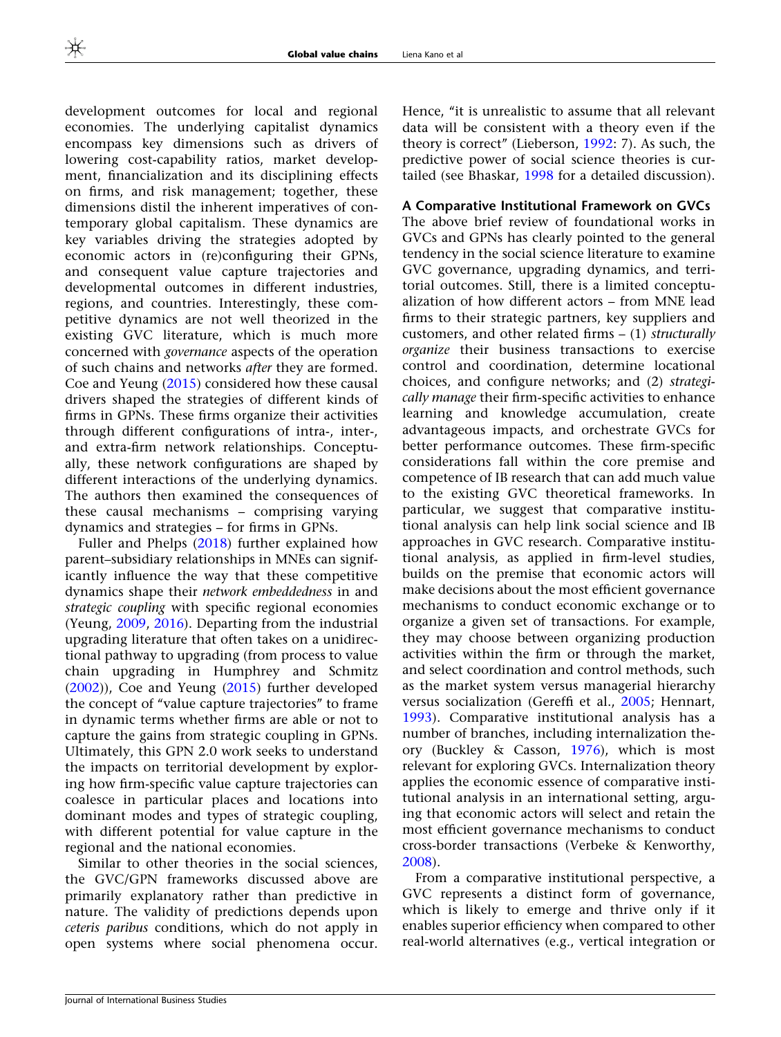development outcomes for local and regional economies. The underlying capitalist dynamics encompass key dimensions such as drivers of lowering cost-capability ratios, market development, financialization and its disciplining effects on firms, and risk management; together, these dimensions distil the inherent imperatives of contemporary global capitalism. These dynamics are key variables driving the strategies adopted by economic actors in (re)configuring their GPNs, and consequent value capture trajectories and developmental outcomes in different industries, regions, and countries. Interestingly, these competitive dynamics are not well theorized in the existing GVC literature, which is much more concerned with governance aspects of the operation of such chains and networks after they are formed. Coe and Yeung [\(2015](#page-41-0)) considered how these causal drivers shaped the strategies of different kinds of firms in GPNs. These firms organize their activities through different configurations of intra-, inter-, and extra-firm network relationships. Conceptually, these network configurations are shaped by different interactions of the underlying dynamics. The authors then examined the consequences of these causal mechanisms – comprising varying dynamics and strategies – for firms in GPNs.

Fuller and Phelps ([2018](#page-41-0)) further explained how parent–subsidiary relationships in MNEs can significantly influence the way that these competitive dynamics shape their network embeddedness in and strategic coupling with specific regional economies (Yeung, [2009,](#page-44-0) [2016](#page-45-0)). Departing from the industrial upgrading literature that often takes on a unidirectional pathway to upgrading (from process to value chain upgrading in Humphrey and Schmitz [\(2002](#page-42-0))), Coe and Yeung ([2015\)](#page-41-0) further developed the concept of ''value capture trajectories'' to frame in dynamic terms whether firms are able or not to capture the gains from strategic coupling in GPNs. Ultimately, this GPN 2.0 work seeks to understand the impacts on territorial development by exploring how firm-specific value capture trajectories can coalesce in particular places and locations into dominant modes and types of strategic coupling, with different potential for value capture in the regional and the national economies.

Similar to other theories in the social sciences, the GVC/GPN frameworks discussed above are primarily explanatory rather than predictive in nature. The validity of predictions depends upon ceteris paribus conditions, which do not apply in open systems where social phenomena occur.

Hence, "it is unrealistic to assume that all relevant data will be consistent with a theory even if the theory is correct'' (Lieberson, [1992:](#page-43-0) 7). As such, the predictive power of social science theories is curtailed (see Bhaskar, [1998](#page-40-0) for a detailed discussion).

## A Comparative Institutional Framework on GVCs

The above brief review of foundational works in GVCs and GPNs has clearly pointed to the general tendency in the social science literature to examine GVC governance, upgrading dynamics, and territorial outcomes. Still, there is a limited conceptualization of how different actors – from MNE lead firms to their strategic partners, key suppliers and customers, and other related firms  $- (1)$  structurally organize their business transactions to exercise control and coordination, determine locational choices, and configure networks; and (2) strategically manage their firm-specific activities to enhance learning and knowledge accumulation, create advantageous impacts, and orchestrate GVCs for better performance outcomes. These firm-specific considerations fall within the core premise and competence of IB research that can add much value to the existing GVC theoretical frameworks. In particular, we suggest that comparative institutional analysis can help link social science and IB approaches in GVC research. Comparative institutional analysis, as applied in firm-level studies, builds on the premise that economic actors will make decisions about the most efficient governance mechanisms to conduct economic exchange or to organize a given set of transactions. For example, they may choose between organizing production activities within the firm or through the market, and select coordination and control methods, such as the market system versus managerial hierarchy versus socialization (Gereffi et al., [2005;](#page-42-0) Hennart, [1993\)](#page-42-0). Comparative institutional analysis has a number of branches, including internalization theory (Buckley & Casson, [1976](#page-40-0)), which is most relevant for exploring GVCs. Internalization theory applies the economic essence of comparative institutional analysis in an international setting, arguing that economic actors will select and retain the most efficient governance mechanisms to conduct cross-border transactions (Verbeke & Kenworthy, [2008\)](#page-44-0).

From a comparative institutional perspective, a GVC represents a distinct form of governance, which is likely to emerge and thrive only if it enables superior efficiency when compared to other real-world alternatives (e.g., vertical integration or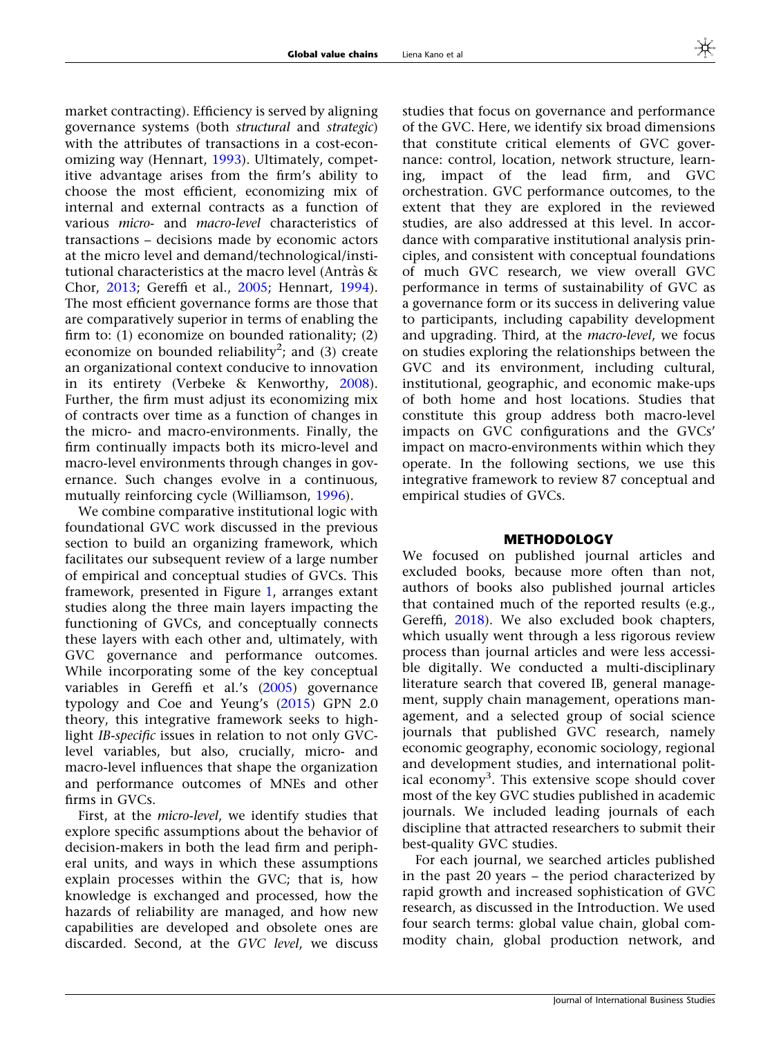market contracting). Efficiency is served by aligning governance systems (both structural and strategic) with the attributes of transactions in a cost-economizing way (Hennart, [1993](#page-42-0)). Ultimately, competitive advantage arises from the firm's ability to choose the most efficient, economizing mix of internal and external contracts as a function of various micro- and macro-level characteristics of transactions – decisions made by economic actors at the micro level and demand/technological/institutional characteristics at the macro level (Antràs & Chor, [2013](#page-40-0); Gereffi et al., [2005](#page-42-0); Hennart, [1994\)](#page-42-0). The most efficient governance forms are those that are comparatively superior in terms of enabling the firm to: (1) economize on bounded rationality; (2) economize on bounded reliability<sup>2</sup>; and (3) create an organizational context conducive to innovation in its entirety (Verbeke & Kenworthy, [2008\)](#page-44-0). Further, the firm must adjust its economizing mix of contracts over time as a function of changes in the micro- and macro-environments. Finally, the firm continually impacts both its micro-level and macro-level environments through changes in governance. Such changes evolve in a continuous, mutually reinforcing cycle (Williamson, [1996\)](#page-44-0).

We combine comparative institutional logic with foundational GVC work discussed in the previous section to build an organizing framework, which facilitates our subsequent review of a large number of empirical and conceptual studies of GVCs. This framework, presented in Figure [1](#page-7-0), arranges extant studies along the three main layers impacting the functioning of GVCs, and conceptually connects these layers with each other and, ultimately, with GVC governance and performance outcomes. While incorporating some of the key conceptual variables in Gereffi et al.'s [\(2005](#page-42-0)) governance typology and Coe and Yeung's [\(2015](#page-41-0)) GPN 2.0 theory, this integrative framework seeks to highlight IB-specific issues in relation to not only GVClevel variables, but also, crucially, micro- and macro-level influences that shape the organization and performance outcomes of MNEs and other firms in GVCs.

First, at the micro-level, we identify studies that explore specific assumptions about the behavior of decision-makers in both the lead firm and peripheral units, and ways in which these assumptions explain processes within the GVC; that is, how knowledge is exchanged and processed, how the hazards of reliability are managed, and how new capabilities are developed and obsolete ones are discarded. Second, at the GVC level, we discuss

studies that focus on governance and performance of the GVC. Here, we identify six broad dimensions that constitute critical elements of GVC governance: control, location, network structure, learning, impact of the lead firm, and GVC orchestration. GVC performance outcomes, to the extent that they are explored in the reviewed studies, are also addressed at this level. In accordance with comparative institutional analysis principles, and consistent with conceptual foundations of much GVC research, we view overall GVC performance in terms of sustainability of GVC as a governance form or its success in delivering value to participants, including capability development and upgrading. Third, at the macro-level, we focus on studies exploring the relationships between the GVC and its environment, including cultural, institutional, geographic, and economic make-ups of both home and host locations. Studies that constitute this group address both macro-level impacts on GVC configurations and the GVCs' impact on macro-environments within which they operate. In the following sections, we use this integrative framework to review 87 conceptual and empirical studies of GVCs.

#### **METHODOLOGY**

We focused on published journal articles and excluded books, because more often than not, authors of books also published journal articles that contained much of the reported results (e.g., Gereffi, [2018\)](#page-41-0). We also excluded book chapters, which usually went through a less rigorous review process than journal articles and were less accessible digitally. We conducted a multi-disciplinary literature search that covered IB, general management, supply chain management, operations management, and a selected group of social science journals that published GVC research, namely economic geography, economic sociology, regional and development studies, and international political economy<sup>3</sup>. This extensive scope should cover most of the key GVC studies published in academic journals. We included leading journals of each discipline that attracted researchers to submit their best-quality GVC studies.

For each journal, we searched articles published in the past 20 years – the period characterized by rapid growth and increased sophistication of GVC research, as discussed in the Introduction. We used four search terms: global value chain, global commodity chain, global production network, and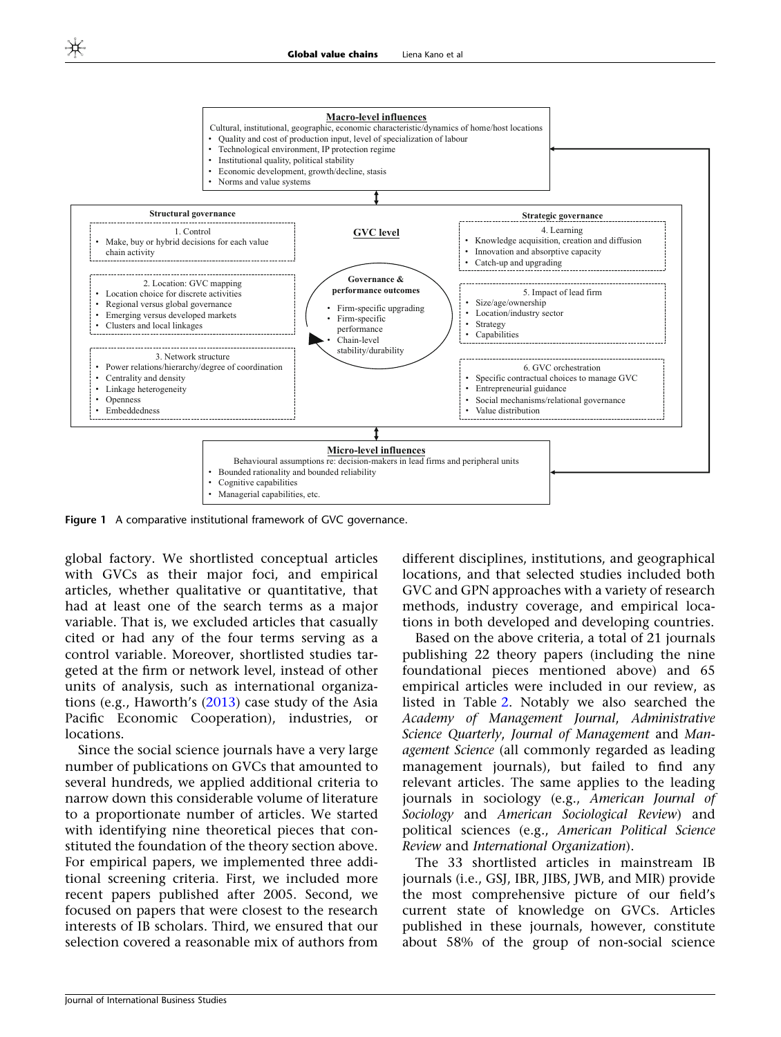<span id="page-7-0"></span>

Figure 1 A comparative institutional framework of GVC governance.

global factory. We shortlisted conceptual articles with GVCs as their major foci, and empirical articles, whether qualitative or quantitative, that had at least one of the search terms as a major variable. That is, we excluded articles that casually cited or had any of the four terms serving as a control variable. Moreover, shortlisted studies targeted at the firm or network level, instead of other units of analysis, such as international organizations (e.g., Haworth's [\(2013\)](#page-42-0) case study of the Asia Pacific Economic Cooperation), industries, or locations.

Since the social science journals have a very large number of publications on GVCs that amounted to several hundreds, we applied additional criteria to narrow down this considerable volume of literature to a proportionate number of articles. We started with identifying nine theoretical pieces that constituted the foundation of the theory section above. For empirical papers, we implemented three additional screening criteria. First, we included more recent papers published after 2005. Second, we focused on papers that were closest to the research interests of IB scholars. Third, we ensured that our selection covered a reasonable mix of authors from

different disciplines, institutions, and geographical locations, and that selected studies included both GVC and GPN approaches with a variety of research methods, industry coverage, and empirical locations in both developed and developing countries.

Based on the above criteria, a total of 21 journals publishing 22 theory papers (including the nine foundational pieces mentioned above) and 65 empirical articles were included in our review, as listed in Table [2](#page-8-0). Notably we also searched the Academy of Management Journal, Administrative Science Quarterly, Journal of Management and Management Science (all commonly regarded as leading management journals), but failed to find any relevant articles. The same applies to the leading journals in sociology (e.g., American Journal of Sociology and American Sociological Review) and political sciences (e.g., American Political Science Review and International Organization).

The 33 shortlisted articles in mainstream IB journals (i.e., GSJ, IBR, JIBS, JWB, and MIR) provide the most comprehensive picture of our field's current state of knowledge on GVCs. Articles published in these journals, however, constitute about 58% of the group of non-social science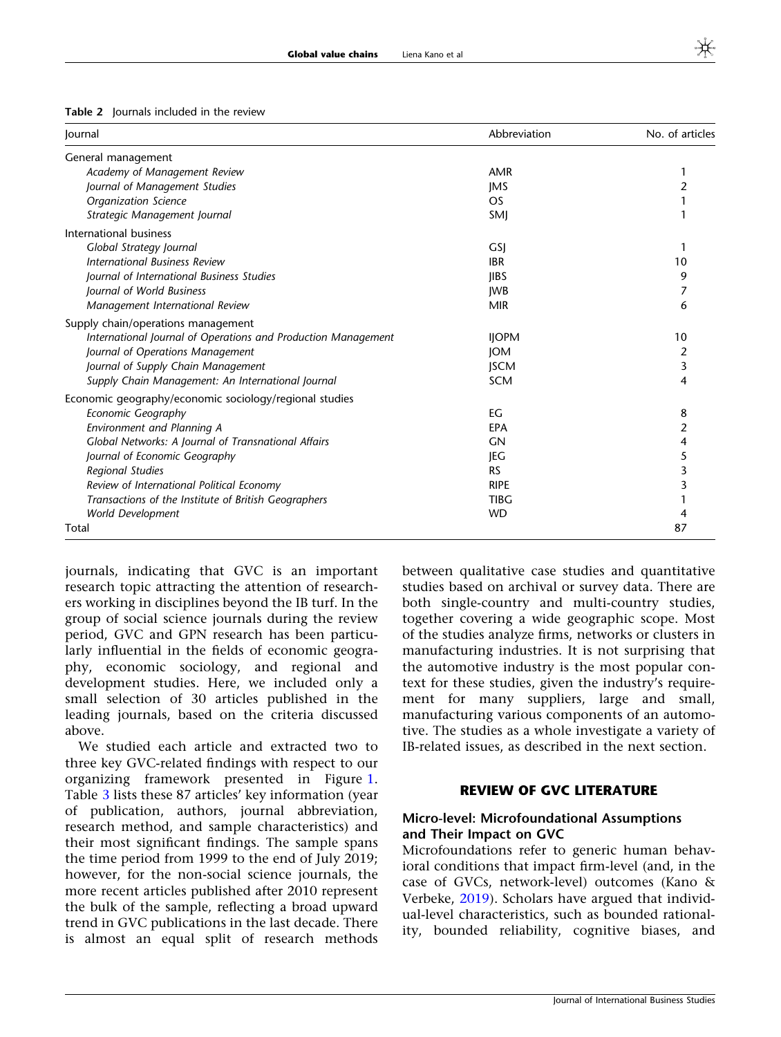<span id="page-8-0"></span>

|  |  | <b>Table 2</b> Journals included in the review |  |  |  |
|--|--|------------------------------------------------|--|--|--|
|--|--|------------------------------------------------|--|--|--|

| Journal                                                       | Abbreviation | No. of articles |
|---------------------------------------------------------------|--------------|-----------------|
| General management                                            |              |                 |
| Academy of Management Review                                  | <b>AMR</b>   |                 |
| Journal of Management Studies                                 | <b>IMS</b>   | 2               |
| Organization Science                                          | <b>OS</b>    |                 |
| Strategic Management Journal                                  | <b>SMJ</b>   |                 |
| International business                                        |              |                 |
| Global Strategy Journal                                       | <b>GSI</b>   |                 |
| <b>International Business Review</b>                          | <b>IBR</b>   | 10              |
| Journal of International Business Studies                     | <b>IIBS</b>  | 9               |
| Journal of World Business                                     | <b>IWB</b>   |                 |
| Management International Review                               | <b>MIR</b>   | 6               |
| Supply chain/operations management                            |              |                 |
| International Journal of Operations and Production Management | <b>IJOPM</b> | 10              |
| Journal of Operations Management                              | <b>IOM</b>   | 2               |
| Journal of Supply Chain Management                            | <b>ISCM</b>  | 3               |
| Supply Chain Management: An International Journal             | <b>SCM</b>   | 4               |
| Economic geography/economic sociology/regional studies        |              |                 |
| Economic Geography                                            | EG           | 8               |
| Environment and Planning A                                    | EPA          | 2               |
| Global Networks: A Journal of Transnational Affairs           | <b>GN</b>    | 4               |
| Journal of Economic Geography                                 | IEG          | 5               |
| Regional Studies                                              | <b>RS</b>    | 3               |
| Review of International Political Economy                     | <b>RIPE</b>  | 3               |
| Transactions of the Institute of British Geographers          | <b>TIBG</b>  |                 |
| World Development                                             | <b>WD</b>    |                 |
| Total                                                         |              | 87              |

journals, indicating that GVC is an important research topic attracting the attention of researchers working in disciplines beyond the IB turf. In the group of social science journals during the review period, GVC and GPN research has been particularly influential in the fields of economic geography, economic sociology, and regional and development studies. Here, we included only a small selection of 30 articles published in the leading journals, based on the criteria discussed above.

We studied each article and extracted two to three key GVC-related findings with respect to our organizing framework presented in Figure [1.](#page-7-0) Table [3](#page-9-0) lists these 87 articles' key information (year of publication, authors, journal abbreviation, research method, and sample characteristics) and their most significant findings. The sample spans the time period from 1999 to the end of July 2019; however, for the non-social science journals, the more recent articles published after 2010 represent the bulk of the sample, reflecting a broad upward trend in GVC publications in the last decade. There is almost an equal split of research methods between qualitative case studies and quantitative studies based on archival or survey data. There are both single-country and multi-country studies, together covering a wide geographic scope. Most of the studies analyze firms, networks or clusters in manufacturing industries. It is not surprising that the automotive industry is the most popular context for these studies, given the industry's requirement for many suppliers, large and small, manufacturing various components of an automotive. The studies as a whole investigate a variety of IB-related issues, as described in the next section.

#### REVIEW OF GVC LITERATURE

## Micro-level: Microfoundational Assumptions and Their Impact on GVC

Microfoundations refer to generic human behavioral conditions that impact firm-level (and, in the case of GVCs, network-level) outcomes (Kano & Verbeke, [2019](#page-42-0)). Scholars have argued that individual-level characteristics, such as bounded rationality, bounded reliability, cognitive biases, and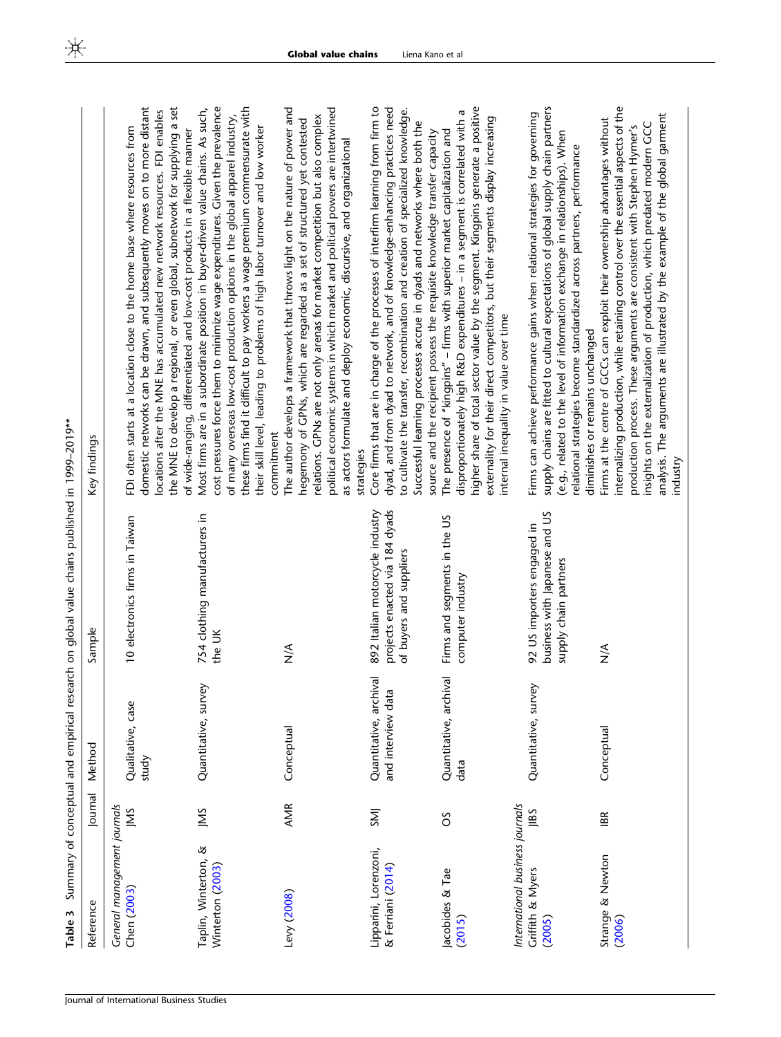Table 3 Summary of conceptual and empirical research on global value chains published in 1999-2019\*\* **Table 3** Summary of conceptual and empirical research on global value chains published in 1999–2019\*\*

<span id="page-9-0"></span>

| Reference                                                                | Journal    | Method                                       | Sample                                                                                       | Key findings                                                                                                                                                                                                                                                                                                                                                                                                                    |
|--------------------------------------------------------------------------|------------|----------------------------------------------|----------------------------------------------------------------------------------------------|---------------------------------------------------------------------------------------------------------------------------------------------------------------------------------------------------------------------------------------------------------------------------------------------------------------------------------------------------------------------------------------------------------------------------------|
| General management journals<br>Chen (2003)                               | IMS        | Qualitative, case<br>study                   | 10 electronics firms in Taiwan                                                               | domestic networks can be drawn, and subsequently moves on to more distant<br>the MNE to develop a regional, or even global, subnetwork for supplying a set<br>locations after the MNE has accumulated new network resources. FDI enables<br>FDI often starts at a location close to the home base where resources from<br>of wide-ranging, differentiated and low-cost products in a flexible manner                            |
| Taplin, Winterton, &<br>Winterton (2003)                                 | Š          | Quantitative, survey                         | 754 clothing manufacturers in<br>the UK                                                      | these firms find it difficult to pay workers a wage premium commensurate with<br>cost pressures force them to minimize wage expenditures. Given the prevalence<br>Most firms are in a subordinate position in buyer-driven value chains. As such,<br>of many overseas low-cost production options in the global apparel industry,<br>their skill level, leading to problems of high labor turnover and low worker<br>commitment |
| Levy (2008)                                                              | <b>AMR</b> | Conceptual                                   | $\frac{4}{5}$                                                                                | The author develops a framework that throws light on the nature of power and<br>political economic systems in which market and political powers are intertwined<br>relations. GPNs are not only arenas for market competition but also complex<br>hegemony of GPNs, which are regarded as a set of structured yet contested<br>as actors formulate and deploy economic, discursive, and organizational<br>strategies            |
| Lipparini, Lorenzoni,<br>& Ferriani (2014)                               | SMJ        | Quantitative, archival<br>and interview data | projects enacted via 184 dyads<br>892 Italian motorcycle industry<br>of buyers and suppliers | Core firms that are in charge of the processes of interfirm learning from firm to<br>dyad, and from dyad to network, and of knowledge-enhancing practices need<br>to cultivate the transfer, recombination and creation of specialized knowledge.<br>Successful learning processes accrue in dyads and networks where both the<br>source and the recipient possess the requisite knowledge transfer capacity                    |
| Jacobides & Tae<br>(2015)                                                | SO         | Quantitative, archival<br>data               | Firms and segments in the US<br>computer industry                                            | higher share of total sector value by the segment. Kingpins generate a positive<br>disproportionately high R&D expenditures - in a segment is correlated with a<br>externality for their direct competitors, but their segments display increasing<br>The presence of "kingpins" - firms with superior market capitalization and<br>internal inequality in value over time                                                      |
| International business journals<br><b>Criffith &amp; Myers</b><br>(2005) | IIBS       | Quantitative, survey                         | business with Japanese and US<br>92 US importers engaged in<br>supply chain partners         | supply chains are fitted to cultural expectations of global supply chain partners<br>Firms can achieve performance gains when relational strategies for governing<br>(e.g., related to the level of information exchange in relationships). When<br>relational strategies become standardized across partners, performance<br>diminishes or remains unchanged                                                                   |
| Strange & Newton<br>(2006)                                               | IBR,       | Conceptual                                   | $\frac{4}{2}$                                                                                | internalizing production, while retaining control over the essential aspects of the<br>analysis. The arguments are illustrated by the example of the global garment<br>Firms at the centre of GCCs can exploit their ownership advantages without<br>insights on the externalization of production, which predated modern GCC<br>production process. These arguments are consistent with Stephen Hymer's<br>industry            |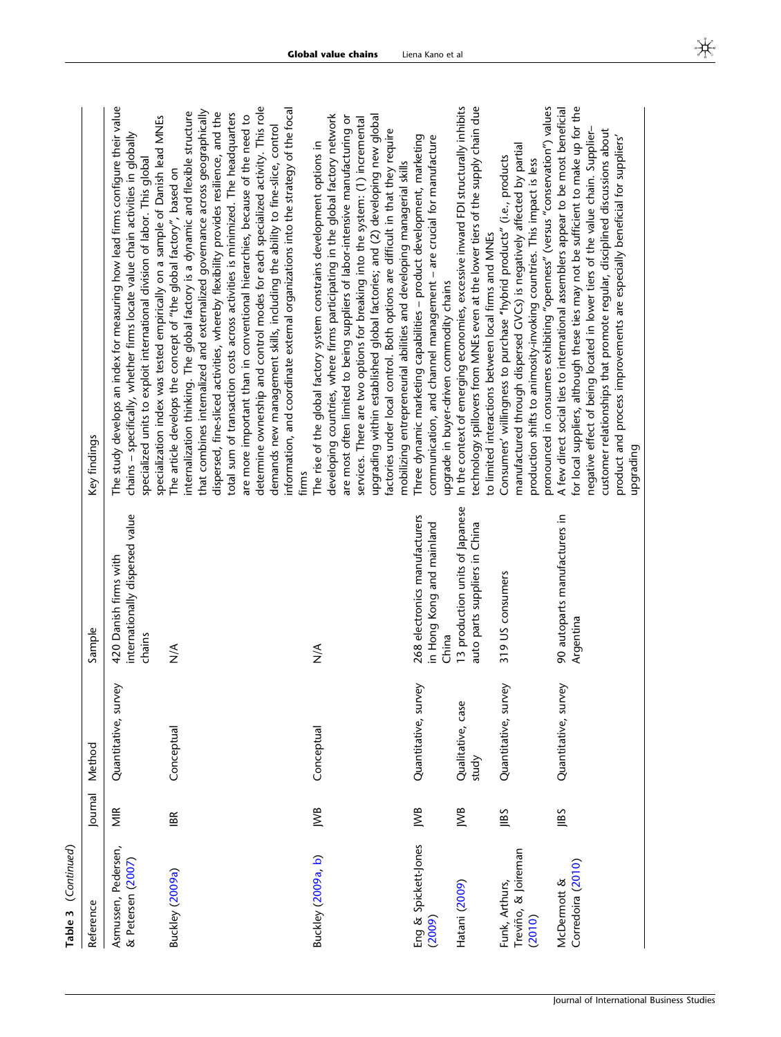| (Continued)<br>Table 3                          |            |                            |                                                                     |                                                                                                                                                                                                                                                                                                                                                                                                                                                                                                                                                                                                                                                                                                                                                                |
|-------------------------------------------------|------------|----------------------------|---------------------------------------------------------------------|----------------------------------------------------------------------------------------------------------------------------------------------------------------------------------------------------------------------------------------------------------------------------------------------------------------------------------------------------------------------------------------------------------------------------------------------------------------------------------------------------------------------------------------------------------------------------------------------------------------------------------------------------------------------------------------------------------------------------------------------------------------|
| Reference                                       | Journal    | Method                     | Sample                                                              | Key findings                                                                                                                                                                                                                                                                                                                                                                                                                                                                                                                                                                                                                                                                                                                                                   |
| Asmussen, Pedersen,<br>& Petersen (2007)        | <b>MIR</b> | Quantitative, survey       | internationally dispersed value<br>420 Danish firms with<br>chains  | The study develops an index for measuring how lead firms configure their value<br>specialization index was tested empirically on a sample of Danish lead MNEs<br>chains - specifically, whether firms locate value chain activities in globally<br>specialized units to exploit international division of labor. This global                                                                                                                                                                                                                                                                                                                                                                                                                                   |
| Buckley (2009a)                                 | 16K        | Conceptual                 | $\frac{4}{2}$                                                       | determine ownership and control modes for each specialized activity. This role<br>information, and coordinate external organizations into the strategy of the focal<br>that combines internalized and externalized governance across geographically<br>internalization thinking. The global factory is a dynamic and flexible structure<br>dispersed, fine-sliced activities, whereby flexibility provides resilience, and the<br>total sum of transaction costs across activities is minimized. The headquarters<br>are more important than in conventional hierarchies, because of the need to<br>demands new management skills, including the ability to fine-slice, control<br>The article develops the concept of "the global factory", based on<br>firms |
| Buckley (2009a, b)                              | <b>IWB</b> | Conceptual                 | $\frac{4}{2}$                                                       | developing countries, where firms participating in the global factory network<br>upgrading within established global factories; and (2) developing new global<br>are most often limited to being suppliers of labor-intensive manufacturing or<br>services. There are two options for breaking into the system: (1) incremental<br>factories under local control. Both options are difficult in that they require<br>The rise of the global factory system constrains development options in<br>mobilizing entrepreneurial abilities and developing managerial skills                                                                                                                                                                                          |
| Eng & Spickett-Jones<br>(2009)                  | JWB        | Quantitative, survey       | 268 electronics manufacturers<br>in Hong Kong and mainland<br>China | communication, and channel management - are crucial for manufacture<br>Three dynamic marketing capabilities - product development, marketing<br>upgrade in buyer-driven commodity chains                                                                                                                                                                                                                                                                                                                                                                                                                                                                                                                                                                       |
| Hatani (2009)                                   | JWB        | Qualitative, case<br>study | 13 production units of Japanese<br>auto parts suppliers in China    | In the context of emerging economies, excessive inward FDI structurally inhibits<br>technology spillovers from MNEs even at the lower tiers of the supply chain due<br>to limited interactions between local firms and MNEs                                                                                                                                                                                                                                                                                                                                                                                                                                                                                                                                    |
| Treviño, & Joireman<br>Funk, Arthurs,<br>(2010) | JIBS       | Quantitative, survey       | 319 US consumers                                                    | pronounced in consumers exhibiting "openness" (versus "conservation") values<br>manufactured through dispersed GVCs) is negatively affected by partial<br>Consumers' willingness to purchase "hybrid products" (i.e., products<br>production shifts to animosity-invoking countries. This impact is less                                                                                                                                                                                                                                                                                                                                                                                                                                                       |
| Corredoira (2010)<br>McDemott &                 | JIBS       | Quantitative, survey       | 90 autoparts manufacturers in<br>Argentina                          | for local suppliers, although these ties may not be sufficient to make up for the<br>A few direct social ties to international assemblers appear to be most beneficial<br>negative effect of being located in lower tiers of the value chain. Supplier-<br>customer relationships that promote regular, disciplined discussions about<br>product and process improvements are especially beneficial for suppliers'<br>upgrading                                                                                                                                                                                                                                                                                                                                |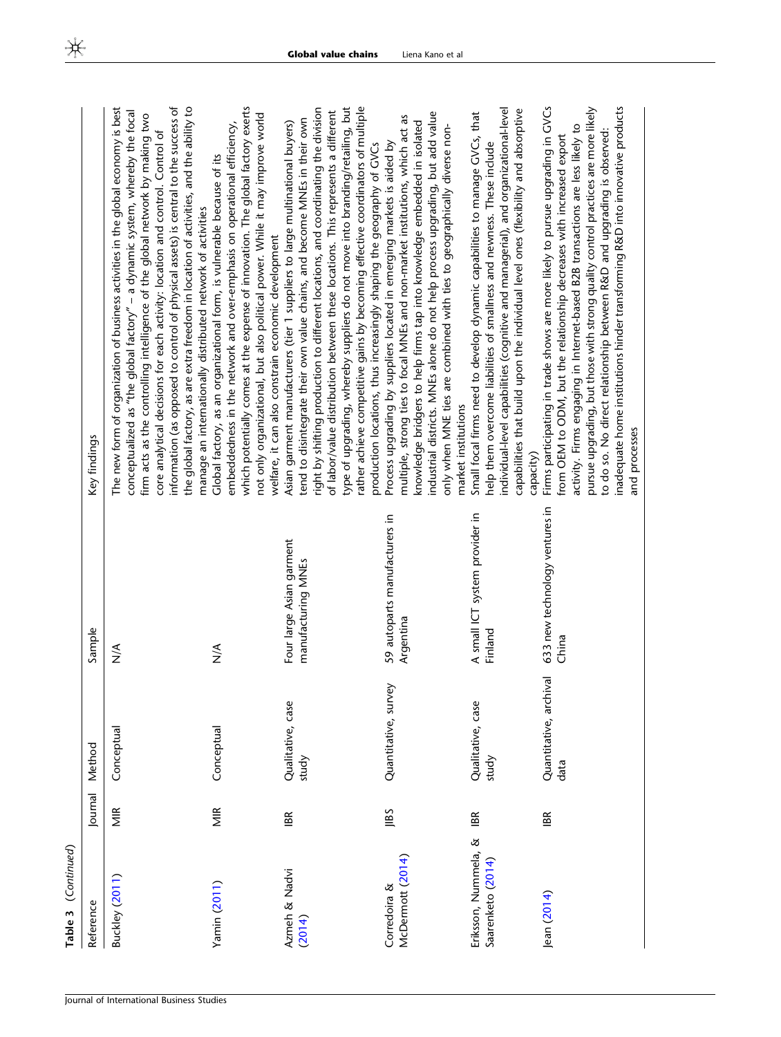| (Continued)<br>Table 3                    |               |                                |                                                |                                                                                                                                                                                                                                                                                                                                                                                                                                                                                                                                                                                     |
|-------------------------------------------|---------------|--------------------------------|------------------------------------------------|-------------------------------------------------------------------------------------------------------------------------------------------------------------------------------------------------------------------------------------------------------------------------------------------------------------------------------------------------------------------------------------------------------------------------------------------------------------------------------------------------------------------------------------------------------------------------------------|
| Reference                                 | Journal       | Method                         | Sample                                         | Key findings                                                                                                                                                                                                                                                                                                                                                                                                                                                                                                                                                                        |
| Buckley (2011)                            | $\frac{1}{2}$ | Conceptual                     | $\frac{1}{2}$                                  | information (as opposed to control of physical assets) is central to the success of<br>the global factory, as are extra freedom in location of activities, and the ability to<br>The new form of organization of business activities in the global economy is best<br>conceptualized as "the global factory" - a dynamic system, whereby the focal<br>firm acts as the controlling intelligence of the global network by making two<br>core analytical decisions for each activity: location and control. Control of<br>manage an internationally distributed network of activities |
| Yamin (2011)                              | WIR           | Conceptual                     | $\frac{4}{2}$                                  | which potentially comes at the expense of innovation. The global factory exerts<br>not only organizational, but also political power. While it may improve world<br>embeddedness in the network and over-emphasis on operational efficiency,<br>Global factory, as an organizational form, is vulnerable because of its<br>welfare, it can also constrain economic development                                                                                                                                                                                                      |
| Azmeh & Nadvi<br>(2014)                   | IBR,          | Qualitative, case<br>study     | Four large Asian garment<br>manufacturing MNEs | type of upgrading, whereby suppliers do not move into branding/retailing, but<br>rather achieve competitive gains by becoming effective coordinators of multiple<br>right by shifting production to different locations, and coordinating the division<br>of labor/value distribution between these locations. This represents a different<br>tend to disintegrate their own value chains, and become MNEs in their own<br>Asian garment manufacturers (tier 1 suppliers to large multinational buyers)<br>production locations, thus increasingly shaping the geography of GVCs    |
| McDermott (2014)<br>Corredoira &          | JIBS          | Quantitative, survey           | 59 autoparts manufacturers in<br>Argentina     | industrial districts. MNEs alone do not help process upgrading, but add value<br>multiple, strong ties to focal MNEs and non-market institutions, which act as<br>knowledge bridgers to help firms tap into knowledge embedded in isolated<br>only when MNE ties are combined with ties to geographically diverse non-<br>Process upgrading by suppliers located in emerging markets is aided by<br>market institutions                                                                                                                                                             |
| Eriksson, Nummela, &<br>Saarenketo (2014) | 18R           | Qualitative, case<br>study     | A small ICT system provider in<br>Finland      | individual-level capabilities (cognitive and managerial), and organizational-level<br>capabilities that build upon the individual level ones (flexibility and absorptive<br>Small focal firms need to develop dynamic capabilities to manage GVCs, that<br>help them overcome liabilities of smallness and newness. These include<br>capacity)                                                                                                                                                                                                                                      |
| Jean (2014)                               | <b>IBR</b>    | Quantitative, archival<br>data | 633 new technology ventures in<br>China        | inadequate home institutions hinder transforming R&D into innovative products<br>pursue upgrading, but those with strong quality control practices are more likely<br>Firms participating in trade shows are more likely to pursue upgrading in GVCs<br>activity. Firms engaging in Internet-based B2B transactions are less likely to<br>to do so. No direct relationship between R&D and upgrading is observed:<br>from OEM to ODM, but the relationship decreases with increased export<br>and processes                                                                         |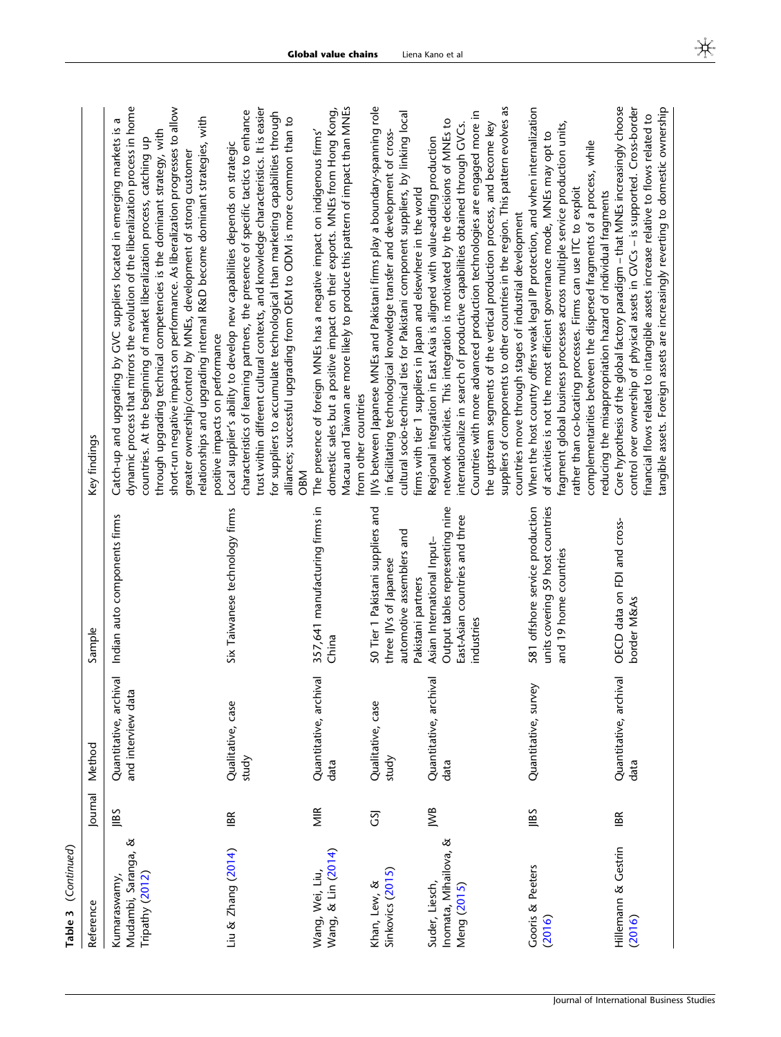| Table 3 (Continued)                                    |               |                                              |                                                                                                                |                                                                                                                                                                                                                                                                                                                                                                                                                                                                                                                                                                                               |
|--------------------------------------------------------|---------------|----------------------------------------------|----------------------------------------------------------------------------------------------------------------|-----------------------------------------------------------------------------------------------------------------------------------------------------------------------------------------------------------------------------------------------------------------------------------------------------------------------------------------------------------------------------------------------------------------------------------------------------------------------------------------------------------------------------------------------------------------------------------------------|
| Reference                                              | Journal       | Method                                       | Sample                                                                                                         | Key findings                                                                                                                                                                                                                                                                                                                                                                                                                                                                                                                                                                                  |
| Mudambi, Saranga, &<br>Tripathy (2012)<br>Kumaraswamy, | JIBS          | Quantitative, archival<br>and interview data | Indian auto components firms                                                                                   | dynamic process that mirrors the evolution of the liberalization process in home<br>short-run negative impacts on performance. As liberalization progresses to allow<br>relationships and upgrading internal R&D become dominant strategies, with<br>Catch-up and upgrading by GVC suppliers located in emerging markets is a<br>through upgrading technical competencies is the dominant strategy, with<br>countries. At the beginning of market liberalization process, catching up<br>greater ownership/control by MNEs, development of strong customer<br>positive impacts on performance |
| Liu & Zhang (2014)                                     | 16R           | Qualitative, case<br>study                   | Six Taiwanese technology firms                                                                                 | trust within different cultural contexts, and knowledge characteristics. It is easier<br>characteristics of learning partners, the presence of specific tactics to enhance<br>for suppliers to accumulate technological than marketing capabilities through<br>alliances; successful upgrading from OEM to ODM is more common than to<br>Local supplier's ability to develop new capabilities depends on strategic<br><b>OBM</b>                                                                                                                                                              |
| Wang, & Lin (2014)<br>Wang, Wei, Liu,                  | $\frac{1}{2}$ | Quantitative, archival<br>data               | 357,641 manufacturing firms in<br>China                                                                        | Macau and Taiwan are more likely to produce this pattern of impact than MNEs<br>domestic sales but a positive impact on their exports. MNEs from Hong Kong,<br>The presence of foreign MNEs has a negative impact on indigenous firms'<br>from other countries                                                                                                                                                                                                                                                                                                                                |
| Sinkovics (2015)<br>Khan, Lew, &                       | GSJ           | Qualitative, case<br>study                   | 50 Tier 1 Pakistani suppliers and<br>automotive assemblers and<br>three IJVs of Japanese<br>Pakistani partners | IJVs between Japanese MNEs and Pakistani firms play a boundary-spanning role<br>cultural socio-technical ties for Pakistani component suppliers, by linking local<br>in facilitating technological knowledge transfer and development of cross<br>firms with tier 1 suppliers in Japan and elsewhere in the world                                                                                                                                                                                                                                                                             |
| Inomata, Mihailova, &<br>Suder, Liesch,<br>Meng (2015) | JWB           | Quantitative, archival<br>data               | Output tables representing nine<br>East-Asian countries and three<br>Asian International Input-<br>industries  | suppliers of components to other countries in the region. This pattern evolves as<br>Countries with more advanced production technologies are engaged more in<br>network activities. This integration is motivated by the decisions of MNEs to<br>internationalize in search of productive capabilities obtained through GVCs.<br>the upstream segments of the vertical production process, and become key<br>Regional integration in East Asia is aligned with value-adding production<br>countries move through stages of industrial development                                            |
| <b>Gooris &amp; Peeters</b><br>(2016)                  | JIBS          | Quantitative, survey                         | 581 offshore service production<br>units covering 59 host countries<br>and 19 home countries                   | When the host country offers weak legal IP protection, and when internalization<br>fragment global business processes across multiple service production units,<br>of activities is not the most efficient governance mode, MNEs may opt to<br>complementarities between the dispersed fragments of a process, while<br>rather than co-locating processes. Firms can use ITC to exploit<br>reducing the misappropriation hazard of individual fragments                                                                                                                                       |
| Hillemann & Gestrin<br>(2016)                          | 16R           | Quantitative, archival<br>data               | OECD data on FDI and cross-<br>border M&As                                                                     | Core hypothesis of the global factory paradigm - that MNEs increasingly choose<br>control over ownership of physical assets in GVCs - is supported. Cross-border<br>tangible assets. Foreign assets are increasingly reverting to domestic ownership<br>financial flows related to intangible assets increase relative to flows related to                                                                                                                                                                                                                                                    |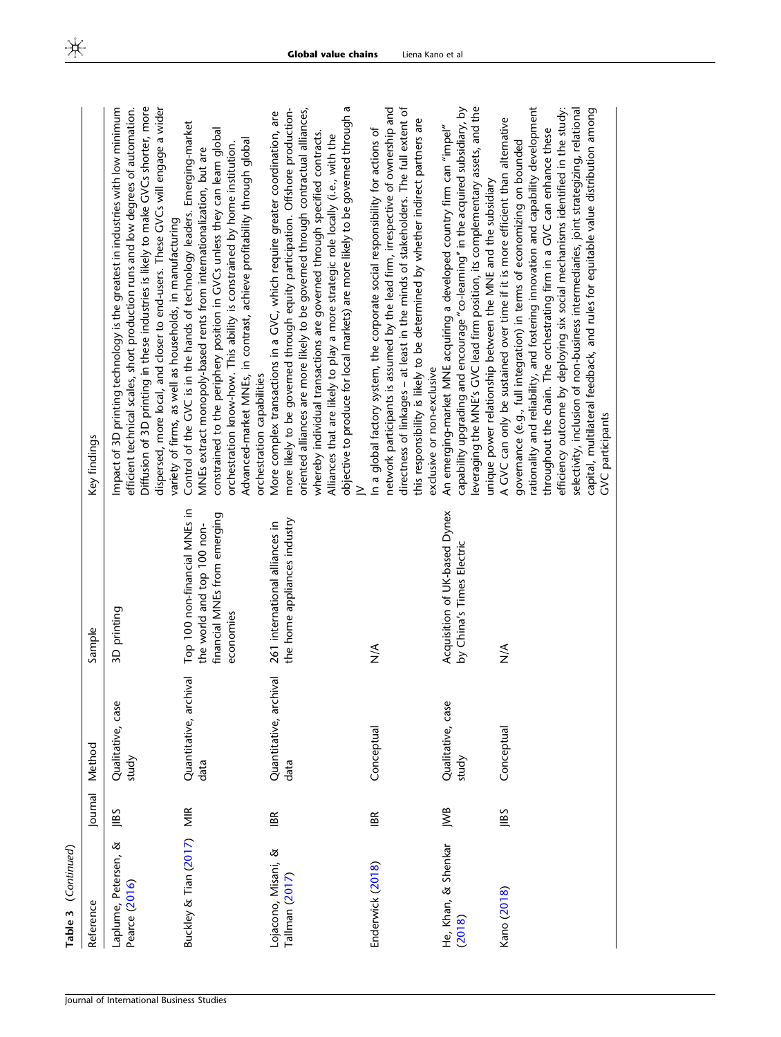| Table 3 (Continued)                   |            |                                |                                                                                                          |                                                                                                                                                                                                                                                                                                                                                                                                                                                                                                                                                                                                            |
|---------------------------------------|------------|--------------------------------|----------------------------------------------------------------------------------------------------------|------------------------------------------------------------------------------------------------------------------------------------------------------------------------------------------------------------------------------------------------------------------------------------------------------------------------------------------------------------------------------------------------------------------------------------------------------------------------------------------------------------------------------------------------------------------------------------------------------------|
| Reference                             | Journal    | Method                         | Sample                                                                                                   | Key findings                                                                                                                                                                                                                                                                                                                                                                                                                                                                                                                                                                                               |
| Laplume, Petersen, &<br>Pearce (2016) | JIBS       | Qualitative, case<br>study     | 3D printing                                                                                              | Diffusion of 3D printing in these industries is likely to make GVCs shorter, more<br>dispersed, more local, and closer to end-users. These GVCs will engage a wider<br>mpact of 3D printing technology is the greatest in industries with low minimum<br>efficient technical scales, short production runs and low degrees of automation.<br>variety of firms, as well as households, in manufacturing                                                                                                                                                                                                     |
| Buckley & Tian (2017)                 | MIR        | Quantitative, archival<br>data | Top 100 non-financial MNEs in<br>financial MNEs from emerging<br>the world and top 100 non-<br>economies | Control of the GVC is in the hands of technology leaders. Emerging-market<br>constrained to the periphery position in GVCs unless they can learn global<br>Advanced-market MNEs, in contrast, achieve profitability through global<br>orchestration know-how. This ability is constrained by home institution.<br>MNEs extract monopoly-based rents from internationalization, but are<br>orchestration capabilities                                                                                                                                                                                       |
| Lojacono, Misani, &<br>Tallman (2017) | 16R        | Quantitative, archival<br>data | the home appliances industry<br>261 international alliances in                                           | more likely to be governed through equity participation. Offshore production-<br>oriented alliances are more likely to be governed through contractual alliances,<br>objective to produce for local markets) are more likely to be governed through a<br>More complex transactions in a GVC, which require greater coordination, are<br>whereby individual transactions are governed through specified contracts.<br>Alliances that are likely to play a more strategic role locally (i.e., with the                                                                                                       |
| Enderwick (2018)                      | IBR,       | Conceptual                     | $\frac{1}{2}$                                                                                            | network participants is assumed by the lead firm, irrespective of ownership and<br>directness of linkages - at least in the minds of stakeholders. The full extent of<br>this responsibility is likely to be determined by whether indirect partners are<br>In a global factory system, the corporate social responsibility for actions of<br>exclusive or non-exclusive                                                                                                                                                                                                                                   |
| He, Khan, & Shenkar<br>(2018)         | <b>IWB</b> | Qualitative, case<br>study     | Acquisition of UK-based Dynex<br>by China's Times Electric                                               | everaging the MNE's GVC lead firm position, its complementary assets, and the<br>capability upgrading and encourage "co-learning" in the acquired subsidiary, by<br>An emerging-market MNE acquiring a developed country firm can "impel"<br>unique power relationship between the MNE and the subsidiary                                                                                                                                                                                                                                                                                                  |
| Kano (2018)                           | IBS        | Conceptual                     | $\frac{4}{5}$                                                                                            | rationality and reliability, and fostering innovation and capability development<br>efficiency outcome by deploying six social mechanisms identified in the study:<br>selectivity, inclusion of non-business intermediaries, joint strategizing, relational<br>capital, multilateral feedback, and rules for equitable value distribution among<br>A GVC can only be sustained over time if it is more efficient than alternative<br>throughout the chain. The orchestrating firm in a GVC can enhance these<br>governance (e.g., full integration) in terms of economizing on bounded<br>GVC participants |

 $\frac{1}{\sqrt{2}}$ 

Journal of International Business Studies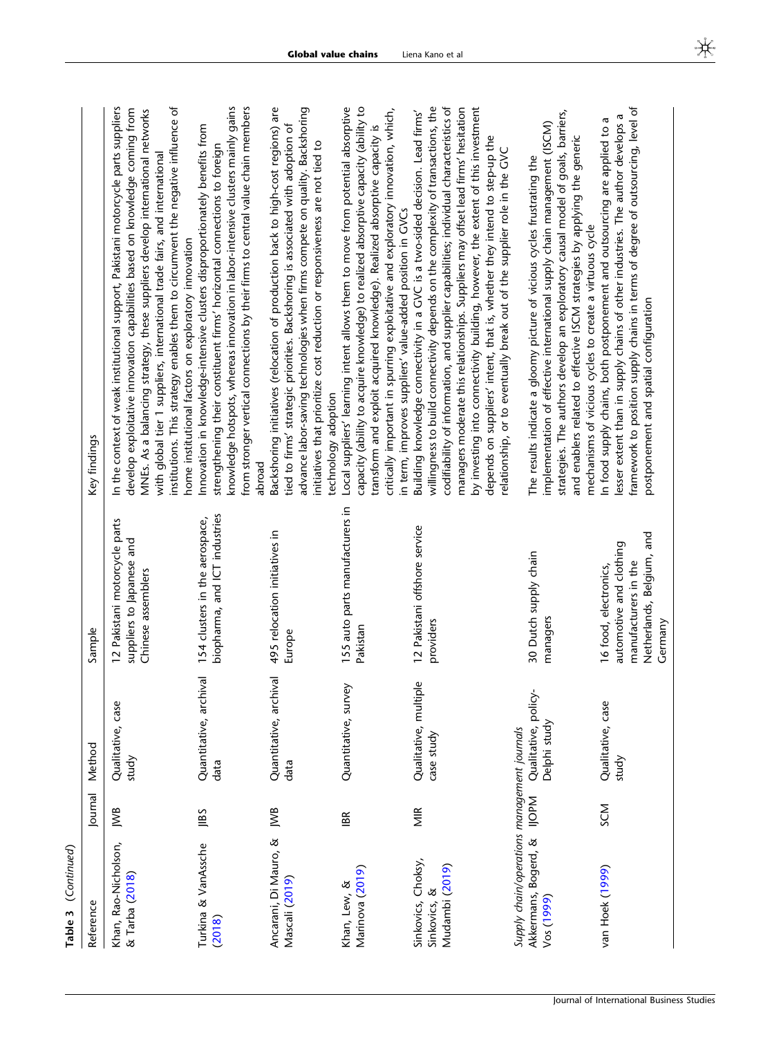| Table 3 (Continued)                                                               |             |                                      |                                                                                                                  |                                                                                                                                                                                                                                                                                                                                                                                                                                                                                                                                                                                              |
|-----------------------------------------------------------------------------------|-------------|--------------------------------------|------------------------------------------------------------------------------------------------------------------|----------------------------------------------------------------------------------------------------------------------------------------------------------------------------------------------------------------------------------------------------------------------------------------------------------------------------------------------------------------------------------------------------------------------------------------------------------------------------------------------------------------------------------------------------------------------------------------------|
| Reference                                                                         | ournal      | Method                               | Sample                                                                                                           | Key findings                                                                                                                                                                                                                                                                                                                                                                                                                                                                                                                                                                                 |
| Khan, Rao-Nicholson,<br>& Tarba (2018)                                            | JWB         | Qualitative, case<br>study           | 12 Pakistani motorcycle parts<br>suppliers to Japanese and<br>Chinese assemblers                                 | In the context of weak institutional support, Pakistani motorcycle parts suppliers<br>institutions. This strategy enables them to circumvent the negative influence of<br>develop exploitative innovation capabilities based on knowledge coming from<br>MNEs. As a balancing strategy, these suppliers develop international networks<br>with global tier 1 suppliers, international trade fairs, and international<br>home institutional factors on exploratory innovation                                                                                                                 |
| Turkina & VanAssche<br>(2018)                                                     | JIBS        | Quantitative, archival<br>data       | biopharma, and ICT industries<br>154 clusters in the aerospace,                                                  | knowledge hotspots, whereas innovation in labor-intensive clusters mainly gains<br>from stronger vertical connections by their firms to central value chain members<br>Innovation in knowledge-intensive clusters disproportionately benefits from<br>strengthening their constituent firms' horizontal connections to foreign<br>abroad                                                                                                                                                                                                                                                     |
| Ancarani, Di Mauro, &<br>Mascali (2019)                                           | JWB         | Quantitative, archival<br>data       | 495 relocation initiatives in<br>Europe                                                                          | Backshoring initiatives (relocation of production back to high-cost regions) are<br>advance labor-saving technologies when firms compete on quality. Backshoring<br>tied to firms' strategic priorities. Backshoring is associated with adoption of<br>initiatives that prioritize cost reduction or responsiveness are not tied to<br>technology adoption                                                                                                                                                                                                                                   |
| Marinova (2019)<br>Khan, Lew, &                                                   | 16R         | Quantitative, survey                 | 155 auto parts manufacturers in<br>Pakistan                                                                      | capacity (ability to acquire knowledge) to realized absorptive capacity (ability to<br>Local suppliers' learning intent allows them to move from potential absorptive<br>critically important in spurring exploitative and exploratory innovation, which,<br>transform and exploit acquired knowledge). Realized absorptive capacity is<br>in term, improves suppliers' value-added position in GVCs                                                                                                                                                                                         |
| Sinkovics, Choksy,<br>Mudambi (2019)<br>Sinkovics, &                              | l⊮          | Qualitative, multiple<br>case study  | 12 Pakistani offshore service<br>providers                                                                       | by investing into connectivity building, however, the extent of this investment<br>willingness to build connectivity depends on the complexity of transactions, the<br>codifiability of information, and supplier capabilities; individual characteristics of<br>managers moderate this relationships. Suppliers may offset lead firms' hesitation<br>Building knowledge connectivity in a GVC is a two-sided decision. Lead firms'<br>depends on suppliers' intent, that is, whether they intend to step-up the<br>relationship, or to eventually break out of the supplier role in the GVC |
| Supply chain/operations management journals<br>Akkermans, Bogerd, &<br>Vos (1999) | <b>Ndpl</b> | Qualitative, policy-<br>Delphi study | 30 Dutch supply chain<br>managers                                                                                | strategies. The authors develop an exploratory causal model of goals, barriers,<br>implementation of effective international supply chain management (ISCM)<br>and enablers related to effective ISCM strategies by applying the generic<br>The results indicate a gloomy picture of vicious cycles frustrating the<br>mechanisms of vicious cycles to create a virtuous cycle                                                                                                                                                                                                               |
| van Hoek (1999)                                                                   | SCM         | Qualitative, case<br>study           | Netherlands, Belgium, and<br>automotive and clothing<br>manufacturers in the<br>16 food, electronics,<br>Germany | framework to position supply chains in terms of degree of outsourcing, level of<br>lesser extent than in supply chains of other industries. The author develops a<br>In food supply chains, both postponement and outsourcing are applied to a<br>postponement and spatial configuration                                                                                                                                                                                                                                                                                                     |

 $\frac{1}{2}$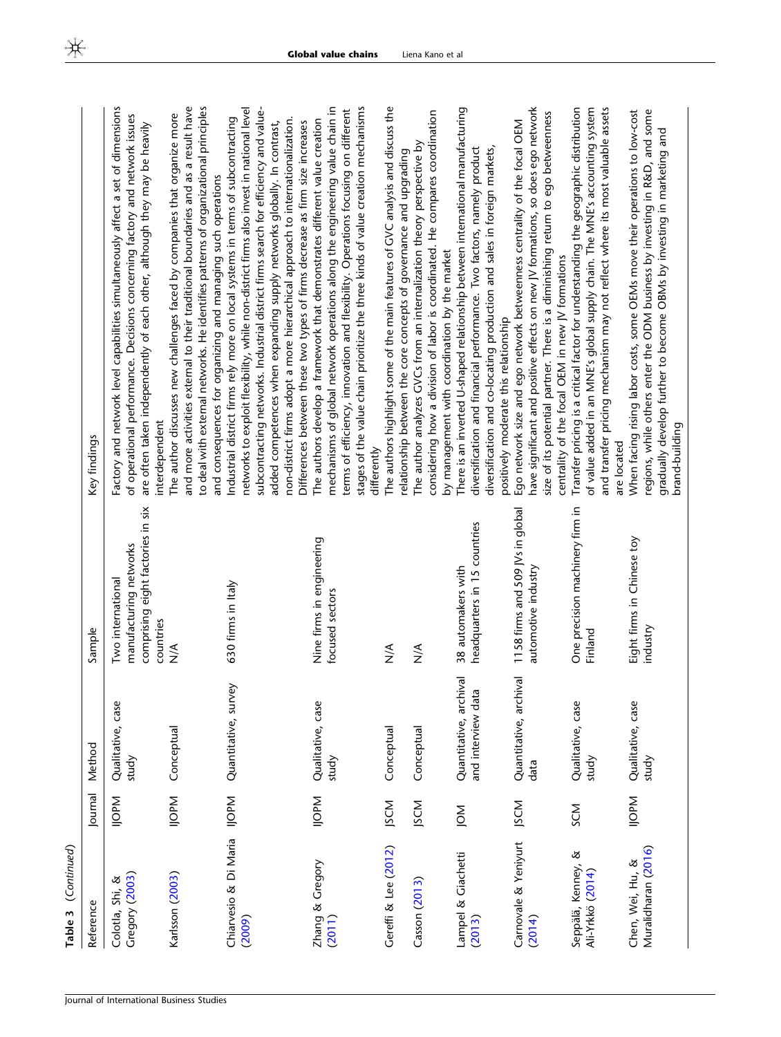| (Continued)<br>Table 3                      |              |                                              |                                                                                               |                                                                                                                                                                                                                                                                                                                                                                                                                                                                                                                |
|---------------------------------------------|--------------|----------------------------------------------|-----------------------------------------------------------------------------------------------|----------------------------------------------------------------------------------------------------------------------------------------------------------------------------------------------------------------------------------------------------------------------------------------------------------------------------------------------------------------------------------------------------------------------------------------------------------------------------------------------------------------|
| Reference                                   | Journal      | Method                                       | Sample                                                                                        | Key findings                                                                                                                                                                                                                                                                                                                                                                                                                                                                                                   |
| <b>Cregory (2003)</b><br>X<br>Colotla, Shi, | <b>NdDI</b>  | Qualitative, case<br>study                   | comprising eight factories in six<br>manufacturing networks<br>Two international<br>countries | Factory and network level capabilities simultaneously affect a set of dimensions<br>of operational performance. Decisions concerning factory and network issues<br>are often taken independently of each other, although they may be heavily<br>interdependent                                                                                                                                                                                                                                                 |
| Karlsson (2003)                             | NdDll        | Conceptual                                   | $\frac{1}{2}$                                                                                 | and more activities external to their traditional boundaries and as a result have<br>to deal with external networks. He identifies patterns of organizational principles<br>The author discusses new challenges faced by companies that organize more<br>and consequences for organizing and managing such operations                                                                                                                                                                                          |
| Chiarvesio & Di Maria IJOPM<br>(2009)       |              | Quantitative, survey                         | 630 firms in Italy                                                                            | networks to exploit flexibility, while non-district firms also invest in national level<br>subcontracting networks. Industrial district firms search for efficiency and value-<br>Industrial district firms rely more on local systems in terms of subcontracting<br>non-district firms adopt a more hierarchical approach to internationalization.<br>added competences when expanding supply networks globally. In contrast,<br>Differences between these two types of firms decrease as firm size increases |
| Zhang & Gregory<br>(2011)                   | <b>Ndpll</b> | Qualitative, case<br>study                   | Nine firms in engineering<br>focused sectors                                                  | mechanisms of global network operations along the engineering value chain in<br>stages of the value chain prioritize the three kinds of value creation mechanisms<br>terms of efficiency, innovation and flexibility. Operations focusing on different<br>The authors develop a framework that demonstrates different value creation<br>differently                                                                                                                                                            |
| Gereffi & Lee (2012)                        | <b>JSCM</b>  | Conceptual                                   | $\frac{4}{2}$                                                                                 | The authors highlight some of the main features of GVC analysis and discuss the<br>relationship between the core concepts of governance and upgrading                                                                                                                                                                                                                                                                                                                                                          |
| Casson (2013)                               | JSCM         | Conceptual                                   | $\frac{4}{2}$                                                                                 | considering how a division of labor is coordinated. He compares coordination<br>The author analyzes GVCs from an internalization theory perspective by<br>by management with coordination by the market                                                                                                                                                                                                                                                                                                        |
| Lampel & Giachetti<br>(2013)                | $\leq$       | Quantitative, archival<br>and interview data | headquarters in 15 countries<br>38 automakers with                                            | There is an inverted U-shaped relationship between international manufacturing<br>diversification and financial performance. Two factors, namely product<br>diversification and co-locating production and sales in foreign markets,<br>positively moderate this relationship                                                                                                                                                                                                                                  |
| Carnovale & Yeniyurt<br>(2014)              | <b>JSCM</b>  | Quantitative, archival<br>data               | 1158 firms and 509 JVs in global<br>automotive industry                                       | have significant and positive effects on new JV formations, so does ego network<br>size of its potential partner. There is a diminishing return to ego betweenness<br>Ego network size and ego network betweenness centrality of the focal OEM<br>centrality of the focal OEM in new JV formations                                                                                                                                                                                                             |
| Seppälä, Kenney, &<br>Ali-Yrkkö (2014)      | SCM          | Qualitative, case<br>study                   | One precision machinery firm in<br>Finland                                                    | Transfer pricing is a critical factor for understanding the geographic distribution<br>of value added in an MNE's global supply chain. The MNE's accounting system<br>and transfer pricing mechanism may not reflect where its most valuable assets<br>are located                                                                                                                                                                                                                                             |
| Muralidharan (2016)<br>Chen, Wei, Hu, &     | <b>NdDI</b>  | Qualitative, case<br>study                   | Eight firms in Chinese toy<br>industry                                                        | When facing rising labor costs, some OEMs move their operations to low-cost<br>regions, while others enter the ODM business by investing in R&D, and some<br>gradually develop further to become OBMs by investing in marketing and<br>brand-building                                                                                                                                                                                                                                                          |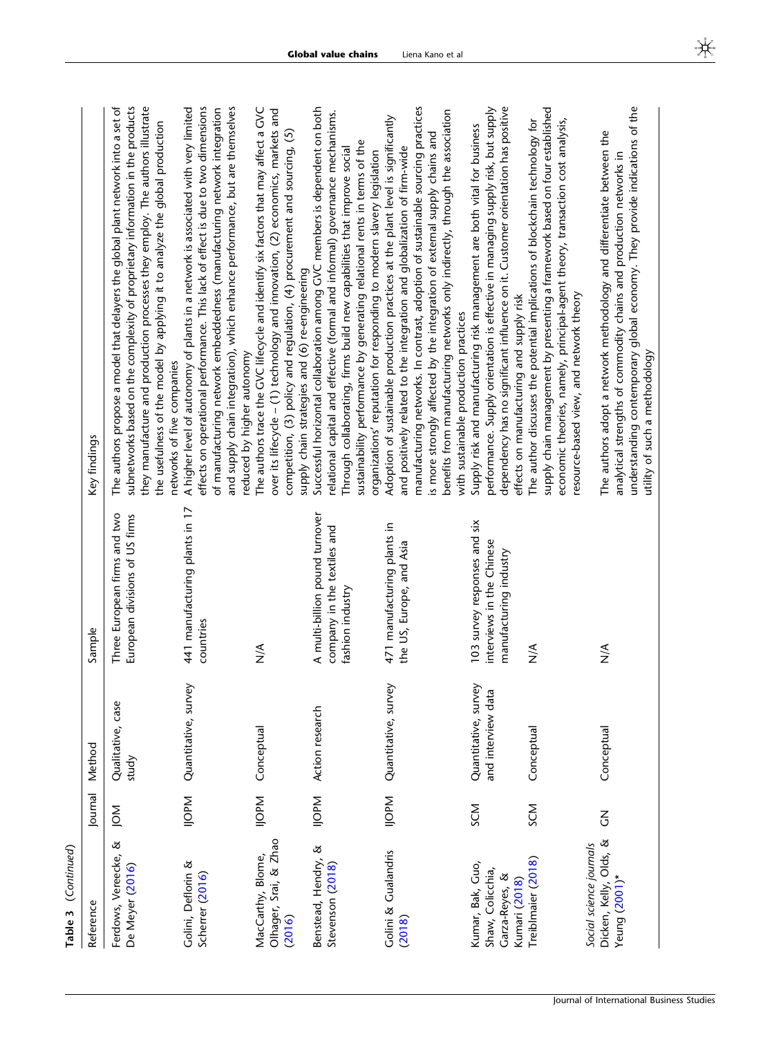| reduced by higher autonomy<br>networks of five companies<br>Key findings<br>441 manufacturing plants in 17<br>A multi-billion pound turnover<br>Three European firms and two<br>European divisions of US firms<br>103 survey responses and six<br>471 manufacturing plants in<br>company in the textiles and<br>interviews in the Chinese<br>the US, Europe, and Asia<br>manufacturing industry<br>fashion industry<br>countries<br>Sample<br>$\frac{4}{2}$<br>$\frac{4}{2}$<br>$\frac{4}{5}$<br>Quantitative, survey<br>Quantitative, survey<br>Quantitative, survey<br>and interview data<br>Qualitative, case<br>Action research<br>Conceptual<br>Conceptual<br>Conceptual<br>Method<br>study<br>Journal<br><b>NdDI</b><br><b>Ndpll</b><br><b>Ndpll</b><br><b>Ndoll</b><br>SCM<br>SCM<br><b>NO</b><br>$\overline{5}$<br>Olhager, Srai, & Zhao<br>ಶ<br>Dicken, Kelly, Olds, &<br>Social science journals<br>Benstead, Hendry, &<br><b>Colini &amp; Gualandris</b><br>Ferdows, Vereecke,<br>MacCarthy, Blome,<br>Treiblmaier (2018)<br>Golini, Deflorin &<br>Kumar, Bak, Guo,<br>Stevenson (2018)<br>De Meyer (2016)<br>Shaw, Colicchia,<br>Scherrer (2016)<br>Garza-Reyes, &<br>Yeung (2001)*<br>Kumari (2018)<br>Reference<br>(2016)<br>(2018) | Table 3 (Continued) |  |                                                                                                                                                                                                                                                                                                                                                                                                                                                         |
|---------------------------------------------------------------------------------------------------------------------------------------------------------------------------------------------------------------------------------------------------------------------------------------------------------------------------------------------------------------------------------------------------------------------------------------------------------------------------------------------------------------------------------------------------------------------------------------------------------------------------------------------------------------------------------------------------------------------------------------------------------------------------------------------------------------------------------------------------------------------------------------------------------------------------------------------------------------------------------------------------------------------------------------------------------------------------------------------------------------------------------------------------------------------------------------------------------------------------------------------------|---------------------|--|---------------------------------------------------------------------------------------------------------------------------------------------------------------------------------------------------------------------------------------------------------------------------------------------------------------------------------------------------------------------------------------------------------------------------------------------------------|
|                                                                                                                                                                                                                                                                                                                                                                                                                                                                                                                                                                                                                                                                                                                                                                                                                                                                                                                                                                                                                                                                                                                                                                                                                                                   |                     |  |                                                                                                                                                                                                                                                                                                                                                                                                                                                         |
|                                                                                                                                                                                                                                                                                                                                                                                                                                                                                                                                                                                                                                                                                                                                                                                                                                                                                                                                                                                                                                                                                                                                                                                                                                                   |                     |  | The authors propose a model that delayers the global plant network into a set of<br>subnetworks based on the complexity of proprietary information in the products<br>they manufacture and production processes they employ. The authors illustrate<br>the usefulness of the model by applying it to analyze the global production                                                                                                                      |
|                                                                                                                                                                                                                                                                                                                                                                                                                                                                                                                                                                                                                                                                                                                                                                                                                                                                                                                                                                                                                                                                                                                                                                                                                                                   |                     |  | effects on operational performance. This lack of effect is due to two dimensions<br>of manufacturing network embeddedness (manufacturing network integration<br>and supply chain integration), which enhance performance, but are themselves<br>A higher level of autonomy of plants in a network is associated with very limited                                                                                                                       |
|                                                                                                                                                                                                                                                                                                                                                                                                                                                                                                                                                                                                                                                                                                                                                                                                                                                                                                                                                                                                                                                                                                                                                                                                                                                   |                     |  | The authors trace the GVC lifecycle and identify six factors that may affect a GVC<br>over its lifecycle - (1) technology and innovation, (2) economics, markets and<br>competition, (3) policy and regulation, $(4)$ procurement and sourcing, (5)<br>supply chain strategies and (6) re-engineering                                                                                                                                                   |
|                                                                                                                                                                                                                                                                                                                                                                                                                                                                                                                                                                                                                                                                                                                                                                                                                                                                                                                                                                                                                                                                                                                                                                                                                                                   |                     |  | Successful horizontal collaboration among GVC members is dependent on both<br>relational capital and effective (formal and informal) governance mechanisms.<br>sustainability performance by generating relational rents in terms of the<br>Through collaborating, firms build new capabilities that improve social<br>organizations' reputation for responding to modern slavery legislation                                                           |
|                                                                                                                                                                                                                                                                                                                                                                                                                                                                                                                                                                                                                                                                                                                                                                                                                                                                                                                                                                                                                                                                                                                                                                                                                                                   |                     |  | manufacturing networks. In contrast, adoption of sustainable sourcing practices<br>benefits from manufacturing networks only indirectly, through the association<br>Adoption of sustainable production practices at the plant level is significantly<br>is more strongly affected by the integration of external supply chains and<br>and positively related to the integration and globalization of firm-wide<br>with sustainable production practices |
|                                                                                                                                                                                                                                                                                                                                                                                                                                                                                                                                                                                                                                                                                                                                                                                                                                                                                                                                                                                                                                                                                                                                                                                                                                                   |                     |  | dependency has no significant influence on it. Customer orientation has positive<br>performance. Supply orientation is effective in managing supply risk, but supply<br>Supply risk and manufacturing risk management are both vital for business<br>effects on manufacturing and supply risk                                                                                                                                                           |
|                                                                                                                                                                                                                                                                                                                                                                                                                                                                                                                                                                                                                                                                                                                                                                                                                                                                                                                                                                                                                                                                                                                                                                                                                                                   |                     |  | supply chain management by presenting a framework based on four established<br>The author discusses the potential implications of blockchain technology for<br>economic theories, namely, principal-agent theory, transaction cost analysis,<br>resource-based view, and network theory                                                                                                                                                                 |
|                                                                                                                                                                                                                                                                                                                                                                                                                                                                                                                                                                                                                                                                                                                                                                                                                                                                                                                                                                                                                                                                                                                                                                                                                                                   |                     |  | understanding contemporary global economy. They provide indications of the<br>The authors adopt a network methodology and differentiate between the<br>analytical strengths of commodity chains and production networks in<br>utility of such a methodology                                                                                                                                                                                             |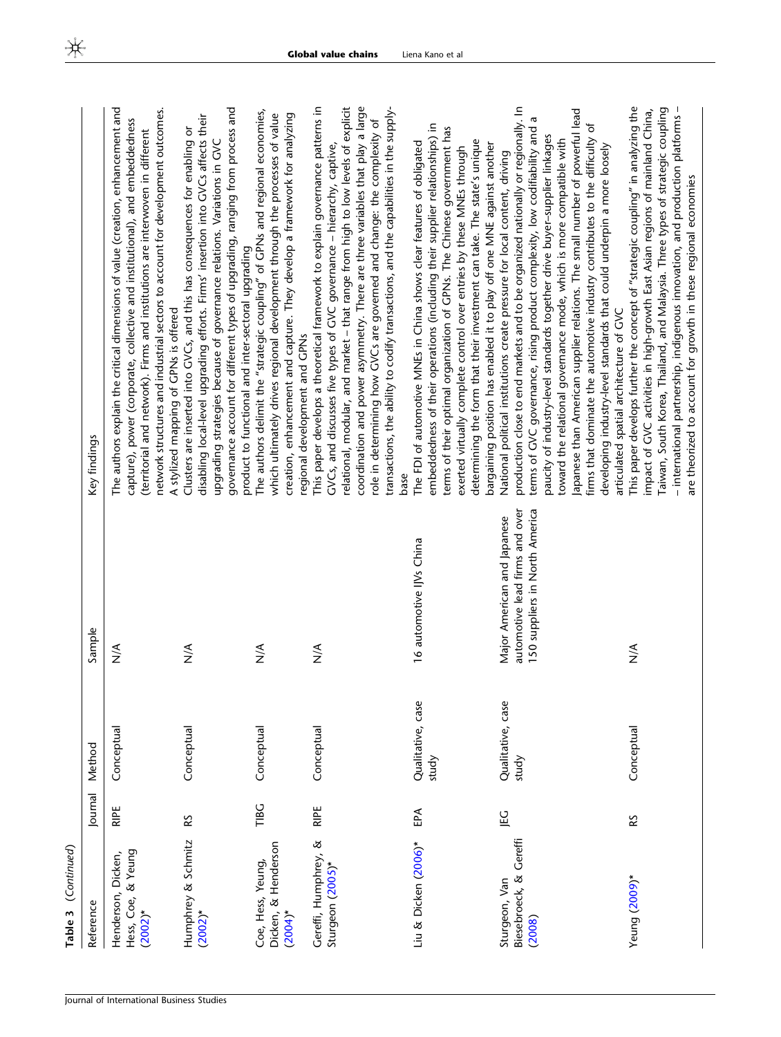| Table 3 (Continued)                                    |                |                            |                                                                                                 |                                                                                                                                                                                                                                                                                                                                                                                                                                                                                                                                                                                                                                                                                            |
|--------------------------------------------------------|----------------|----------------------------|-------------------------------------------------------------------------------------------------|--------------------------------------------------------------------------------------------------------------------------------------------------------------------------------------------------------------------------------------------------------------------------------------------------------------------------------------------------------------------------------------------------------------------------------------------------------------------------------------------------------------------------------------------------------------------------------------------------------------------------------------------------------------------------------------------|
| Reference                                              | <b>Journal</b> | Method                     | Sample                                                                                          | Key findings                                                                                                                                                                                                                                                                                                                                                                                                                                                                                                                                                                                                                                                                               |
| Hess, Coe, & Yeung<br>Henderson, Dicken,<br>$(2002)^*$ | RIPE           | Conceptual                 | $\frac{1}{2}$                                                                                   | The authors explain the critical dimensions of value (creation, enhancement and<br>network structures and industrial sectors to account for development outcomes.<br>capture), power (corporate, collective and institutional), and embeddedness<br>(territorial and network). Firms and institutions are interwoven in different<br>A stylized mapping of GPNs is offered                                                                                                                                                                                                                                                                                                                 |
| Humphrey & Schmitz<br>$(2002)^*$                       | 53             | Conceptual                 | $\frac{1}{2}$                                                                                   | governance account for different types of upgrading, ranging from process and<br>disabling local-level upgrading efforts. Firms' insertion into GVCs affects their<br>Clusters are inserted into GVCs, and this has consequences for enabling or<br>upgrading strategies because of governance relations. Variations in GVC<br>product to functional and inter-sectoral upgrading                                                                                                                                                                                                                                                                                                          |
| Dicken, & Henderson<br>Coe, Hess, Yeung,<br>$(2004)^*$ | TIBC           | Conceptual                 | $\frac{4}{2}$                                                                                   | The authors delimit the "strategic coupling" of GPNs and regional economies,<br>creation, enhancement and capture. They develop a framework for analyzing<br>which ultimately drives regional development through the processes of value<br>regional development and GPNs                                                                                                                                                                                                                                                                                                                                                                                                                  |
| Gereffi, Humphrey, &<br>Sturgeon (2005)*               | RIPE           | Conceptual                 | $\frac{4}{2}$                                                                                   | This paper develops a theoretical framework to explain governance patterns in<br>coordination and power asymmetry. There are three variables that play a large<br>relational, modular, and market - that range from high to low levels of explicit<br>transactions, the ability to codify transactions, and the capabilities in the supply-<br>role in determining how GVCs are governed and change: the complexity of<br>GVCs, and discusses five types of GVC governance - hierarchy, captive,<br>base                                                                                                                                                                                   |
| Liu & Dicken (2006)*                                   | EPA            | Qualitative, case<br>study | 16 automotive IJVs China                                                                        | embeddedness of their operations (including their supplier relationships) in<br>terms of their optimal organization of GPNs. The Chinese government has<br>determining the form that their investment can take. The state's unique<br>bargaining position has enabled it to play off one MNE against another<br>The FDI of automotive MNEs in China shows clear features of obligated<br>exerted virtually complete control over entries by these MNEs through                                                                                                                                                                                                                             |
| Biesebroeck, & Gereffi<br>Sturgeon, Van<br>(2008)      | EG             | Qualitative, case<br>study | automotive lead firms and over<br>150 suppliers in North America<br>Major American and Japanese | production close to end markets and to be organized nationally or regionally. In<br>Japanese than American supplier relations. The small number of powerful lead<br>terms of GVC governance, rising product complexity, low codifiability and a<br>đ<br>paucity of industry-level standards together drive buyer-supplier linkages<br>firms that dominate the automotive industry contributes to the difficulty<br>toward the relational governance mode, which is more compatible with<br>developing industry-level standards that could underpin a more loosely<br>National political institutions create pressure for local content, driving<br>articulated spatial architecture of GVC |
| Yeung (2009)*                                          | RS             | Conceptual                 | $\frac{1}{2}$                                                                                   | This paper develops further the concept of "strategic coupling" in analyzing the<br>Taiwan, South Korea, Thailand, and Malaysia. Three types of strategic coupling<br>impact of GVC activities in high-growth East Asian regions of mainland China,<br>- international partnership, indigenous innovation, and production platforms -<br>are theorized to account for growth in these regional economies                                                                                                                                                                                                                                                                                   |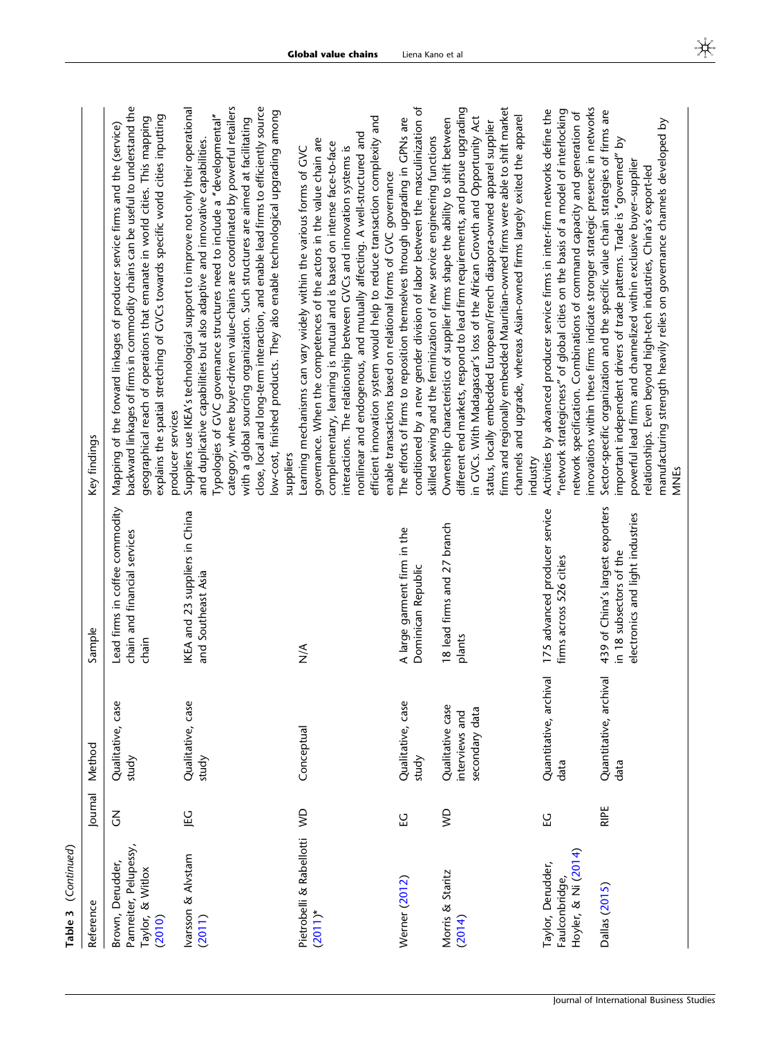| (Continued)<br>Table 3                                                   |                            |                                                          |                                                                                                 |                                                                                                                                                                                                                                                                                                                                                                                                                                                                                                                                                                                                      |
|--------------------------------------------------------------------------|----------------------------|----------------------------------------------------------|-------------------------------------------------------------------------------------------------|------------------------------------------------------------------------------------------------------------------------------------------------------------------------------------------------------------------------------------------------------------------------------------------------------------------------------------------------------------------------------------------------------------------------------------------------------------------------------------------------------------------------------------------------------------------------------------------------------|
| Reference                                                                | Journal                    | Method                                                   | Sample                                                                                          | Key findings                                                                                                                                                                                                                                                                                                                                                                                                                                                                                                                                                                                         |
| Parnreiter, Pelupessy,<br>Brown, Derudder,<br>Taylor, & Witlox<br>(2010) | $\mathcal{E}_{\mathsf{O}}$ | Qualitative, case<br>study                               | Lead firms in coffee commodity<br>chain and financial services<br>chain                         | backward linkages of firms in commodity chains can be useful to understand the<br>explains the spatial stretching of GVCs towards specific world cities inputting<br>geographical reach of operations that emanate in world cities. This mapping<br>Mapping of the forward linkages of producer service firms and the (service)<br>producer services                                                                                                                                                                                                                                                 |
| Ivarsson & Alvstam<br>(2011)                                             | Π                          | Qualitative, case<br>study                               | IKEA and 23 suppliers in China<br>and Southeast Asia                                            | category, where buyer-driven value-chains are coordinated by powerful retailers<br>close, local and long-term interaction, and enable lead firms to efficiently source<br>Suppliers use IKEA's technological support to improve not only their operational<br>low-cost, finished products. They also enable technological upgrading among<br>Typologies of GVC governance structures need to include a "developmental"<br>with a global sourcing organization. Such structures are aimed at facilitating<br>and duplicative capabilities but also adaptive and innovative capabilities.<br>suppliers |
| Pietrobelli & Rabellotti<br>$(2011)^*$                                   | $\overline{\mathsf{S}}$    | Conceptual                                               | $\frac{4}{2}$                                                                                   | efficient innovation system would help to reduce transaction complexity and<br>nonlinear and endogenous, and mutually affecting. A well-structured and<br>governance. When the competences of the actors in the value chain are<br>complementary, learning is mutual and is based on intense face-to-face<br>interactions. The relationship between GVCs and innovation systems is<br>Learning mechanisms can vary widely within the various forms of GVC<br>enable transactions based on relational forms of GVC governance                                                                         |
| Werner (2012)                                                            | 잎                          | Qualitative, case<br>study                               | A large garment firm in the<br>Dominican Republic                                               | conditioned by a new gender division of labor between the masculinization of<br>The efforts of firms to reposition themselves through upgrading in GPNs are<br>skilled sewing and the feminization of new service engineering functions                                                                                                                                                                                                                                                                                                                                                              |
| Morris & Staritz<br>(2014)                                               | $\widehat{\mathsf{S}}$     | Qualitative case<br>secondary data<br>interviews and     | 18 lead firms and 27 branch<br>plants                                                           | firms and regionally embedded Mauritian-owned firms were able to shift market<br>different end markets, respond to lead firm requirements, and pursue upgrading<br>channels and upgrade, whereas Asian-owned firms largely exited the apparel<br>in GVCs. With Madagascar's loss of the African Growth and Opportunity Act<br>Ownership characteristics of supplier firms shape the ability to shift between<br>status, locally embedded European/French diaspora-owned apparel supplier<br>industry                                                                                                 |
| Hoyler, & Ni (2014)<br>Taylor, Derudder,<br>Faulconbridge,               | 잎                          | Quantitative, archival<br>data                           | 175 advanced producer service<br>firms across 526 cities                                        | innovations within these firms indicate stronger strategic presence in networks<br>Activities by advanced producer service firms in inter-firm networks define the<br>"network strategicness" of global cities on the basis of a model of interlocking<br>network specification. Combinations of command capacity and generation of                                                                                                                                                                                                                                                                  |
| Dallas (2015)                                                            | RIPE                       | $\overline{\mathsf{val}}$<br>Quantitative, archi<br>data | 439 of China's largest exporters<br>electronics and light industries<br>in 18 subsectors of the | Sector-specific organization and the specific value chain strategies of firms are<br>manufacturing strength heavily relies on governance channels developed by<br>important independent drivers of trade patterns. Trade is "governed" by<br>powerful lead firms and channelized within exclusive buyer-supplier<br>relationships. Even beyond high-tech industries, China's export-led<br><b>MNEs</b>                                                                                                                                                                                               |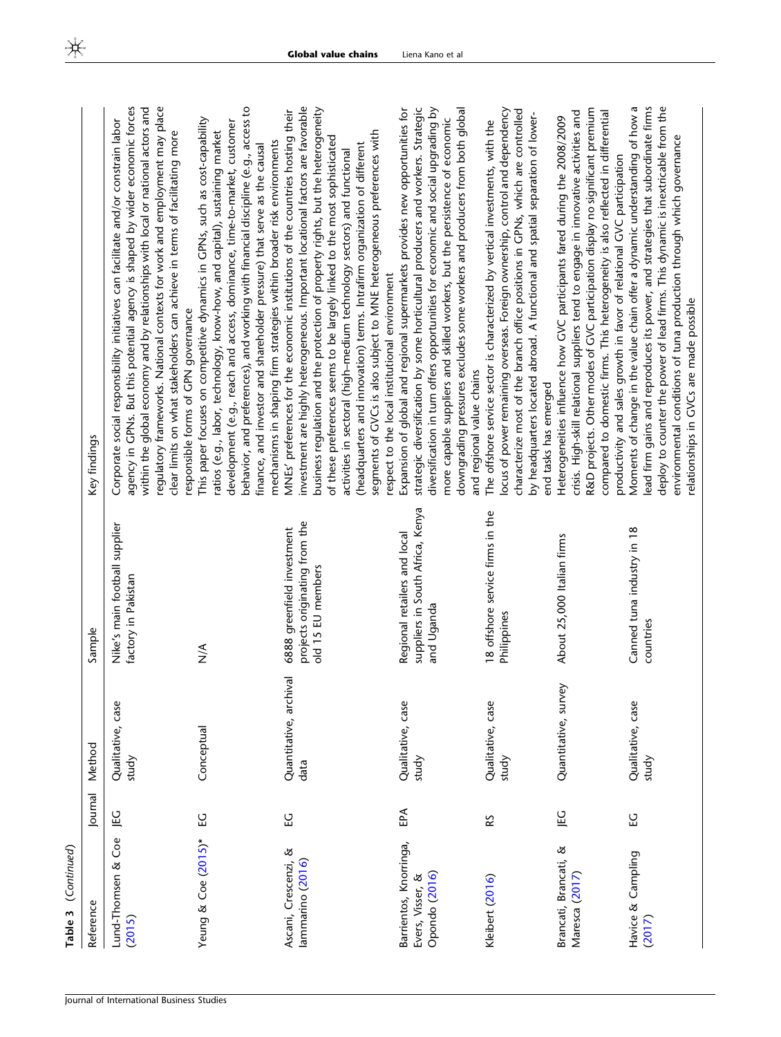| Table 3 (Continued)                                         |               |                                                        |                                                                                  |                                                                                                                                                                                                                                                                                                                                                                                                                                                                                                                                                                                                                      |
|-------------------------------------------------------------|---------------|--------------------------------------------------------|----------------------------------------------------------------------------------|----------------------------------------------------------------------------------------------------------------------------------------------------------------------------------------------------------------------------------------------------------------------------------------------------------------------------------------------------------------------------------------------------------------------------------------------------------------------------------------------------------------------------------------------------------------------------------------------------------------------|
| Reference                                                   | <b>ournal</b> | Method                                                 | Sample                                                                           | Key findings                                                                                                                                                                                                                                                                                                                                                                                                                                                                                                                                                                                                         |
| Lund-Thomsen & Coe<br>(2015)                                | 일             | Qualitative, case<br>study                             | Nike's main football supplier<br>factory in Pakistan                             | agency in GPNs. But this potential agency is shaped by wider economic forces<br>regulatory frameworks. National contexts for work and employment may place<br>within the global economy and by relationships with local or national actors and<br>Corporate social responsibility initiatives can facilitate and/or constrain labor<br>clear limits on what stakeholders can achieve in terms of facilitating more<br>responsible forms of GPN governance                                                                                                                                                            |
| Yeung & Coe (2015)*                                         | 55            | Conceptual                                             | $\frac{4}{5}$                                                                    | behavior, and preferences), and working with financial discipline (e.g., access to<br>This paper focuses on competitive dynamics in GPNs, such as cost-capability<br>development (e.g., reach and access, dominance, time-to-market, customer<br>ratios (e.g., labor, technology, know-how, and capital), sustaining market<br>mechanisms in shaping firm strategies within broader risk environments<br>finance, and investor and shareholder pressure) that serve as the causal                                                                                                                                    |
| Ascani, Crescenzi, &<br>lammarino (2016)                    | 요             | $\overline{\mathbf{z}}$<br>Quantitative, archi<br>data | projects originating from the<br>6888 greenfield investment<br>old 15 EU members | investment are highly heterogeneous. Important locational factors are favorable<br>business regulation and the protection of property rights, but the heterogeneity<br>MNEs' preferences for the economic institutions of the countries hosting their<br>segments of GVCs is also subject to MNE heterogeneous preferences with<br>of these preferences seems to be largely linked to the most sophisticated<br>(headquarters and innovation) terms. Intrafirm organization of different<br>activities in sectoral (high-medium technology sectors) and functional<br>respect to the local institutional environment |
| Barrientos, Knorringa,<br>Opondo (2016)<br>Evers, Visser, & | EPA           | Qualitative, case<br>study                             | suppliers in South Africa, Kenya<br>Regional retailers and local<br>and Uganda   | strategic diversification by some horticultural producers and workers. Strategic<br>diversification in turn offers opportunities for economic and social upgrading by<br>downgrading pressures excludes some workers and producers from both global<br>Expansion of global and regional supermarkets provides new opportunities for<br>more capable suppliers and skilled workers, but the persistence of economic<br>and regional value chains                                                                                                                                                                      |
| Kleibert (2016)                                             | ΚŚ            | Qualitative, case<br>study                             | 18 offshore service firms in the<br>Philippines                                  | locus of power remaining overseas. Foreign ownership, control and dependency<br>characterize most of the branch office positions in GPNs, which are controlled<br>by headquarters located abroad. A functional and spatial separation of lower-<br>The offshore service sector is characterized by vertical investments, with the<br>end tasks has emerged                                                                                                                                                                                                                                                           |
| Brancati, Brancati, &<br>Maresca (2017)                     | П             | Quantitative, survey                                   | About 25,000 Italian firms                                                       | R&D projects. Other modes of GVC participation display no significant premium<br>crisis. High-skill relational suppliers tend to engage in innovative activities and<br>compared to domestic firms. This heterogeneity is also reflected in differential<br>Heterogeneities influence how GVC participants fared during the 2008/2009<br>productivity and sales growth in favor of relational GVC participation                                                                                                                                                                                                      |
| Havice & Campling<br>(2017)                                 | 잎             | Qualitative, case<br>study                             | Canned tuna industry in 18<br>countries                                          | lead firm gains and reproduces its power, and strategies that subordinate firms<br>deploy to counter the power of lead firms. This dynamic is inextricable from the<br>Moments of change in the value chain offer a dynamic understanding of how a<br>environmental conditions of tuna production through which governance<br>relationships in GVCs are made possible                                                                                                                                                                                                                                                |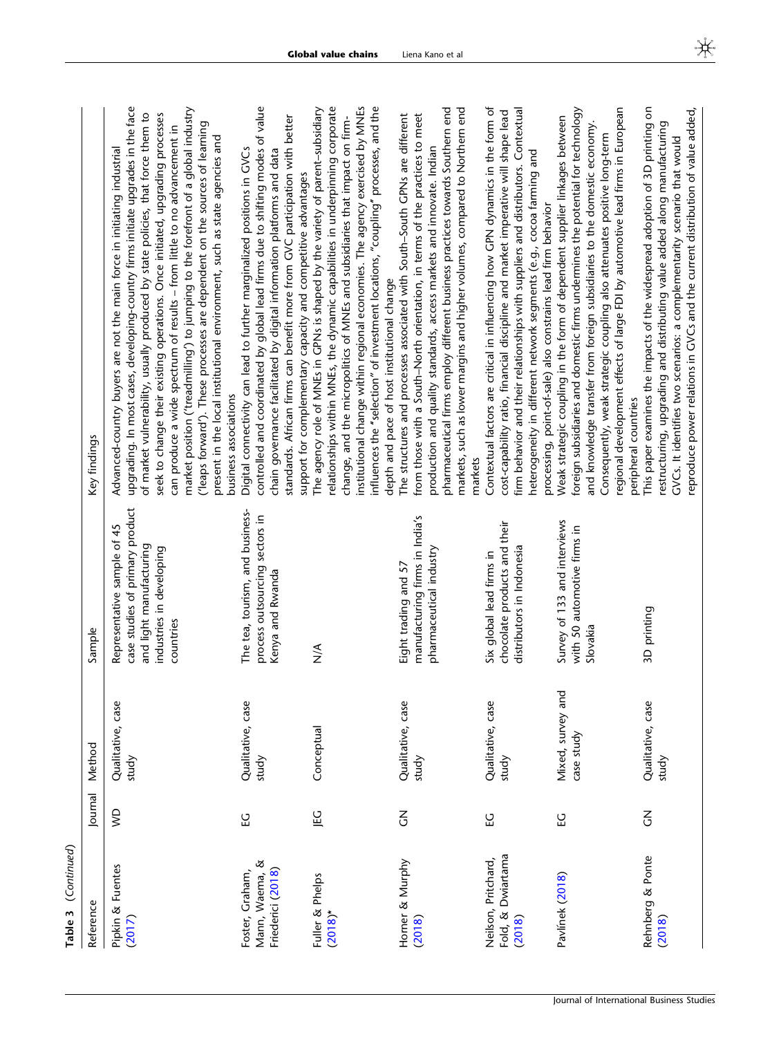| (Continued)<br>Table 3                                    |                |                                 |                                                                                                                                    |                                                                                                                                                                                                                                                                                                                                                                                                                                                                                                                                                                                                                                                                                         |
|-----------------------------------------------------------|----------------|---------------------------------|------------------------------------------------------------------------------------------------------------------------------------|-----------------------------------------------------------------------------------------------------------------------------------------------------------------------------------------------------------------------------------------------------------------------------------------------------------------------------------------------------------------------------------------------------------------------------------------------------------------------------------------------------------------------------------------------------------------------------------------------------------------------------------------------------------------------------------------|
| Reference                                                 | <b>Journal</b> | Method                          | Sample                                                                                                                             | Key findings                                                                                                                                                                                                                                                                                                                                                                                                                                                                                                                                                                                                                                                                            |
| Pipkin & Fuentes<br>(2017)                                | $\geqslant$    | Qualitative, case<br>study      | case studies of primary product<br>Representative sample of 45<br>and light manufacturing<br>industries in developing<br>countries | upgrading. In most cases, developing-country firms initiate upgrades in the face<br>market position ('treadmilling') to jumping to the forefront of a global industry<br>of market vulnerability, usually produced by state policies, that force them to<br>seek to change their existing operations. Once initiated, upgrading processes<br>('leaps forward'). These processes are dependent on the sources of learning<br>can produce a wide spectrum of results - from little to no advancement in<br>present in the local institutional environment, such as state agencies and<br>Advanced-country buyers are not the main force in initiating industrial<br>business associations |
| X<br>Friederici (2018)<br>Foster, Graham,<br>Mann, Waema, | 요              | Qualitative, case<br>study      | The tea, tourism, and business-<br>process outsourcing sectors in<br>Kenya and Rwanda                                              | controlled and coordinated by global lead firms due to shifting modes of value<br>standards. African firms can benefit more from GVC participation with better<br>Digital connectivity can lead to further marginalized positions in GVCs<br>chain governance facilitated by digital information platforms and data<br>support for complementary capacity and competitive advantages                                                                                                                                                                                                                                                                                                    |
| Fuller & Phelps<br>$(2018)^*$                             | Я              | Conceptual                      | $\frac{4}{5}$                                                                                                                      | influences the "selection" of investment locations, "coupling" processes, and the<br>relationships within MNEs, the dynamic capabilities in underpinning corporate<br>institutional change within regional economies. The agency exercised by MNEs<br>The agency role of MNEs in GPNs is shaped by the variety of parent-subsidiary<br>change, and the micropolitics of MNEs and subsidiaries that impact on firm-<br>depth and pace of host institutional change                                                                                                                                                                                                                       |
| Homer & Murphy<br>(2018)                                  | $\overline{5}$ | Qualitative, case<br>study      | manufacturing firms in India's<br>pharmaceutical industry<br>Eight trading and 57                                                  | pharmaceutical firms employ different business practices towards Southern end<br>markets, such as lower margins and higher volumes, compared to Northern end<br>from those with a South-North orientation, in terms of the practices to meet<br>The structures and processes associated with South-South GPNs are different<br>production and quality standards, access markets and innovate. Indian<br>markets                                                                                                                                                                                                                                                                         |
| Fold, & Dwiartama<br>Neilson, Pritchard,<br>(2018)        | ۲J             | Qualitative, case<br>study      | chocolate products and their<br>distributors in Indonesia<br>Six global lead firms in                                              | firm behavior and their relationships with suppliers and distributors. Contextual<br>Contextual factors are critical in influencing how GPN dynamics in the form of<br>cost-capability ratio, financial discipline and market imperative will shape lead<br>heterogeneity in different network segments (e.g., cocoa farming and<br>processing, point-of-sale) also constrains lead firm behavior                                                                                                                                                                                                                                                                                       |
| Pavlínek (2018)                                           | 잎              | Mixed, survey and<br>case study | Survey of 133 and interviews<br>with 50 automotive firms in<br>Slovakia                                                            | regional development effects of large FDI by automotive lead firms in European<br>foreign subsidiaries and domestic firms undermines the potential for technology<br>Weak strategic coupling in the form of dependent supplier linkages between<br>and knowledge transfer from foreign subsidiaries to the domestic economy.<br>Consequently, weak strategic coupling also attenuates positive long-term<br>peripheral countries                                                                                                                                                                                                                                                        |
| Rehnberg & Ponte<br>(2018)                                | $\overline{5}$ | Qualitative, case<br>study      | 3D printing                                                                                                                        | This paper examines the impacts of the widespread adoption of 3D printing on<br>reproduce power relations in GVCs and the current distribution of value added,<br>restructuring, upgrading and distributing value added along manufacturing<br>GVCs. It identifies two scenarios: a complementarity scenario that would                                                                                                                                                                                                                                                                                                                                                                 |

米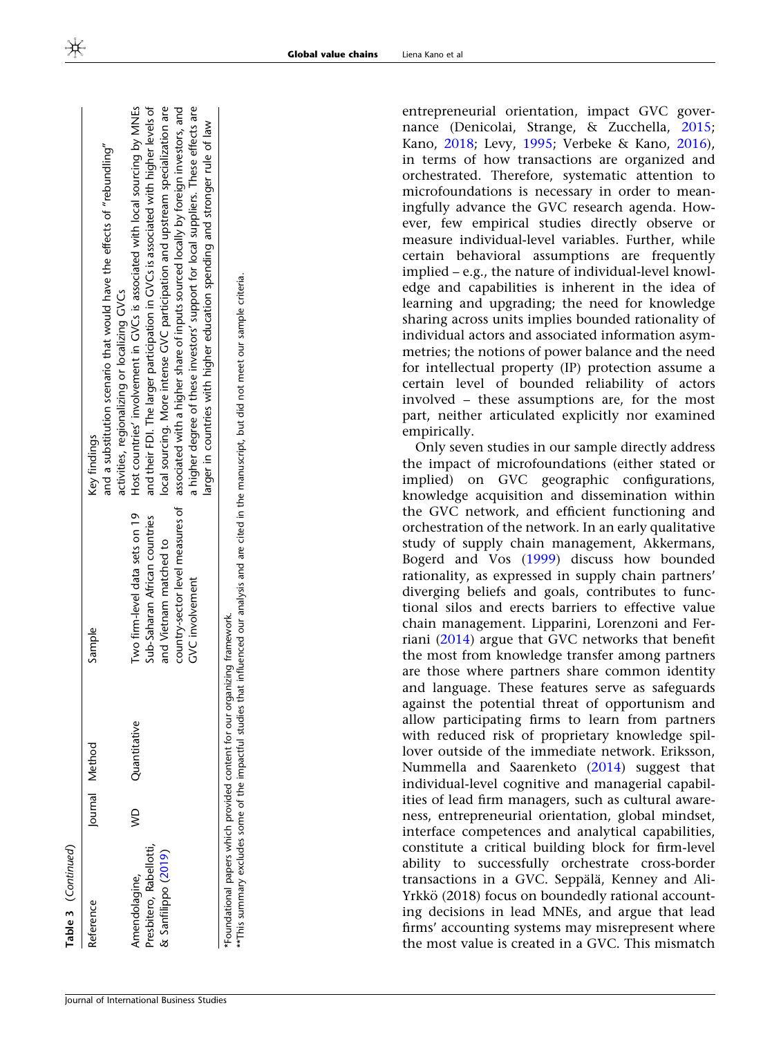| Table 3 (Continued)                                             |   |                                                                          |                                                                                                              |                                                                                                                                                                                                                                                                                                                                                                                                                                                                                                                                                                                                         |
|-----------------------------------------------------------------|---|--------------------------------------------------------------------------|--------------------------------------------------------------------------------------------------------------|---------------------------------------------------------------------------------------------------------------------------------------------------------------------------------------------------------------------------------------------------------------------------------------------------------------------------------------------------------------------------------------------------------------------------------------------------------------------------------------------------------------------------------------------------------------------------------------------------------|
| Reference                                                       |   | Journal Method                                                           | Sample                                                                                                       | and a substitution scenario that would have the effects of "rebundling"<br>Key findings                                                                                                                                                                                                                                                                                                                                                                                                                                                                                                                 |
| Presbitero, Rabellotti,<br>& Sanfilippo (2019)<br>Amendolagine, | Ş | Quantitative                                                             | Two firm-level data sets on 19<br>Sub-Saharan African countries<br>and Vietnam matched to<br>GVC involvement | and their FDI. The larger participation in GVCs is associated with higher levels of<br>Host countries' involvement in GVCs is associated with local sourcing by MNEs<br>local sourcing. More intense GVC participation and upstream specialization are<br>a higher degree of these investors' support for local suppliers. These effects are<br>country-sector level measures of $\;$ associated with a higher share of inputs sourced locally by foreign investors, and<br>larger in countries with higher education spending and stronger rule of law<br>activities, regionalizing or localizing GVCs |
|                                                                 |   | Foundational papers which provided content for our organizing framework. |                                                                                                              | ** This summary excludes some of the impactful studies that influenced our analysis and are cited in the manuscript, but did not meet our sample criteria.                                                                                                                                                                                                                                                                                                                                                                                                                                              |

nance (Denicolai, Strange, & Zucchella, [2015;](#page-41-0) Kano, [2018;](#page-42-0) Levy, [1995;](#page-43-0) Verbeke & Kano, [2016](#page-44-0)), in terms of how transactions are organized and orchestrated. Therefore, systematic attention to microfoundations is necessary in order to meaningfully advance the GVC research agenda. However, few empirical studies directly observe or measure individual-level variables. Further, while certain behavioral assumptions are frequently implied – e.g., the nature of individual-level knowledge and capabilities is inherent in the idea of learning and upgrading; the need for knowledge sharing across units implies bounded rationality of individual actors and associated information asymmetries; the notions of power balance and the need for intellectual property (IP) protection assume a certain level of bounded reliability of actors involved – these assumptions are, for the most part, neither articulated explicitly nor examined empirically. Only seven studies in our sample directly address

entrepreneurial orientation, impact GVC gover-

the impact of microfoundations (either stated or implied) on GVC geographic configurations, knowledge acquisition and dissemination within the GVC network, and efficient functioning and orchestration of the network. In an early qualitative study of supply chain management, Akkermans, Bogerd and Vos [\(1999](#page-40-0)) discuss how bounded rationality, as expressed in supply chain partners' diverging beliefs and goals, contributes to functional silos and erects barriers to effective value chain management. Lipparini, Lorenzoni and Ferriani ([2014\)](#page-43-0) argue that GVC networks that benefit the most from knowledge transfer among partners are those where partners share common identity and language. These features serve as safeguards against the potential threat of opportunism and allow participating firms to learn from partners with reduced risk of proprietary knowledge spillover outside of the immediate network. Eriksson, Nummella and Saarenketo [\(2014\)](#page-41-0) suggest that individual-level cognitive and managerial capabilities of lead firm managers, such as cultural awareness, entrepreneurial orientation, global mindset, interface competences and analytical capabilities, constitute a critical building block for firm-level ability to successfully orchestrate cross-border transactions in a GVC. Seppälä, Kenney and Ali-Yrkkö (2018) focus on boundedly rational accounting decisions in lead MNEs, and argue that lead firms' accounting systems may misrepresent where the most value is created in a GVC. This mismatch

Table 3 (Continued)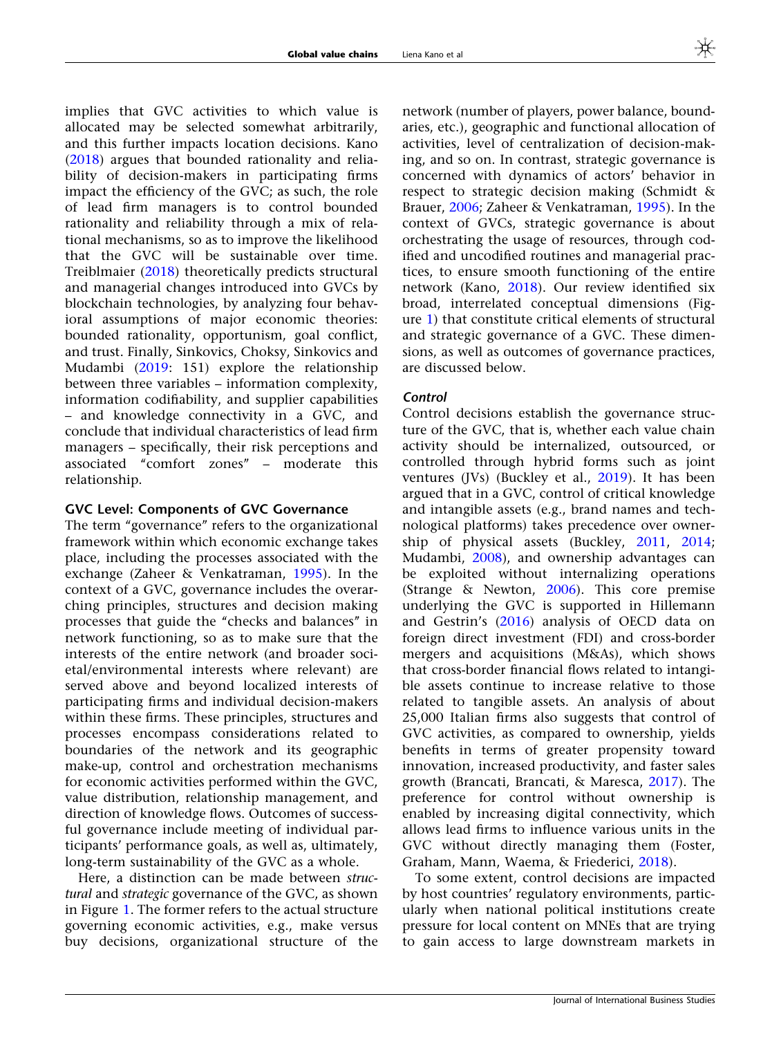implies that GVC activities to which value is allocated may be selected somewhat arbitrarily, and this further impacts location decisions. Kano [\(2018](#page-42-0)) argues that bounded rationality and reliability of decision-makers in participating firms impact the efficiency of the GVC; as such, the role of lead firm managers is to control bounded rationality and reliability through a mix of relational mechanisms, so as to improve the likelihood that the GVC will be sustainable over time. Treiblmaier ([2018](#page-44-0)) theoretically predicts structural and managerial changes introduced into GVCs by blockchain technologies, by analyzing four behavioral assumptions of major economic theories: bounded rationality, opportunism, goal conflict, and trust. Finally, Sinkovics, Choksy, Sinkovics and Mudambi ([2019:](#page-44-0) 151) explore the relationship between three variables – information complexity, information codifiability, and supplier capabilities – and knowledge connectivity in a GVC, and conclude that individual characteristics of lead firm managers – specifically, their risk perceptions and associated ''comfort zones'' – moderate this relationship.

## GVC Level: Components of GVC Governance

The term "governance" refers to the organizational framework within which economic exchange takes place, including the processes associated with the exchange (Zaheer & Venkatraman, [1995](#page-45-0)). In the context of a GVC, governance includes the overarching principles, structures and decision making processes that guide the "checks and balances" in network functioning, so as to make sure that the interests of the entire network (and broader societal/environmental interests where relevant) are served above and beyond localized interests of participating firms and individual decision-makers within these firms. These principles, structures and processes encompass considerations related to boundaries of the network and its geographic make-up, control and orchestration mechanisms for economic activities performed within the GVC, value distribution, relationship management, and direction of knowledge flows. Outcomes of successful governance include meeting of individual participants' performance goals, as well as, ultimately, long-term sustainability of the GVC as a whole.

Here, a distinction can be made between structural and strategic governance of the GVC, as shown in Figure [1](#page-7-0). The former refers to the actual structure governing economic activities, e.g., make versus buy decisions, organizational structure of the

network (number of players, power balance, boundaries, etc.), geographic and functional allocation of activities, level of centralization of decision-making, and so on. In contrast, strategic governance is concerned with dynamics of actors' behavior in respect to strategic decision making (Schmidt & Brauer, [2006](#page-44-0); Zaheer & Venkatraman, [1995](#page-45-0)). In the context of GVCs, strategic governance is about orchestrating the usage of resources, through codified and uncodified routines and managerial practices, to ensure smooth functioning of the entire network (Kano, [2018](#page-42-0)). Our review identified six broad, interrelated conceptual dimensions (Figure [1\)](#page-7-0) that constitute critical elements of structural and strategic governance of a GVC. These dimensions, as well as outcomes of governance practices, are discussed below.

## Control

Control decisions establish the governance structure of the GVC, that is, whether each value chain activity should be internalized, outsourced, or controlled through hybrid forms such as joint ventures (JVs) (Buckley et al., [2019\)](#page-40-0). It has been argued that in a GVC, control of critical knowledge and intangible assets (e.g., brand names and technological platforms) takes precedence over ownership of physical assets (Buckley, [2011](#page-40-0), [2014;](#page-40-0) Mudambi, [2008](#page-43-0)), and ownership advantages can be exploited without internalizing operations (Strange  $\&$  Newton, [2006\)](#page-44-0). This core premise underlying the GVC is supported in Hillemann and Gestrin's [\(2016](#page-42-0)) analysis of OECD data on foreign direct investment (FDI) and cross-border mergers and acquisitions (M&As), which shows that cross-border financial flows related to intangible assets continue to increase relative to those related to tangible assets. An analysis of about 25,000 Italian firms also suggests that control of GVC activities, as compared to ownership, yields benefits in terms of greater propensity toward innovation, increased productivity, and faster sales growth (Brancati, Brancati, & Maresca, [2017\)](#page-40-0). The preference for control without ownership is enabled by increasing digital connectivity, which allows lead firms to influence various units in the GVC without directly managing them (Foster, Graham, Mann, Waema, & Friederici, [2018](#page-41-0)).

To some extent, control decisions are impacted by host countries' regulatory environments, particularly when national political institutions create pressure for local content on MNEs that are trying to gain access to large downstream markets in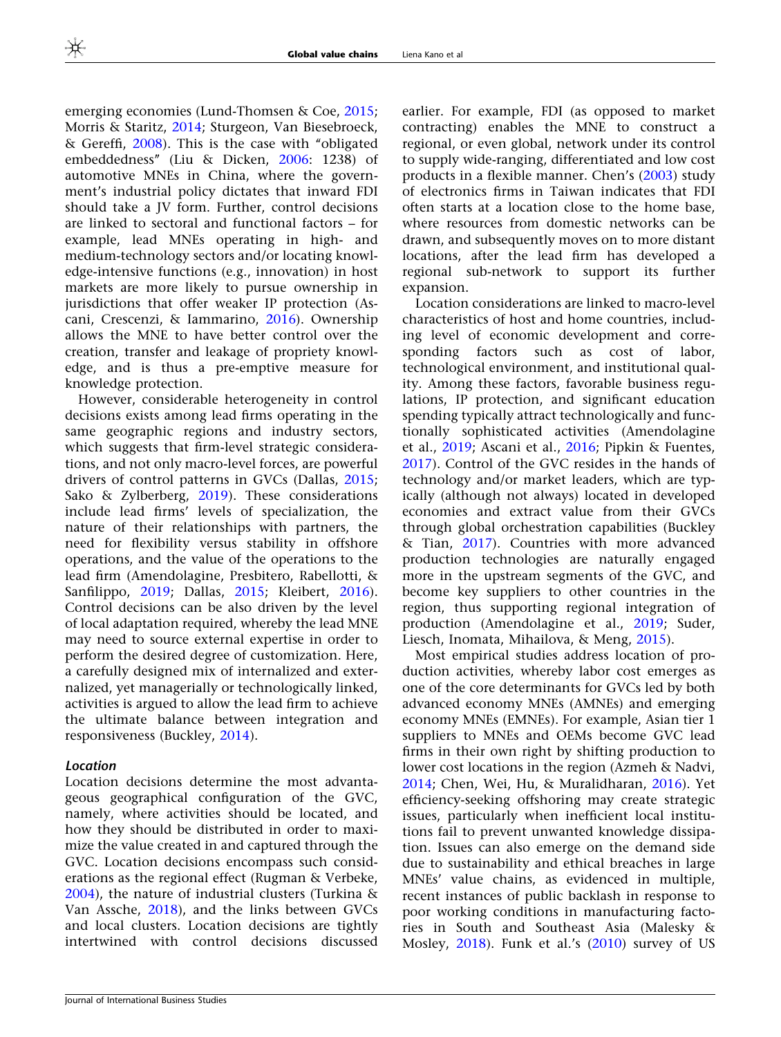emerging economies (Lund-Thomsen & Coe, [2015;](#page-43-0) Morris & Staritz, [2014](#page-43-0); Sturgeon, Van Biesebroeck, & Gereffi, [2008](#page-44-0)). This is the case with ''obligated embeddedness'' (Liu & Dicken, [2006:](#page-43-0) 1238) of automotive MNEs in China, where the government's industrial policy dictates that inward FDI should take a JV form. Further, control decisions are linked to sectoral and functional factors – for example, lead MNEs operating in high- and medium-technology sectors and/or locating knowledge-intensive functions (e.g., innovation) in host markets are more likely to pursue ownership in jurisdictions that offer weaker IP protection (Ascani, Crescenzi, & Iammarino, [2016\)](#page-40-0). Ownership allows the MNE to have better control over the creation, transfer and leakage of propriety knowledge, and is thus a pre-emptive measure for knowledge protection.

However, considerable heterogeneity in control decisions exists among lead firms operating in the same geographic regions and industry sectors, which suggests that firm-level strategic considerations, and not only macro-level forces, are powerful drivers of control patterns in GVCs (Dallas, [2015;](#page-41-0) Sako & Zylberberg, [2019](#page-44-0)). These considerations include lead firms' levels of specialization, the nature of their relationships with partners, the need for flexibility versus stability in offshore operations, and the value of the operations to the lead firm (Amendolagine, Presbitero, Rabellotti, & Sanfilippo, [2019;](#page-40-0) Dallas, [2015;](#page-41-0) Kleibert, [2016\)](#page-43-0). Control decisions can be also driven by the level of local adaptation required, whereby the lead MNE may need to source external expertise in order to perform the desired degree of customization. Here, a carefully designed mix of internalized and externalized, yet managerially or technologically linked, activities is argued to allow the lead firm to achieve the ultimate balance between integration and responsiveness (Buckley, [2014\)](#page-40-0).

#### Location

Location decisions determine the most advantageous geographical configuration of the GVC, namely, where activities should be located, and how they should be distributed in order to maximize the value created in and captured through the GVC. Location decisions encompass such considerations as the regional effect (Rugman & Verbeke,  $2004$ ), the nature of industrial clusters (Turkina & Van Assche, [2018\)](#page-44-0), and the links between GVCs and local clusters. Location decisions are tightly intertwined with control decisions discussed

earlier. For example, FDI (as opposed to market contracting) enables the MNE to construct a regional, or even global, network under its control to supply wide-ranging, differentiated and low cost products in a flexible manner. Chen's ([2003](#page-41-0)) study of electronics firms in Taiwan indicates that FDI often starts at a location close to the home base, where resources from domestic networks can be drawn, and subsequently moves on to more distant locations, after the lead firm has developed a regional sub-network to support its further expansion.

Location considerations are linked to macro-level characteristics of host and home countries, including level of economic development and corresponding factors such as cost of labor, technological environment, and institutional quality. Among these factors, favorable business regulations, IP protection, and significant education spending typically attract technologically and functionally sophisticated activities (Amendolagine et al., [2019](#page-40-0); Ascani et al., [2016;](#page-40-0) Pipkin & Fuentes, [2017\)](#page-43-0). Control of the GVC resides in the hands of technology and/or market leaders, which are typically (although not always) located in developed economies and extract value from their GVCs through global orchestration capabilities (Buckley & Tian, [2017\)](#page-40-0). Countries with more advanced production technologies are naturally engaged more in the upstream segments of the GVC, and become key suppliers to other countries in the region, thus supporting regional integration of production (Amendolagine et al., [2019](#page-40-0); Suder, Liesch, Inomata, Mihailova, & Meng, [2015](#page-44-0)).

Most empirical studies address location of production activities, whereby labor cost emerges as one of the core determinants for GVCs led by both advanced economy MNEs (AMNEs) and emerging economy MNEs (EMNEs). For example, Asian tier 1 suppliers to MNEs and OEMs become GVC lead firms in their own right by shifting production to lower cost locations in the region (Azmeh & Nadvi, [2014;](#page-40-0) Chen, Wei, Hu, & Muralidharan, [2016](#page-41-0)). Yet efficiency-seeking offshoring may create strategic issues, particularly when inefficient local institutions fail to prevent unwanted knowledge dissipation. Issues can also emerge on the demand side due to sustainability and ethical breaches in large MNEs' value chains, as evidenced in multiple, recent instances of public backlash in response to poor working conditions in manufacturing factories in South and Southeast Asia (Malesky & Mosley, [2018\)](#page-43-0). Funk et al.'s ([2010\)](#page-41-0) survey of US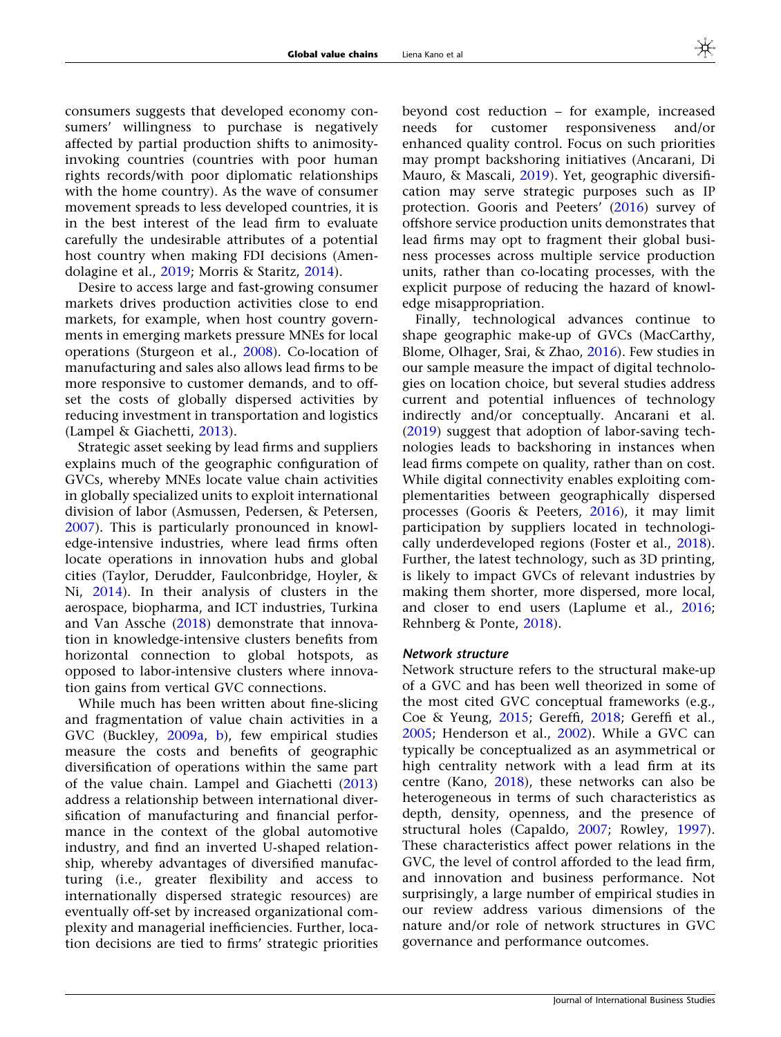consumers suggests that developed economy consumers' willingness to purchase is negatively affected by partial production shifts to animosityinvoking countries (countries with poor human rights records/with poor diplomatic relationships with the home country). As the wave of consumer movement spreads to less developed countries, it is in the best interest of the lead firm to evaluate carefully the undesirable attributes of a potential host country when making FDI decisions (Amendolagine et al., [2019](#page-40-0); Morris & Staritz, [2014](#page-43-0)).

Desire to access large and fast-growing consumer markets drives production activities close to end markets, for example, when host country governments in emerging markets pressure MNEs for local operations (Sturgeon et al., [2008](#page-44-0)). Co-location of manufacturing and sales also allows lead firms to be more responsive to customer demands, and to offset the costs of globally dispersed activities by reducing investment in transportation and logistics (Lampel & Giachetti, [2013\)](#page-43-0).

Strategic asset seeking by lead firms and suppliers explains much of the geographic configuration of GVCs, whereby MNEs locate value chain activities in globally specialized units to exploit international division of labor (Asmussen, Pedersen, & Petersen, [2007\)](#page-40-0). This is particularly pronounced in knowledge-intensive industries, where lead firms often locate operations in innovation hubs and global cities (Taylor, Derudder, Faulconbridge, Hoyler, & Ni, [2014\)](#page-44-0). In their analysis of clusters in the aerospace, biopharma, and ICT industries, Turkina and Van Assche ([2018\)](#page-44-0) demonstrate that innovation in knowledge-intensive clusters benefits from horizontal connection to global hotspots, as opposed to labor-intensive clusters where innovation gains from vertical GVC connections.

While much has been written about fine-slicing and fragmentation of value chain activities in a GVC (Buckley, [2009a,](#page-40-0) [b\)](#page-40-0), few empirical studies measure the costs and benefits of geographic diversification of operations within the same part of the value chain. Lampel and Giachetti ([2013\)](#page-43-0) address a relationship between international diversification of manufacturing and financial performance in the context of the global automotive industry, and find an inverted U-shaped relationship, whereby advantages of diversified manufacturing (i.e., greater flexibility and access to internationally dispersed strategic resources) are eventually off-set by increased organizational complexity and managerial inefficiencies. Further, location decisions are tied to firms' strategic priorities beyond cost reduction – for example, increased needs for customer responsiveness and/or enhanced quality control. Focus on such priorities may prompt backshoring initiatives (Ancarani, Di Mauro, & Mascali, [2019](#page-40-0)). Yet, geographic diversification may serve strategic purposes such as IP protection. Gooris and Peeters' [\(2016](#page-42-0)) survey of offshore service production units demonstrates that lead firms may opt to fragment their global business processes across multiple service production units, rather than co-locating processes, with the explicit purpose of reducing the hazard of knowledge misappropriation.

Finally, technological advances continue to shape geographic make-up of GVCs (MacCarthy, Blome, Olhager, Srai, & Zhao, [2016\)](#page-43-0). Few studies in our sample measure the impact of digital technologies on location choice, but several studies address current and potential influences of technology indirectly and/or conceptually. Ancarani et al. [\(2019](#page-40-0)) suggest that adoption of labor-saving technologies leads to backshoring in instances when lead firms compete on quality, rather than on cost. While digital connectivity enables exploiting complementarities between geographically dispersed processes (Gooris & Peeters, [2016\)](#page-42-0), it may limit participation by suppliers located in technologically underdeveloped regions (Foster et al., [2018](#page-41-0)). Further, the latest technology, such as 3D printing, is likely to impact GVCs of relevant industries by making them shorter, more dispersed, more local, and closer to end users (Laplume et al., [2016;](#page-43-0) Rehnberg & Ponte, [2018](#page-44-0)).

#### Network structure

Network structure refers to the structural make-up of a GVC and has been well theorized in some of the most cited GVC conceptual frameworks (e.g., Coe & Yeung, [2015;](#page-41-0) Gereffi, [2018;](#page-41-0) Gereffi et al., [2005;](#page-42-0) Henderson et al., [2002](#page-42-0)). While a GVC can typically be conceptualized as an asymmetrical or high centrality network with a lead firm at its centre (Kano, [2018](#page-42-0)), these networks can also be heterogeneous in terms of such characteristics as depth, density, openness, and the presence of structural holes (Capaldo, [2007;](#page-40-0) Rowley, [1997](#page-44-0)). These characteristics affect power relations in the GVC, the level of control afforded to the lead firm, and innovation and business performance. Not surprisingly, a large number of empirical studies in our review address various dimensions of the nature and/or role of network structures in GVC governance and performance outcomes.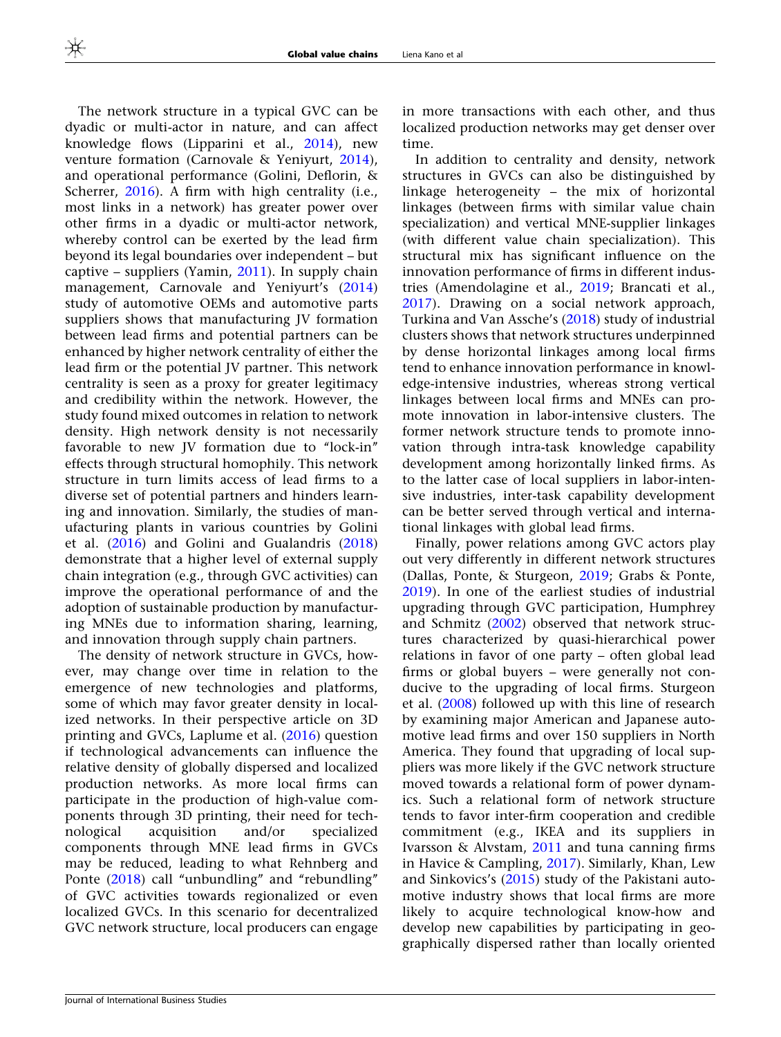The network structure in a typical GVC can be dyadic or multi-actor in nature, and can affect knowledge flows (Lipparini et al., [2014\)](#page-43-0), new venture formation (Carnovale & Yeniyurt, [2014\)](#page-40-0), and operational performance (Golini, Deflorin, & Scherrer, [2016](#page-42-0)). A firm with high centrality (i.e., most links in a network) has greater power over other firms in a dyadic or multi-actor network, whereby control can be exerted by the lead firm beyond its legal boundaries over independent – but captive – suppliers (Yamin, [2011\)](#page-44-0). In supply chain management, Carnovale and Yeniyurt's ([2014\)](#page-40-0) study of automotive OEMs and automotive parts suppliers shows that manufacturing JV formation between lead firms and potential partners can be enhanced by higher network centrality of either the lead firm or the potential JV partner. This network centrality is seen as a proxy for greater legitimacy and credibility within the network. However, the study found mixed outcomes in relation to network density. High network density is not necessarily favorable to new JV formation due to "lock-in" effects through structural homophily. This network structure in turn limits access of lead firms to a diverse set of potential partners and hinders learning and innovation. Similarly, the studies of manufacturing plants in various countries by Golini et al. [\(2016](#page-42-0)) and Golini and Gualandris ([2018\)](#page-42-0) demonstrate that a higher level of external supply chain integration (e.g., through GVC activities) can improve the operational performance of and the adoption of sustainable production by manufacturing MNEs due to information sharing, learning, and innovation through supply chain partners.

The density of network structure in GVCs, however, may change over time in relation to the emergence of new technologies and platforms, some of which may favor greater density in localized networks. In their perspective article on 3D printing and GVCs, Laplume et al. [\(2016](#page-43-0)) question if technological advancements can influence the relative density of globally dispersed and localized production networks. As more local firms can participate in the production of high-value components through 3D printing, their need for technological acquisition and/or specialized components through MNE lead firms in GVCs may be reduced, leading to what Rehnberg and Ponte ([2018\)](#page-44-0) call "unbundling" and "rebundling" of GVC activities towards regionalized or even localized GVCs. In this scenario for decentralized GVC network structure, local producers can engage

in more transactions with each other, and thus localized production networks may get denser over time.

In addition to centrality and density, network structures in GVCs can also be distinguished by linkage heterogeneity – the mix of horizontal linkages (between firms with similar value chain specialization) and vertical MNE-supplier linkages (with different value chain specialization). This structural mix has significant influence on the innovation performance of firms in different industries (Amendolagine et al., [2019](#page-40-0); Brancati et al., [2017\)](#page-40-0). Drawing on a social network approach, Turkina and Van Assche's ([2018\)](#page-44-0) study of industrial clusters shows that network structures underpinned by dense horizontal linkages among local firms tend to enhance innovation performance in knowledge-intensive industries, whereas strong vertical linkages between local firms and MNEs can promote innovation in labor-intensive clusters. The former network structure tends to promote innovation through intra-task knowledge capability development among horizontally linked firms. As to the latter case of local suppliers in labor-intensive industries, inter-task capability development can be better served through vertical and international linkages with global lead firms.

Finally, power relations among GVC actors play out very differently in different network structures (Dallas, Ponte, & Sturgeon, [2019;](#page-41-0) Grabs & Ponte, [2019\)](#page-42-0). In one of the earliest studies of industrial upgrading through GVC participation, Humphrey and Schmitz [\(2002](#page-42-0)) observed that network structures characterized by quasi-hierarchical power relations in favor of one party – often global lead firms or global buyers – were generally not conducive to the upgrading of local firms. Sturgeon et al. [\(2008](#page-44-0)) followed up with this line of research by examining major American and Japanese automotive lead firms and over 150 suppliers in North America. They found that upgrading of local suppliers was more likely if the GVC network structure moved towards a relational form of power dynamics. Such a relational form of network structure tends to favor inter-firm cooperation and credible commitment (e.g., IKEA and its suppliers in Ivarsson & Alvstam, [2011](#page-42-0) and tuna canning firms in Havice & Campling, [2017\)](#page-42-0). Similarly, Khan, Lew and Sinkovics's ([2015](#page-43-0)) study of the Pakistani automotive industry shows that local firms are more likely to acquire technological know-how and develop new capabilities by participating in geographically dispersed rather than locally oriented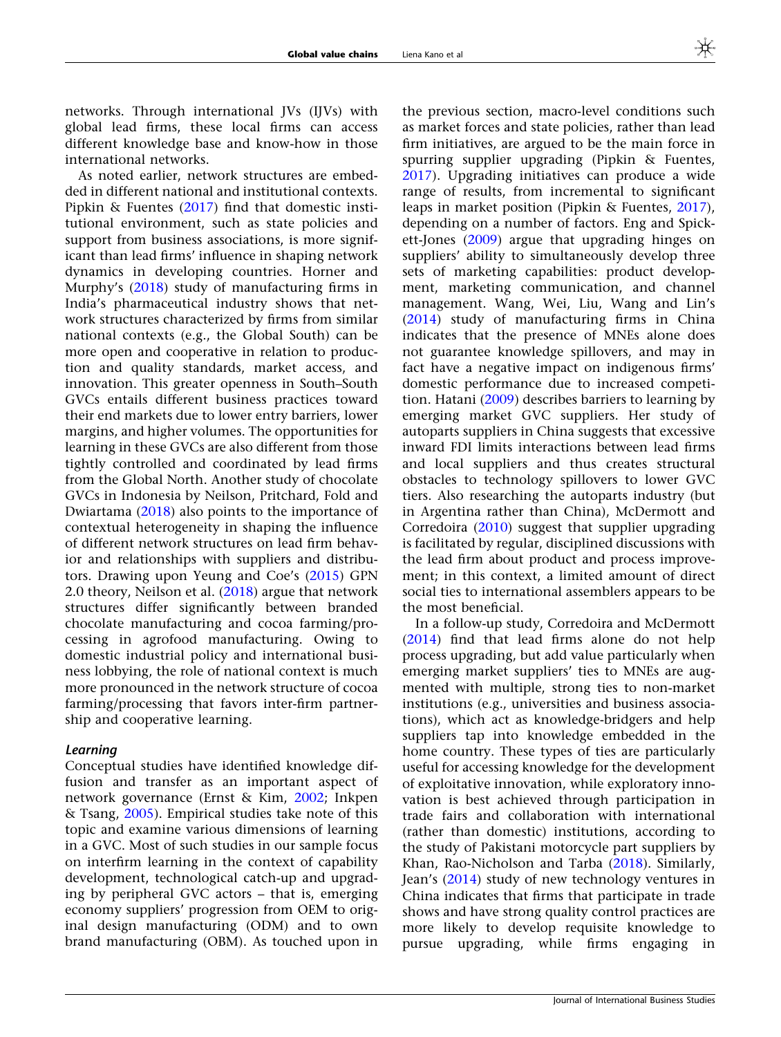networks. Through international JVs (IJVs) with global lead firms, these local firms can access different knowledge base and know-how in those international networks.

As noted earlier, network structures are embedded in different national and institutional contexts. Pipkin & Fuentes [\(2017](#page-43-0)) find that domestic institutional environment, such as state policies and support from business associations, is more significant than lead firms' influence in shaping network dynamics in developing countries. Horner and Murphy's [\(2018](#page-42-0)) study of manufacturing firms in India's pharmaceutical industry shows that network structures characterized by firms from similar national contexts (e.g., the Global South) can be more open and cooperative in relation to production and quality standards, market access, and innovation. This greater openness in South–South GVCs entails different business practices toward their end markets due to lower entry barriers, lower margins, and higher volumes. The opportunities for learning in these GVCs are also different from those tightly controlled and coordinated by lead firms from the Global North. Another study of chocolate GVCs in Indonesia by Neilson, Pritchard, Fold and Dwiartama [\(2018](#page-43-0)) also points to the importance of contextual heterogeneity in shaping the influence of different network structures on lead firm behavior and relationships with suppliers and distributors. Drawing upon Yeung and Coe's [\(2015](#page-45-0)) GPN 2.0 theory, Neilson et al. ([2018](#page-43-0)) argue that network structures differ significantly between branded chocolate manufacturing and cocoa farming/processing in agrofood manufacturing. Owing to domestic industrial policy and international business lobbying, the role of national context is much more pronounced in the network structure of cocoa farming/processing that favors inter-firm partnership and cooperative learning.

#### Learning

Conceptual studies have identified knowledge diffusion and transfer as an important aspect of network governance (Ernst & Kim, [2002](#page-41-0); Inkpen & Tsang, [2005\)](#page-42-0). Empirical studies take note of this topic and examine various dimensions of learning in a GVC. Most of such studies in our sample focus on interfirm learning in the context of capability development, technological catch-up and upgrading by peripheral GVC actors – that is, emerging economy suppliers' progression from OEM to original design manufacturing (ODM) and to own brand manufacturing (OBM). As touched upon in

the previous section, macro-level conditions such as market forces and state policies, rather than lead firm initiatives, are argued to be the main force in spurring supplier upgrading (Pipkin & Fuentes, [2017\)](#page-43-0). Upgrading initiatives can produce a wide range of results, from incremental to significant leaps in market position (Pipkin & Fuentes, [2017](#page-43-0)), depending on a number of factors. Eng and Spickett-Jones ([2009\)](#page-41-0) argue that upgrading hinges on suppliers' ability to simultaneously develop three sets of marketing capabilities: product development, marketing communication, and channel management. Wang, Wei, Liu, Wang and Lin's [\(2014](#page-44-0)) study of manufacturing firms in China indicates that the presence of MNEs alone does not guarantee knowledge spillovers, and may in fact have a negative impact on indigenous firms' domestic performance due to increased competition. Hatani ([2009\)](#page-42-0) describes barriers to learning by emerging market GVC suppliers. Her study of autoparts suppliers in China suggests that excessive inward FDI limits interactions between lead firms and local suppliers and thus creates structural obstacles to technology spillovers to lower GVC tiers. Also researching the autoparts industry (but in Argentina rather than China), McDermott and Corredoira ([2010](#page-43-0)) suggest that supplier upgrading is facilitated by regular, disciplined discussions with the lead firm about product and process improvement; in this context, a limited amount of direct social ties to international assemblers appears to be the most beneficial.

In a follow-up study, Corredoira and McDermott [\(2014](#page-41-0)) find that lead firms alone do not help process upgrading, but add value particularly when emerging market suppliers' ties to MNEs are augmented with multiple, strong ties to non-market institutions (e.g., universities and business associations), which act as knowledge-bridgers and help suppliers tap into knowledge embedded in the home country. These types of ties are particularly useful for accessing knowledge for the development of exploitative innovation, while exploratory innovation is best achieved through participation in trade fairs and collaboration with international (rather than domestic) institutions, according to the study of Pakistani motorcycle part suppliers by Khan, Rao-Nicholson and Tarba ([2018\)](#page-43-0). Similarly, Jean's [\(2014\)](#page-42-0) study of new technology ventures in China indicates that firms that participate in trade shows and have strong quality control practices are more likely to develop requisite knowledge to pursue upgrading, while firms engaging in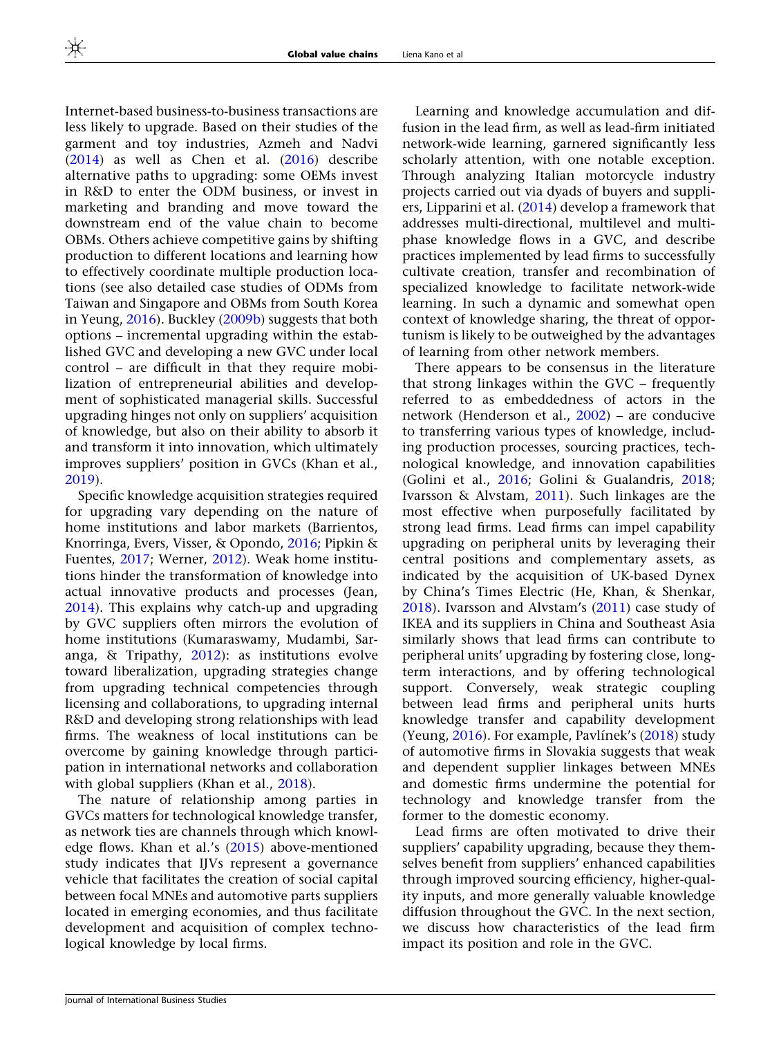Internet-based business-to-business transactions are less likely to upgrade. Based on their studies of the garment and toy industries, Azmeh and Nadvi [\(2014](#page-40-0)) as well as Chen et al. ([2016\)](#page-41-0) describe alternative paths to upgrading: some OEMs invest in R&D to enter the ODM business, or invest in marketing and branding and move toward the downstream end of the value chain to become OBMs. Others achieve competitive gains by shifting production to different locations and learning how to effectively coordinate multiple production locations (see also detailed case studies of ODMs from Taiwan and Singapore and OBMs from South Korea in Yeung, [2016](#page-45-0)). Buckley [\(2009b\)](#page-40-0) suggests that both options – incremental upgrading within the established GVC and developing a new GVC under local control – are difficult in that they require mobilization of entrepreneurial abilities and development of sophisticated managerial skills. Successful upgrading hinges not only on suppliers' acquisition of knowledge, but also on their ability to absorb it and transform it into innovation, which ultimately improves suppliers' position in GVCs (Khan et al., [2019\)](#page-43-0).

Specific knowledge acquisition strategies required for upgrading vary depending on the nature of home institutions and labor markets (Barrientos, Knorringa, Evers, Visser, & Opondo, [2016](#page-40-0); Pipkin & Fuentes, [2017;](#page-43-0) Werner, [2012\)](#page-44-0). Weak home institutions hinder the transformation of knowledge into actual innovative products and processes (Jean, [2014\)](#page-42-0). This explains why catch-up and upgrading by GVC suppliers often mirrors the evolution of home institutions (Kumaraswamy, Mudambi, Saranga, & Tripathy, [2012\)](#page-43-0): as institutions evolve toward liberalization, upgrading strategies change from upgrading technical competencies through licensing and collaborations, to upgrading internal R&D and developing strong relationships with lead firms. The weakness of local institutions can be overcome by gaining knowledge through participation in international networks and collaboration with global suppliers (Khan et al., [2018\)](#page-43-0).

The nature of relationship among parties in GVCs matters for technological knowledge transfer, as network ties are channels through which knowledge flows. Khan et al.'s ([2015](#page-43-0)) above-mentioned study indicates that IJVs represent a governance vehicle that facilitates the creation of social capital between focal MNEs and automotive parts suppliers located in emerging economies, and thus facilitate development and acquisition of complex technological knowledge by local firms.

Learning and knowledge accumulation and diffusion in the lead firm, as well as lead-firm initiated network-wide learning, garnered significantly less scholarly attention, with one notable exception. Through analyzing Italian motorcycle industry projects carried out via dyads of buyers and suppliers, Lipparini et al. ([2014](#page-43-0)) develop a framework that addresses multi-directional, multilevel and multiphase knowledge flows in a GVC, and describe practices implemented by lead firms to successfully cultivate creation, transfer and recombination of specialized knowledge to facilitate network-wide learning. In such a dynamic and somewhat open context of knowledge sharing, the threat of opportunism is likely to be outweighed by the advantages of learning from other network members.

There appears to be consensus in the literature that strong linkages within the GVC – frequently referred to as embeddedness of actors in the network (Henderson et al., [2002](#page-42-0)) – are conducive to transferring various types of knowledge, including production processes, sourcing practices, technological knowledge, and innovation capabilities (Golini et al., [2016;](#page-42-0) Golini & Gualandris, [2018;](#page-42-0) Ivarsson & Alvstam, [2011](#page-42-0)). Such linkages are the most effective when purposefully facilitated by strong lead firms. Lead firms can impel capability upgrading on peripheral units by leveraging their central positions and complementary assets, as indicated by the acquisition of UK-based Dynex by China's Times Electric (He, Khan, & Shenkar, [2018\)](#page-42-0). Ivarsson and Alvstam's ([2011\)](#page-42-0) case study of IKEA and its suppliers in China and Southeast Asia similarly shows that lead firms can contribute to peripheral units' upgrading by fostering close, longterm interactions, and by offering technological support. Conversely, weak strategic coupling between lead firms and peripheral units hurts knowledge transfer and capability development (Yeung,  $2016$ ). For example, Pavlínek's  $(2018)$  $(2018)$  study of automotive firms in Slovakia suggests that weak and dependent supplier linkages between MNEs and domestic firms undermine the potential for technology and knowledge transfer from the former to the domestic economy.

Lead firms are often motivated to drive their suppliers' capability upgrading, because they themselves benefit from suppliers' enhanced capabilities through improved sourcing efficiency, higher-quality inputs, and more generally valuable knowledge diffusion throughout the GVC. In the next section, we discuss how characteristics of the lead firm impact its position and role in the GVC.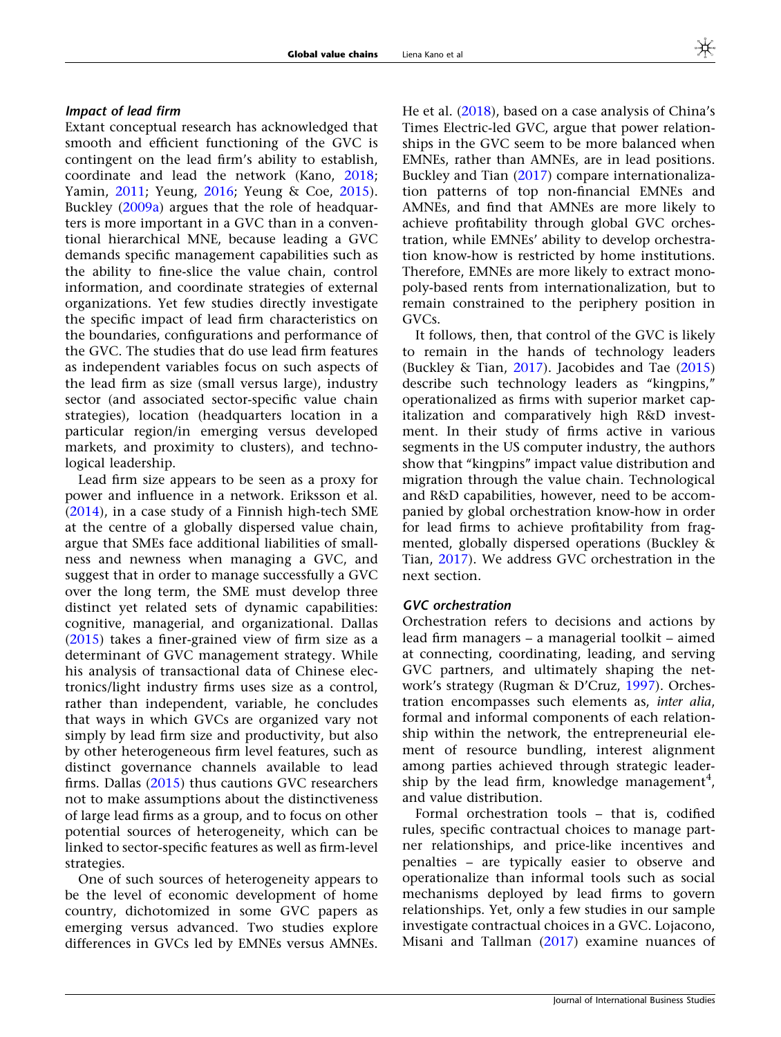## Impact of lead firm

Extant conceptual research has acknowledged that smooth and efficient functioning of the GVC is contingent on the lead firm's ability to establish, coordinate and lead the network (Kano, [2018;](#page-42-0) Yamin, [2011;](#page-44-0) Yeung, [2016](#page-45-0); Yeung & Coe, [2015\)](#page-45-0). Buckley ([2009a\)](#page-40-0) argues that the role of headquarters is more important in a GVC than in a conventional hierarchical MNE, because leading a GVC demands specific management capabilities such as the ability to fine-slice the value chain, control information, and coordinate strategies of external organizations. Yet few studies directly investigate the specific impact of lead firm characteristics on the boundaries, configurations and performance of the GVC. The studies that do use lead firm features as independent variables focus on such aspects of the lead firm as size (small versus large), industry sector (and associated sector-specific value chain strategies), location (headquarters location in a particular region/in emerging versus developed markets, and proximity to clusters), and technological leadership.

Lead firm size appears to be seen as a proxy for power and influence in a network. Eriksson et al. [\(2014](#page-41-0)), in a case study of a Finnish high-tech SME at the centre of a globally dispersed value chain, argue that SMEs face additional liabilities of smallness and newness when managing a GVC, and suggest that in order to manage successfully a GVC over the long term, the SME must develop three distinct yet related sets of dynamic capabilities: cognitive, managerial, and organizational. Dallas [\(2015](#page-41-0)) takes a finer-grained view of firm size as a determinant of GVC management strategy. While his analysis of transactional data of Chinese electronics/light industry firms uses size as a control, rather than independent, variable, he concludes that ways in which GVCs are organized vary not simply by lead firm size and productivity, but also by other heterogeneous firm level features, such as distinct governance channels available to lead firms. Dallas ([2015\)](#page-41-0) thus cautions GVC researchers not to make assumptions about the distinctiveness of large lead firms as a group, and to focus on other potential sources of heterogeneity, which can be linked to sector-specific features as well as firm-level strategies.

One of such sources of heterogeneity appears to be the level of economic development of home country, dichotomized in some GVC papers as emerging versus advanced. Two studies explore differences in GVCs led by EMNEs versus AMNEs.

He et al. ([2018\)](#page-42-0), based on a case analysis of China's Times Electric-led GVC, argue that power relationships in the GVC seem to be more balanced when EMNEs, rather than AMNEs, are in lead positions. Buckley and Tian ([2017\)](#page-40-0) compare internationalization patterns of top non-financial EMNEs and AMNEs, and find that AMNEs are more likely to achieve profitability through global GVC orchestration, while EMNEs' ability to develop orchestration know-how is restricted by home institutions. Therefore, EMNEs are more likely to extract monopoly-based rents from internationalization, but to remain constrained to the periphery position in GVCs.

It follows, then, that control of the GVC is likely to remain in the hands of technology leaders (Buckley & Tian,  $2017$ ). Jacobides and Tae  $(2015)$  $(2015)$ describe such technology leaders as ''kingpins,'' operationalized as firms with superior market capitalization and comparatively high R&D investment. In their study of firms active in various segments in the US computer industry, the authors show that "kingpins" impact value distribution and migration through the value chain. Technological and R&D capabilities, however, need to be accompanied by global orchestration know-how in order for lead firms to achieve profitability from fragmented, globally dispersed operations (Buckley & Tian, [2017](#page-40-0)). We address GVC orchestration in the next section.

#### GVC orchestration

Orchestration refers to decisions and actions by lead firm managers – a managerial toolkit – aimed at connecting, coordinating, leading, and serving GVC partners, and ultimately shaping the network's strategy (Rugman & D'Cruz, [1997\)](#page-44-0). Orchestration encompasses such elements as, inter alia, formal and informal components of each relationship within the network, the entrepreneurial element of resource bundling, interest alignment among parties achieved through strategic leadership by the lead firm, knowledge management<sup>4</sup>, and value distribution.

Formal orchestration tools – that is, codified rules, specific contractual choices to manage partner relationships, and price-like incentives and penalties – are typically easier to observe and operationalize than informal tools such as social mechanisms deployed by lead firms to govern relationships. Yet, only a few studies in our sample investigate contractual choices in a GVC. Lojacono, Misani and Tallman ([2017\)](#page-43-0) examine nuances of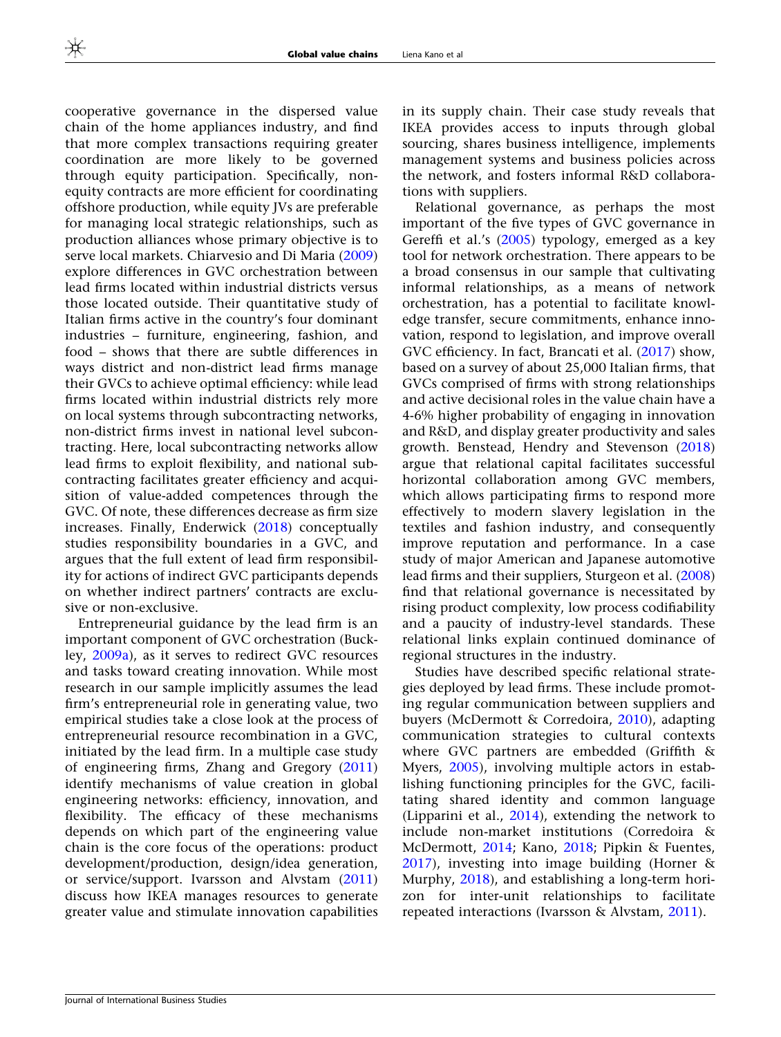cooperative governance in the dispersed value chain of the home appliances industry, and find that more complex transactions requiring greater coordination are more likely to be governed through equity participation. Specifically, nonequity contracts are more efficient for coordinating offshore production, while equity JVs are preferable for managing local strategic relationships, such as production alliances whose primary objective is to serve local markets. Chiarvesio and Di Maria ([2009\)](#page-41-0) explore differences in GVC orchestration between lead firms located within industrial districts versus those located outside. Their quantitative study of Italian firms active in the country's four dominant industries – furniture, engineering, fashion, and food – shows that there are subtle differences in ways district and non-district lead firms manage their GVCs to achieve optimal efficiency: while lead firms located within industrial districts rely more on local systems through subcontracting networks, non-district firms invest in national level subcontracting. Here, local subcontracting networks allow lead firms to exploit flexibility, and national subcontracting facilitates greater efficiency and acquisition of value-added competences through the GVC. Of note, these differences decrease as firm size increases. Finally, Enderwick ([2018\)](#page-41-0) conceptually studies responsibility boundaries in a GVC, and argues that the full extent of lead firm responsibility for actions of indirect GVC participants depends on whether indirect partners' contracts are exclusive or non-exclusive.

Entrepreneurial guidance by the lead firm is an important component of GVC orchestration (Buckley, [2009a](#page-40-0)), as it serves to redirect GVC resources and tasks toward creating innovation. While most research in our sample implicitly assumes the lead firm's entrepreneurial role in generating value, two empirical studies take a close look at the process of entrepreneurial resource recombination in a GVC, initiated by the lead firm. In a multiple case study of engineering firms, Zhang and Gregory ([2011\)](#page-45-0) identify mechanisms of value creation in global engineering networks: efficiency, innovation, and flexibility. The efficacy of these mechanisms depends on which part of the engineering value chain is the core focus of the operations: product development/production, design/idea generation, or service/support. Ivarsson and Alvstam ([2011\)](#page-42-0) discuss how IKEA manages resources to generate greater value and stimulate innovation capabilities

in its supply chain. Their case study reveals that IKEA provides access to inputs through global sourcing, shares business intelligence, implements management systems and business policies across the network, and fosters informal R&D collaborations with suppliers.

Relational governance, as perhaps the most important of the five types of GVC governance in Gereffi et al.'s [\(2005](#page-42-0)) typology, emerged as a key tool for network orchestration. There appears to be a broad consensus in our sample that cultivating informal relationships, as a means of network orchestration, has a potential to facilitate knowledge transfer, secure commitments, enhance innovation, respond to legislation, and improve overall GVC efficiency. In fact, Brancati et al. [\(2017\)](#page-40-0) show, based on a survey of about 25,000 Italian firms, that GVCs comprised of firms with strong relationships and active decisional roles in the value chain have a 4-6% higher probability of engaging in innovation and R&D, and display greater productivity and sales growth. Benstead, Hendry and Stevenson [\(2018](#page-40-0)) argue that relational capital facilitates successful horizontal collaboration among GVC members, which allows participating firms to respond more effectively to modern slavery legislation in the textiles and fashion industry, and consequently improve reputation and performance. In a case study of major American and Japanese automotive lead firms and their suppliers, Sturgeon et al. [\(2008](#page-44-0)) find that relational governance is necessitated by rising product complexity, low process codifiability and a paucity of industry-level standards. These relational links explain continued dominance of regional structures in the industry.

Studies have described specific relational strategies deployed by lead firms. These include promoting regular communication between suppliers and buyers (McDermott & Corredoira, [2010](#page-43-0)), adapting communication strategies to cultural contexts where GVC partners are embedded (Griffith & Myers, [2005\)](#page-42-0), involving multiple actors in establishing functioning principles for the GVC, facilitating shared identity and common language (Lipparini et al., [2014\)](#page-43-0), extending the network to include non-market institutions (Corredoira & McDermott, [2014](#page-41-0); Kano, [2018;](#page-42-0) Pipkin & Fuentes, [2017\)](#page-43-0), investing into image building (Horner & Murphy, [2018\)](#page-42-0), and establishing a long-term horizon for inter-unit relationships to facilitate repeated interactions (Ivarsson  $\&$  Alvstam, [2011\)](#page-42-0).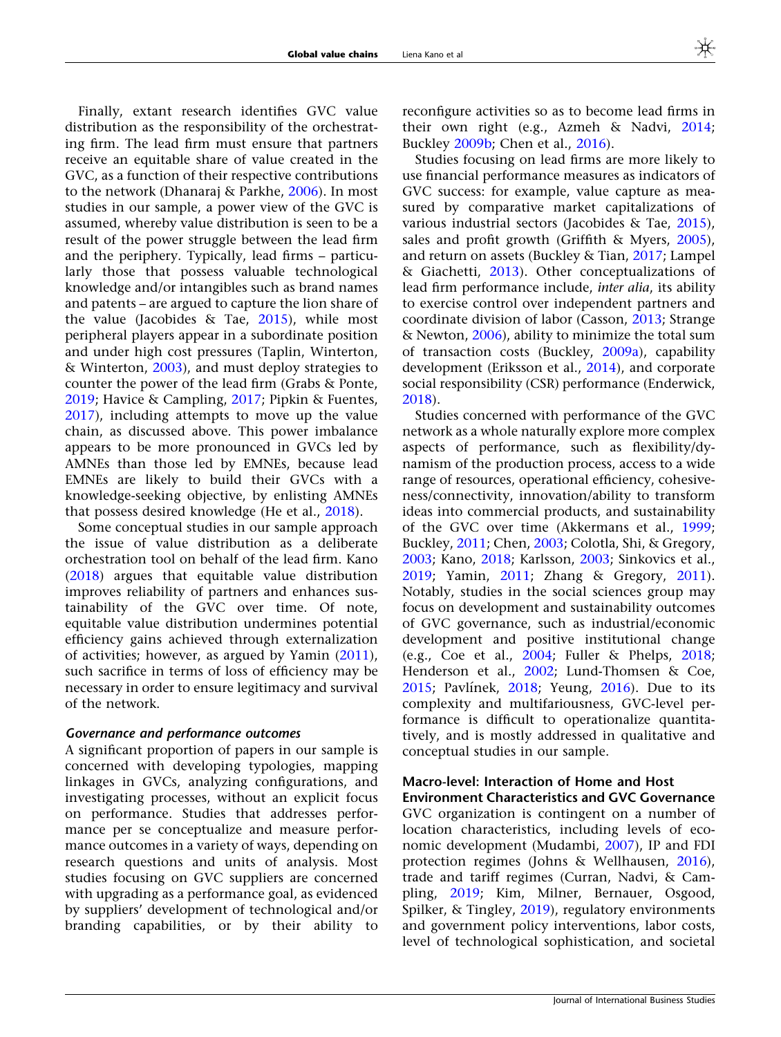Finally, extant research identifies GVC value distribution as the responsibility of the orchestrating firm. The lead firm must ensure that partners receive an equitable share of value created in the GVC, as a function of their respective contributions to the network (Dhanaraj & Parkhe, [2006\)](#page-41-0). In most studies in our sample, a power view of the GVC is assumed, whereby value distribution is seen to be a result of the power struggle between the lead firm and the periphery. Typically, lead firms – particularly those that possess valuable technological knowledge and/or intangibles such as brand names and patents – are argued to capture the lion share of the value (Jacobides & Tae,  $2015$ ), while most peripheral players appear in a subordinate position and under high cost pressures (Taplin, Winterton, & Winterton, [2003](#page-44-0)), and must deploy strategies to counter the power of the lead firm (Grabs & Ponte, [2019;](#page-42-0) Havice & Campling, [2017](#page-42-0); Pipkin & Fuentes, [2017\)](#page-43-0), including attempts to move up the value chain, as discussed above. This power imbalance appears to be more pronounced in GVCs led by AMNEs than those led by EMNEs, because lead EMNEs are likely to build their GVCs with a knowledge-seeking objective, by enlisting AMNEs that possess desired knowledge (He et al., [2018\)](#page-42-0).

Some conceptual studies in our sample approach the issue of value distribution as a deliberate orchestration tool on behalf of the lead firm. Kano [\(2018](#page-42-0)) argues that equitable value distribution improves reliability of partners and enhances sustainability of the GVC over time. Of note, equitable value distribution undermines potential efficiency gains achieved through externalization of activities; however, as argued by Yamin [\(2011\)](#page-44-0), such sacrifice in terms of loss of efficiency may be necessary in order to ensure legitimacy and survival of the network.

## Governance and performance outcomes

A significant proportion of papers in our sample is concerned with developing typologies, mapping linkages in GVCs, analyzing configurations, and investigating processes, without an explicit focus on performance. Studies that addresses performance per se conceptualize and measure performance outcomes in a variety of ways, depending on research questions and units of analysis. Most studies focusing on GVC suppliers are concerned with upgrading as a performance goal, as evidenced by suppliers' development of technological and/or branding capabilities, or by their ability to reconfigure activities so as to become lead firms in their own right (e.g., Azmeh & Nadvi, [2014;](#page-40-0) Buckley [2009b](#page-40-0); Chen et al., [2016\)](#page-41-0).

Studies focusing on lead firms are more likely to use financial performance measures as indicators of GVC success: for example, value capture as measured by comparative market capitalizations of various industrial sectors (Jacobides & Tae, [2015](#page-42-0)), sales and profit growth (Griffith & Myers, [2005](#page-42-0)), and return on assets (Buckley & Tian, [2017;](#page-40-0) Lampel & Giachetti, [2013](#page-43-0)). Other conceptualizations of lead firm performance include, inter alia, its ability to exercise control over independent partners and coordinate division of labor (Casson, [2013](#page-40-0); Strange & Newton, [2006](#page-44-0)), ability to minimize the total sum of transaction costs (Buckley, [2009a](#page-40-0)), capability development (Eriksson et al., [2014](#page-41-0)), and corporate social responsibility (CSR) performance (Enderwick, [2018\)](#page-41-0).

Studies concerned with performance of the GVC network as a whole naturally explore more complex aspects of performance, such as flexibility/dynamism of the production process, access to a wide range of resources, operational efficiency, cohesiveness/connectivity, innovation/ability to transform ideas into commercial products, and sustainability of the GVC over time (Akkermans et al., [1999;](#page-40-0) Buckley, [2011](#page-40-0); Chen, [2003](#page-41-0); Colotla, Shi, & Gregory, [2003;](#page-41-0) Kano, [2018;](#page-42-0) Karlsson, [2003](#page-42-0); Sinkovics et al., [2019;](#page-44-0) Yamin, [2011;](#page-44-0) Zhang & Gregory, [2011](#page-45-0)). Notably, studies in the social sciences group may focus on development and sustainability outcomes of GVC governance, such as industrial/economic development and positive institutional change (e.g., Coe et al., [2004](#page-41-0); Fuller & Phelps, [2018;](#page-41-0) Henderson et al., [2002;](#page-42-0) Lund-Thomsen & Coe, [2015;](#page-43-0) Pavlínek, [2018](#page-43-0); Yeung, [2016](#page-45-0)). Due to its complexity and multifariousness, GVC-level performance is difficult to operationalize quantitatively, and is mostly addressed in qualitative and conceptual studies in our sample.

## Macro-level: Interaction of Home and Host

Environment Characteristics and GVC Governance GVC organization is contingent on a number of location characteristics, including levels of economic development (Mudambi, [2007](#page-43-0)), IP and FDI protection regimes (Johns & Wellhausen, [2016](#page-42-0)), trade and tariff regimes (Curran, Nadvi, & Campling, [2019](#page-41-0); Kim, Milner, Bernauer, Osgood, Spilker, & Tingley, [2019\)](#page-43-0), regulatory environments and government policy interventions, labor costs, level of technological sophistication, and societal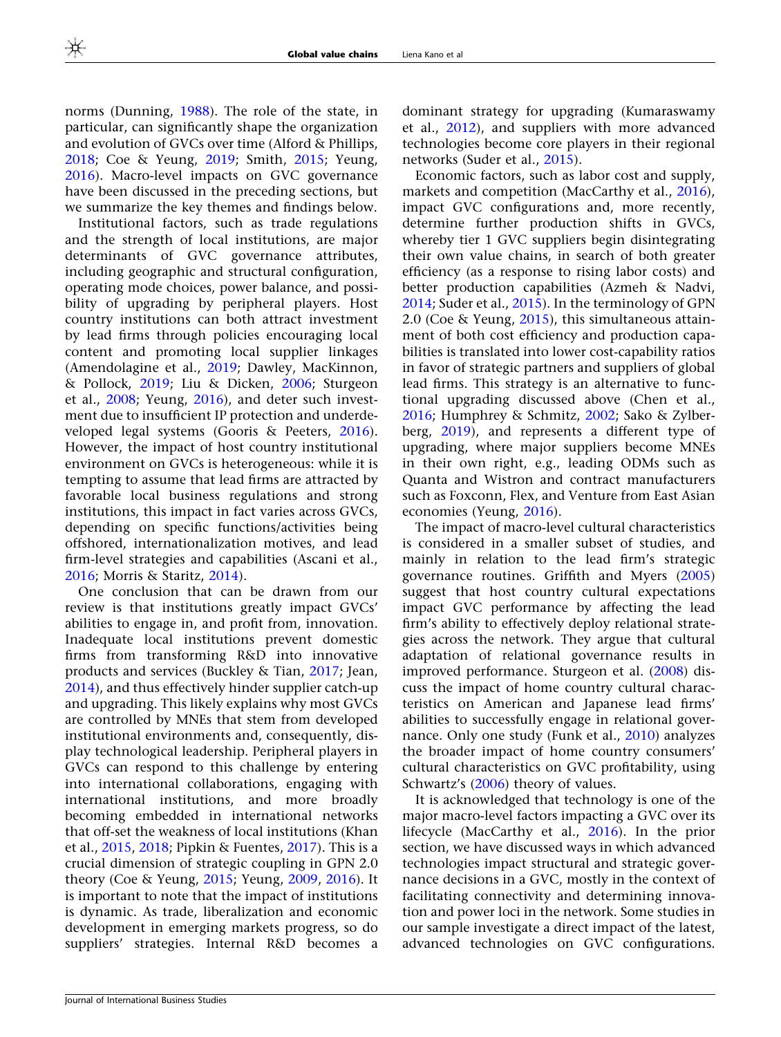norms (Dunning, [1988](#page-41-0)). The role of the state, in particular, can significantly shape the organization and evolution of GVCs over time (Alford & Phillips, [2018;](#page-40-0) Coe & Yeung, [2019;](#page-41-0) Smith, [2015](#page-44-0); Yeung, [2016\)](#page-45-0). Macro-level impacts on GVC governance have been discussed in the preceding sections, but we summarize the key themes and findings below.

Institutional factors, such as trade regulations and the strength of local institutions, are major determinants of GVC governance attributes, including geographic and structural configuration, operating mode choices, power balance, and possibility of upgrading by peripheral players. Host country institutions can both attract investment by lead firms through policies encouraging local content and promoting local supplier linkages (Amendolagine et al., [2019;](#page-40-0) Dawley, MacKinnon, & Pollock, [2019;](#page-41-0) Liu & Dicken, [2006;](#page-43-0) Sturgeon et al., [2008;](#page-44-0) Yeung, [2016\)](#page-45-0), and deter such investment due to insufficient IP protection and underdeveloped legal systems (Gooris & Peeters, [2016\)](#page-42-0). However, the impact of host country institutional environment on GVCs is heterogeneous: while it is tempting to assume that lead firms are attracted by favorable local business regulations and strong institutions, this impact in fact varies across GVCs, depending on specific functions/activities being offshored, internationalization motives, and lead firm-level strategies and capabilities (Ascani et al., [2016;](#page-40-0) Morris & Staritz, [2014](#page-43-0)).

One conclusion that can be drawn from our review is that institutions greatly impact GVCs' abilities to engage in, and profit from, innovation. Inadequate local institutions prevent domestic firms from transforming R&D into innovative products and services (Buckley & Tian, [2017;](#page-40-0) Jean, [2014\)](#page-42-0), and thus effectively hinder supplier catch-up and upgrading. This likely explains why most GVCs are controlled by MNEs that stem from developed institutional environments and, consequently, display technological leadership. Peripheral players in GVCs can respond to this challenge by entering into international collaborations, engaging with international institutions, and more broadly becoming embedded in international networks that off-set the weakness of local institutions (Khan et al., [2015,](#page-43-0) [2018;](#page-43-0) Pipkin & Fuentes, [2017\)](#page-43-0). This is a crucial dimension of strategic coupling in GPN 2.0 theory (Coe & Yeung, [2015](#page-41-0); Yeung, [2009,](#page-44-0) [2016\)](#page-45-0). It is important to note that the impact of institutions is dynamic. As trade, liberalization and economic development in emerging markets progress, so do suppliers' strategies. Internal R&D becomes a

dominant strategy for upgrading (Kumaraswamy et al., [2012](#page-43-0)), and suppliers with more advanced technologies become core players in their regional networks (Suder et al., [2015\)](#page-44-0).

Economic factors, such as labor cost and supply, markets and competition (MacCarthy et al., [2016](#page-43-0)), impact GVC configurations and, more recently, determine further production shifts in GVCs, whereby tier 1 GVC suppliers begin disintegrating their own value chains, in search of both greater efficiency (as a response to rising labor costs) and better production capabilities (Azmeh & Nadvi, [2014;](#page-40-0) Suder et al., [2015\)](#page-44-0). In the terminology of GPN 2.0 (Coe & Yeung, [2015](#page-41-0)), this simultaneous attainment of both cost efficiency and production capabilities is translated into lower cost-capability ratios in favor of strategic partners and suppliers of global lead firms. This strategy is an alternative to functional upgrading discussed above (Chen et al., [2016;](#page-41-0) Humphrey & Schmitz, [2002](#page-42-0); Sako & Zylberberg, [2019](#page-44-0)), and represents a different type of upgrading, where major suppliers become MNEs in their own right, e.g., leading ODMs such as Quanta and Wistron and contract manufacturers such as Foxconn, Flex, and Venture from East Asian economies (Yeung, [2016](#page-45-0)).

The impact of macro-level cultural characteristics is considered in a smaller subset of studies, and mainly in relation to the lead firm's strategic governance routines. Griffith and Myers [\(2005](#page-42-0)) suggest that host country cultural expectations impact GVC performance by affecting the lead firm's ability to effectively deploy relational strategies across the network. They argue that cultural adaptation of relational governance results in improved performance. Sturgeon et al. ([2008\)](#page-44-0) discuss the impact of home country cultural characteristics on American and Japanese lead firms' abilities to successfully engage in relational governance. Only one study (Funk et al., [2010\)](#page-41-0) analyzes the broader impact of home country consumers' cultural characteristics on GVC profitability, using Schwartz's [\(2006](#page-44-0)) theory of values.

It is acknowledged that technology is one of the major macro-level factors impacting a GVC over its lifecycle (MacCarthy et al., [2016\)](#page-43-0). In the prior section, we have discussed ways in which advanced technologies impact structural and strategic governance decisions in a GVC, mostly in the context of facilitating connectivity and determining innovation and power loci in the network. Some studies in our sample investigate a direct impact of the latest, advanced technologies on GVC configurations.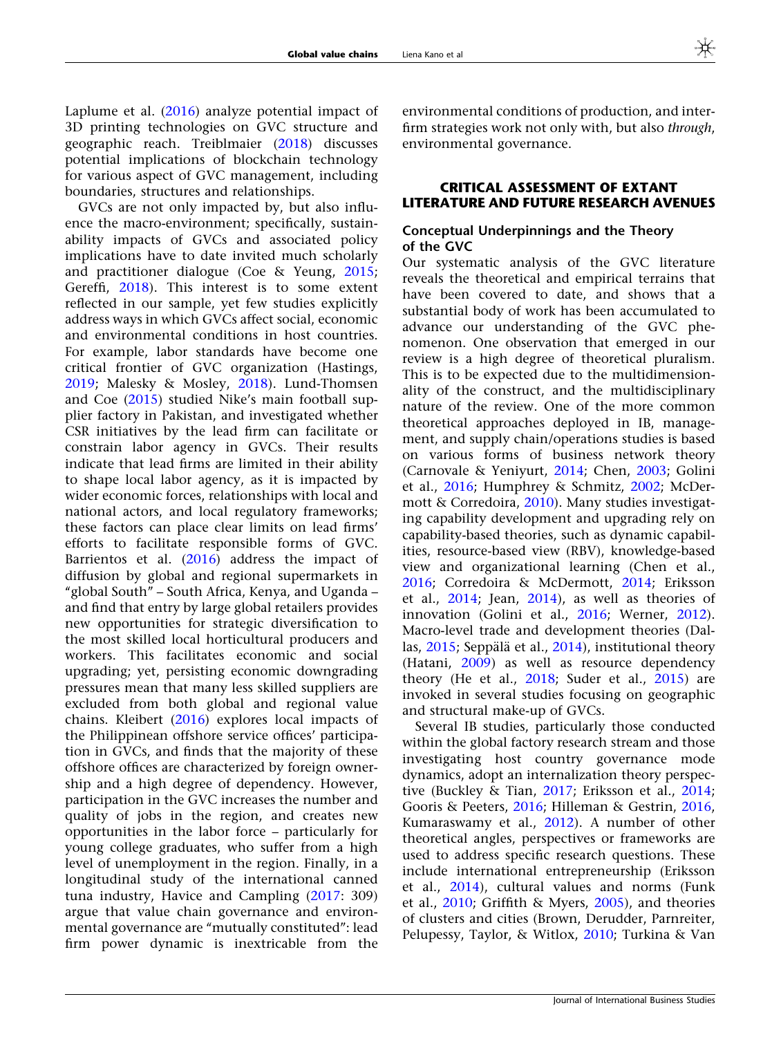Laplume et al. [\(2016](#page-43-0)) analyze potential impact of 3D printing technologies on GVC structure and geographic reach. Treiblmaier [\(2018\)](#page-44-0) discusses potential implications of blockchain technology for various aspect of GVC management, including boundaries, structures and relationships.

GVCs are not only impacted by, but also influence the macro-environment; specifically, sustainability impacts of GVCs and associated policy implications have to date invited much scholarly and practitioner dialogue (Coe & Yeung, [2015;](#page-41-0) Gereffi, [2018\)](#page-41-0). This interest is to some extent reflected in our sample, yet few studies explicitly address ways in which GVCs affect social, economic and environmental conditions in host countries. For example, labor standards have become one critical frontier of GVC organization (Hastings, [2019;](#page-42-0) Malesky & Mosley, [2018](#page-43-0)). Lund-Thomsen and Coe ([2015\)](#page-43-0) studied Nike's main football supplier factory in Pakistan, and investigated whether CSR initiatives by the lead firm can facilitate or constrain labor agency in GVCs. Their results indicate that lead firms are limited in their ability to shape local labor agency, as it is impacted by wider economic forces, relationships with local and national actors, and local regulatory frameworks; these factors can place clear limits on lead firms' efforts to facilitate responsible forms of GVC. Barrientos et al. ([2016\)](#page-40-0) address the impact of diffusion by global and regional supermarkets in ''global South'' – South Africa, Kenya, and Uganda – and find that entry by large global retailers provides new opportunities for strategic diversification to the most skilled local horticultural producers and workers. This facilitates economic and social upgrading; yet, persisting economic downgrading pressures mean that many less skilled suppliers are excluded from both global and regional value chains. Kleibert ([2016](#page-43-0)) explores local impacts of the Philippinean offshore service offices' participation in GVCs, and finds that the majority of these offshore offices are characterized by foreign ownership and a high degree of dependency. However, participation in the GVC increases the number and quality of jobs in the region, and creates new opportunities in the labor force – particularly for young college graduates, who suffer from a high level of unemployment in the region. Finally, in a longitudinal study of the international canned tuna industry, Havice and Campling ([2017:](#page-42-0) 309) argue that value chain governance and environmental governance are ''mutually constituted'': lead firm power dynamic is inextricable from the

environmental conditions of production, and interfirm strategies work not only with, but also through, environmental governance.

## CRITICAL ASSESSMENT OF EXTANT LITERATURE AND FUTURE RESEARCH AVENUES

## Conceptual Underpinnings and the Theory of the GVC

Our systematic analysis of the GVC literature reveals the theoretical and empirical terrains that have been covered to date, and shows that a substantial body of work has been accumulated to advance our understanding of the GVC phenomenon. One observation that emerged in our review is a high degree of theoretical pluralism. This is to be expected due to the multidimensionality of the construct, and the multidisciplinary nature of the review. One of the more common theoretical approaches deployed in IB, management, and supply chain/operations studies is based on various forms of business network theory (Carnovale & Yeniyurt, [2014](#page-40-0); Chen, [2003;](#page-41-0) Golini et al., [2016](#page-42-0); Humphrey & Schmitz, [2002;](#page-42-0) McDermott & Corredoira, [2010\)](#page-43-0). Many studies investigating capability development and upgrading rely on capability-based theories, such as dynamic capabilities, resource-based view (RBV), knowledge-based view and organizational learning (Chen et al., [2016;](#page-41-0) Corredoira & McDermott, [2014](#page-41-0); Eriksson et al., [2014](#page-41-0); Jean, [2014](#page-42-0)), as well as theories of innovation (Golini et al., [2016](#page-42-0); Werner, [2012](#page-44-0)). Macro-level trade and development theories (Dallas,  $2015$ ; Seppälä et al.,  $2014$ ), institutional theory (Hatani, [2009\)](#page-42-0) as well as resource dependency theory (He et al., [2018;](#page-42-0) Suder et al., [2015](#page-44-0)) are invoked in several studies focusing on geographic and structural make-up of GVCs.

Several IB studies, particularly those conducted within the global factory research stream and those investigating host country governance mode dynamics, adopt an internalization theory perspective (Buckley & Tian, [2017](#page-40-0); Eriksson et al., [2014;](#page-41-0) Gooris & Peeters, [2016](#page-42-0); Hilleman & Gestrin, [2016,](#page-42-0) Kumaraswamy et al., [2012](#page-43-0)). A number of other theoretical angles, perspectives or frameworks are used to address specific research questions. These include international entrepreneurship (Eriksson et al., [2014](#page-41-0)), cultural values and norms (Funk et al., [2010;](#page-41-0) Griffith & Myers, [2005](#page-42-0)), and theories of clusters and cities (Brown, Derudder, Parnreiter, Pelupessy, Taylor, & Witlox, [2010](#page-40-0); Turkina & Van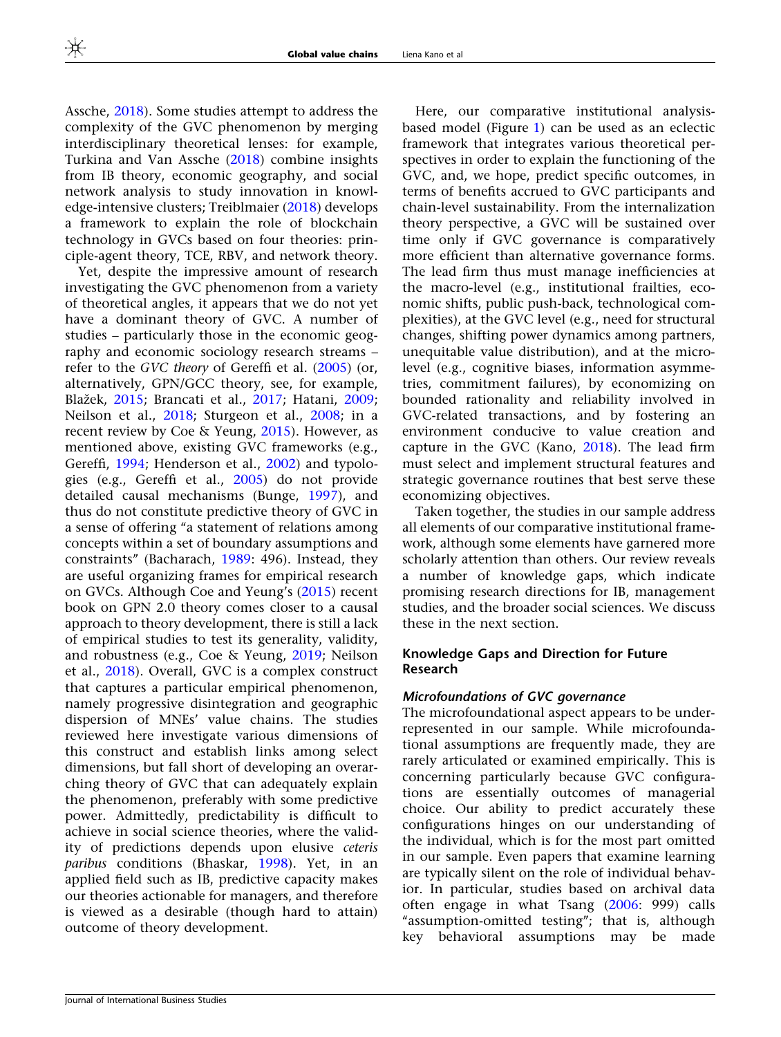Assche, [2018\)](#page-44-0). Some studies attempt to address the complexity of the GVC phenomenon by merging interdisciplinary theoretical lenses: for example, Turkina and Van Assche ([2018](#page-44-0)) combine insights from IB theory, economic geography, and social network analysis to study innovation in knowledge-intensive clusters; Treiblmaier ([2018\)](#page-44-0) develops a framework to explain the role of blockchain technology in GVCs based on four theories: principle-agent theory, TCE, RBV, and network theory.

Yet, despite the impressive amount of research investigating the GVC phenomenon from a variety of theoretical angles, it appears that we do not yet have a dominant theory of GVC. A number of studies – particularly those in the economic geography and economic sociology research streams – refer to the GVC theory of Gereffi et al. [\(2005\)](#page-42-0) (or, alternatively, GPN/GCC theory, see, for example, Blažek, [2015;](#page-40-0) Brancati et al., [2017;](#page-40-0) Hatani, [2009;](#page-42-0) Neilson et al., [2018](#page-43-0); Sturgeon et al., [2008;](#page-44-0) in a recent review by Coe & Yeung, [2015](#page-41-0)). However, as mentioned above, existing GVC frameworks (e.g., Gereffi, [1994;](#page-41-0) Henderson et al., [2002\)](#page-42-0) and typologies (e.g., Gereffi et al., [2005\)](#page-42-0) do not provide detailed causal mechanisms (Bunge, [1997\)](#page-40-0), and thus do not constitute predictive theory of GVC in a sense of offering "a statement of relations among concepts within a set of boundary assumptions and constraints'' (Bacharach, [1989:](#page-40-0) 496). Instead, they are useful organizing frames for empirical research on GVCs. Although Coe and Yeung's ([2015\)](#page-41-0) recent book on GPN 2.0 theory comes closer to a causal approach to theory development, there is still a lack of empirical studies to test its generality, validity, and robustness (e.g., Coe & Yeung, [2019;](#page-41-0) Neilson et al., [2018](#page-43-0)). Overall, GVC is a complex construct that captures a particular empirical phenomenon, namely progressive disintegration and geographic dispersion of MNEs' value chains. The studies reviewed here investigate various dimensions of this construct and establish links among select dimensions, but fall short of developing an overarching theory of GVC that can adequately explain the phenomenon, preferably with some predictive power. Admittedly, predictability is difficult to achieve in social science theories, where the validity of predictions depends upon elusive ceteris paribus conditions (Bhaskar, [1998\)](#page-40-0). Yet, in an applied field such as IB, predictive capacity makes our theories actionable for managers, and therefore is viewed as a desirable (though hard to attain) outcome of theory development.

Here, our comparative institutional analysisbased model (Figure [1](#page-7-0)) can be used as an eclectic framework that integrates various theoretical perspectives in order to explain the functioning of the GVC, and, we hope, predict specific outcomes, in terms of benefits accrued to GVC participants and chain-level sustainability. From the internalization theory perspective, a GVC will be sustained over time only if GVC governance is comparatively more efficient than alternative governance forms. The lead firm thus must manage inefficiencies at the macro-level (e.g., institutional frailties, economic shifts, public push-back, technological complexities), at the GVC level (e.g., need for structural changes, shifting power dynamics among partners, unequitable value distribution), and at the microlevel (e.g., cognitive biases, information asymmetries, commitment failures), by economizing on bounded rationality and reliability involved in GVC-related transactions, and by fostering an environment conducive to value creation and capture in the GVC (Kano, [2018\)](#page-42-0). The lead firm must select and implement structural features and strategic governance routines that best serve these economizing objectives.

Taken together, the studies in our sample address all elements of our comparative institutional framework, although some elements have garnered more scholarly attention than others. Our review reveals a number of knowledge gaps, which indicate promising research directions for IB, management studies, and the broader social sciences. We discuss these in the next section.

## Knowledge Gaps and Direction for Future Research

#### Microfoundations of GVC governance

The microfoundational aspect appears to be underrepresented in our sample. While microfoundational assumptions are frequently made, they are rarely articulated or examined empirically. This is concerning particularly because GVC configurations are essentially outcomes of managerial choice. Our ability to predict accurately these configurations hinges on our understanding of the individual, which is for the most part omitted in our sample. Even papers that examine learning are typically silent on the role of individual behavior. In particular, studies based on archival data often engage in what Tsang [\(2006](#page-44-0): 999) calls "assumption-omitted testing"; that is, although key behavioral assumptions may be made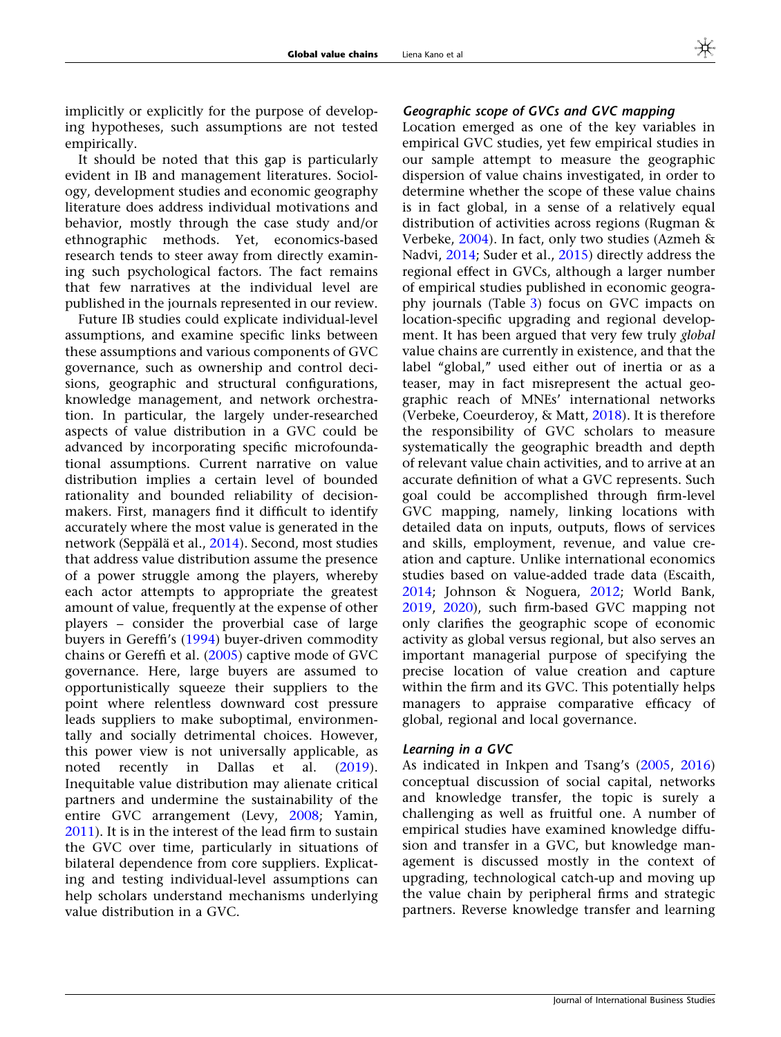implicitly or explicitly for the purpose of developing hypotheses, such assumptions are not tested empirically.

It should be noted that this gap is particularly evident in IB and management literatures. Sociology, development studies and economic geography literature does address individual motivations and behavior, mostly through the case study and/or ethnographic methods. Yet, economics-based research tends to steer away from directly examining such psychological factors. The fact remains that few narratives at the individual level are published in the journals represented in our review.

Future IB studies could explicate individual-level assumptions, and examine specific links between these assumptions and various components of GVC governance, such as ownership and control decisions, geographic and structural configurations, knowledge management, and network orchestration. In particular, the largely under-researched aspects of value distribution in a GVC could be advanced by incorporating specific microfoundational assumptions. Current narrative on value distribution implies a certain level of bounded rationality and bounded reliability of decisionmakers. First, managers find it difficult to identify accurately where the most value is generated in the network (Seppälä et al., [2014\)](#page-44-0). Second, most studies that address value distribution assume the presence of a power struggle among the players, whereby each actor attempts to appropriate the greatest amount of value, frequently at the expense of other players – consider the proverbial case of large buyers in Gereffi's ([1994](#page-41-0)) buyer-driven commodity chains or Gereffi et al. ([2005\)](#page-42-0) captive mode of GVC governance. Here, large buyers are assumed to opportunistically squeeze their suppliers to the point where relentless downward cost pressure leads suppliers to make suboptimal, environmentally and socially detrimental choices. However, this power view is not universally applicable, as noted recently in Dallas et al. [\(2019\)](#page-41-0). Inequitable value distribution may alienate critical partners and undermine the sustainability of the entire GVC arrangement (Levy, [2008;](#page-43-0) Yamin, [2011\)](#page-44-0). It is in the interest of the lead firm to sustain the GVC over time, particularly in situations of bilateral dependence from core suppliers. Explicating and testing individual-level assumptions can help scholars understand mechanisms underlying value distribution in a GVC.

## Geographic scope of GVCs and GVC mapping

Location emerged as one of the key variables in empirical GVC studies, yet few empirical studies in our sample attempt to measure the geographic dispersion of value chains investigated, in order to determine whether the scope of these value chains is in fact global, in a sense of a relatively equal distribution of activities across regions (Rugman & Verbeke, [2004\)](#page-44-0). In fact, only two studies (Azmeh & Nadvi, [2014](#page-40-0); Suder et al., [2015](#page-44-0)) directly address the regional effect in GVCs, although a larger number of empirical studies published in economic geography journals (Table [3](#page-9-0)) focus on GVC impacts on location-specific upgrading and regional development. It has been argued that very few truly global value chains are currently in existence, and that the label "global," used either out of inertia or as a teaser, may in fact misrepresent the actual geographic reach of MNEs' international networks (Verbeke, Coeurderoy, & Matt, [2018\)](#page-44-0). It is therefore the responsibility of GVC scholars to measure systematically the geographic breadth and depth of relevant value chain activities, and to arrive at an accurate definition of what a GVC represents. Such goal could be accomplished through firm-level GVC mapping, namely, linking locations with detailed data on inputs, outputs, flows of services and skills, employment, revenue, and value creation and capture. Unlike international economics studies based on value-added trade data (Escaith, [2014;](#page-41-0) Johnson & Noguera, [2012](#page-42-0); World Bank, [2019,](#page-44-0) [2020\)](#page-44-0), such firm-based GVC mapping not only clarifies the geographic scope of economic activity as global versus regional, but also serves an important managerial purpose of specifying the precise location of value creation and capture within the firm and its GVC. This potentially helps managers to appraise comparative efficacy of global, regional and local governance.

#### Learning in a GVC

As indicated in Inkpen and Tsang's ([2005](#page-42-0), [2016](#page-42-0)) conceptual discussion of social capital, networks and knowledge transfer, the topic is surely a challenging as well as fruitful one. A number of empirical studies have examined knowledge diffusion and transfer in a GVC, but knowledge management is discussed mostly in the context of upgrading, technological catch-up and moving up the value chain by peripheral firms and strategic partners. Reverse knowledge transfer and learning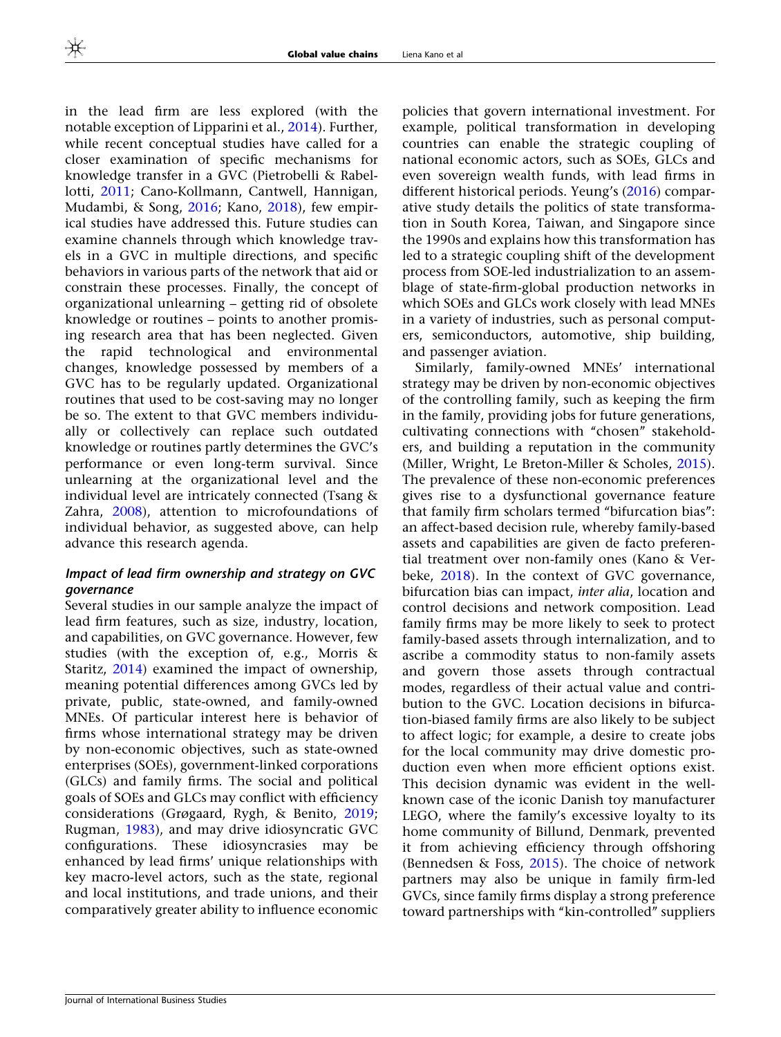in the lead firm are less explored (with the notable exception of Lipparini et al., [2014](#page-43-0)). Further, while recent conceptual studies have called for a closer examination of specific mechanisms for knowledge transfer in a GVC (Pietrobelli & Rabellotti, [2011;](#page-43-0) Cano-Kollmann, Cantwell, Hannigan, Mudambi, & Song, [2016](#page-40-0); Kano, [2018](#page-42-0)), few empirical studies have addressed this. Future studies can examine channels through which knowledge travels in a GVC in multiple directions, and specific behaviors in various parts of the network that aid or constrain these processes. Finally, the concept of organizational unlearning – getting rid of obsolete knowledge or routines – points to another promising research area that has been neglected. Given the rapid technological and environmental changes, knowledge possessed by members of a GVC has to be regularly updated. Organizational routines that used to be cost-saving may no longer be so. The extent to that GVC members individually or collectively can replace such outdated knowledge or routines partly determines the GVC's performance or even long-term survival. Since unlearning at the organizational level and the individual level are intricately connected (Tsang & Zahra, [2008\)](#page-44-0), attention to microfoundations of individual behavior, as suggested above, can help advance this research agenda.

## Impact of lead firm ownership and strategy on GVC governance

Several studies in our sample analyze the impact of lead firm features, such as size, industry, location, and capabilities, on GVC governance. However, few studies (with the exception of, e.g., Morris & Staritz, [2014\)](#page-43-0) examined the impact of ownership, meaning potential differences among GVCs led by private, public, state-owned, and family-owned MNEs. Of particular interest here is behavior of firms whose international strategy may be driven by non-economic objectives, such as state-owned enterprises (SOEs), government-linked corporations (GLCs) and family firms. The social and political goals of SOEs and GLCs may conflict with efficiency considerations (Grøgaard, Rygh, & Benito, [2019;](#page-42-0) Rugman, [1983](#page-44-0)), and may drive idiosyncratic GVC configurations. These idiosyncrasies may be enhanced by lead firms' unique relationships with key macro-level actors, such as the state, regional and local institutions, and trade unions, and their comparatively greater ability to influence economic

policies that govern international investment. For example, political transformation in developing countries can enable the strategic coupling of national economic actors, such as SOEs, GLCs and even sovereign wealth funds, with lead firms in different historical periods. Yeung's ([2016\)](#page-45-0) comparative study details the politics of state transformation in South Korea, Taiwan, and Singapore since the 1990s and explains how this transformation has led to a strategic coupling shift of the development process from SOE-led industrialization to an assemblage of state-firm-global production networks in which SOEs and GLCs work closely with lead MNEs in a variety of industries, such as personal computers, semiconductors, automotive, ship building, and passenger aviation.

Similarly, family-owned MNEs' international strategy may be driven by non-economic objectives of the controlling family, such as keeping the firm in the family, providing jobs for future generations, cultivating connections with "chosen" stakeholders, and building a reputation in the community (Miller, Wright, Le Breton-Miller & Scholes, [2015](#page-43-0)). The prevalence of these non-economic preferences gives rise to a dysfunctional governance feature that family firm scholars termed "bifurcation bias": an affect-based decision rule, whereby family-based assets and capabilities are given de facto preferential treatment over non-family ones (Kano & Verbeke, [2018](#page-42-0)). In the context of GVC governance, bifurcation bias can impact, inter alia, location and control decisions and network composition. Lead family firms may be more likely to seek to protect family-based assets through internalization, and to ascribe a commodity status to non-family assets and govern those assets through contractual modes, regardless of their actual value and contribution to the GVC. Location decisions in bifurcation-biased family firms are also likely to be subject to affect logic; for example, a desire to create jobs for the local community may drive domestic production even when more efficient options exist. This decision dynamic was evident in the wellknown case of the iconic Danish toy manufacturer LEGO, where the family's excessive loyalty to its home community of Billund, Denmark, prevented it from achieving efficiency through offshoring (Bennedsen & Foss, [2015\)](#page-40-0). The choice of network partners may also be unique in family firm-led GVCs, since family firms display a strong preference toward partnerships with ''kin-controlled'' suppliers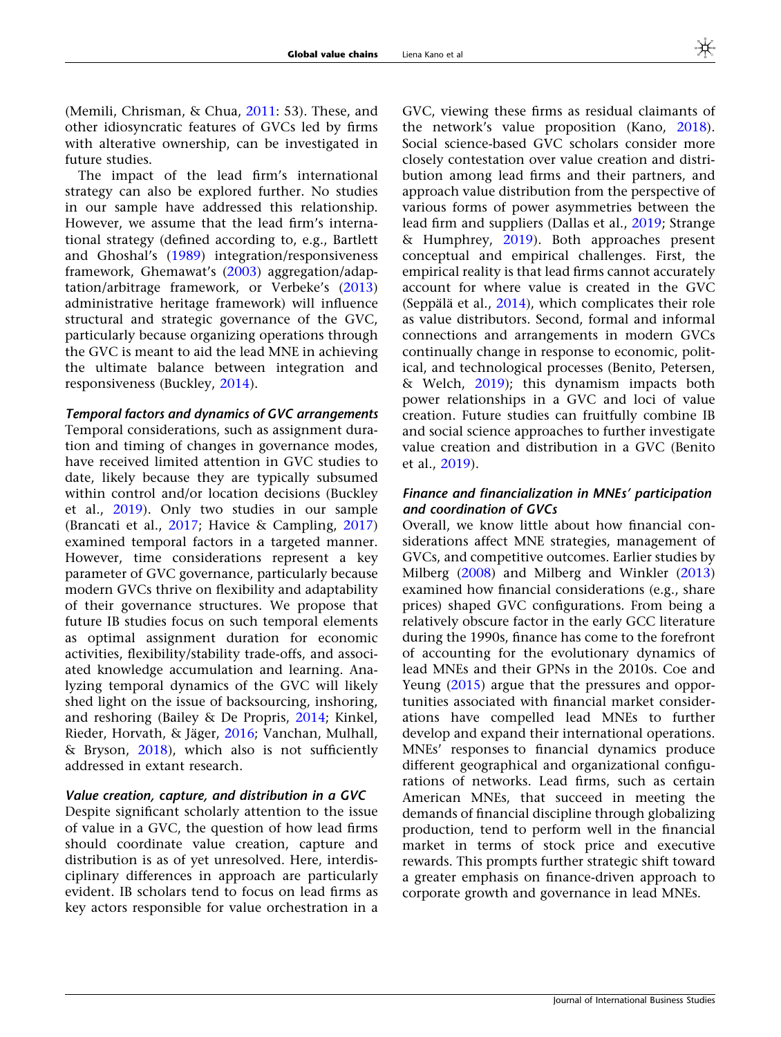(Memili, Chrisman, & Chua, [2011:](#page-43-0) 53). These, and other idiosyncratic features of GVCs led by firms with alterative ownership, can be investigated in future studies.

The impact of the lead firm's international strategy can also be explored further. No studies in our sample have addressed this relationship. However, we assume that the lead firm's international strategy (defined according to, e.g., Bartlett and Ghoshal's ([1989](#page-40-0)) integration/responsiveness framework, Ghemawat's [\(2003](#page-42-0)) aggregation/adaptation/arbitrage framework, or Verbeke's ([2013\)](#page-44-0) administrative heritage framework) will influence structural and strategic governance of the GVC, particularly because organizing operations through the GVC is meant to aid the lead MNE in achieving the ultimate balance between integration and responsiveness (Buckley, [2014\)](#page-40-0).

#### Temporal factors and dynamics of GVC arrangements

Temporal considerations, such as assignment duration and timing of changes in governance modes, have received limited attention in GVC studies to date, likely because they are typically subsumed within control and/or location decisions (Buckley et al., [2019](#page-40-0)). Only two studies in our sample (Brancati et al., [2017](#page-40-0); Havice & Campling, [2017\)](#page-42-0) examined temporal factors in a targeted manner. However, time considerations represent a key parameter of GVC governance, particularly because modern GVCs thrive on flexibility and adaptability of their governance structures. We propose that future IB studies focus on such temporal elements as optimal assignment duration for economic activities, flexibility/stability trade-offs, and associated knowledge accumulation and learning. Analyzing temporal dynamics of the GVC will likely shed light on the issue of backsourcing, inshoring, and reshoring (Bailey & De Propris, [2014](#page-40-0); Kinkel, Rieder, Horvath, & Jäger, [2016](#page-43-0); Vanchan, Mulhall, & Bryson, [2018](#page-44-0)), which also is not sufficiently addressed in extant research.

#### Value creation, capture, and distribution in a GVC

Despite significant scholarly attention to the issue of value in a GVC, the question of how lead firms should coordinate value creation, capture and distribution is as of yet unresolved. Here, interdisciplinary differences in approach are particularly evident. IB scholars tend to focus on lead firms as key actors responsible for value orchestration in a

GVC, viewing these firms as residual claimants of the network's value proposition (Kano, [2018](#page-42-0)). Social science-based GVC scholars consider more closely contestation over value creation and distribution among lead firms and their partners, and approach value distribution from the perspective of various forms of power asymmetries between the lead firm and suppliers (Dallas et al., [2019;](#page-41-0) Strange & Humphrey, [2019\)](#page-44-0). Both approaches present conceptual and empirical challenges. First, the empirical reality is that lead firms cannot accurately account for where value is created in the GVC (Seppälä et al.,  $2014$ ), which complicates their role as value distributors. Second, formal and informal connections and arrangements in modern GVCs continually change in response to economic, political, and technological processes (Benito, Petersen, & Welch, [2019](#page-40-0)); this dynamism impacts both power relationships in a GVC and loci of value creation. Future studies can fruitfully combine IB and social science approaches to further investigate value creation and distribution in a GVC (Benito et al., [2019](#page-40-0)).

## Finance and financialization in MNEs' participation and coordination of GVCs

Overall, we know little about how financial considerations affect MNE strategies, management of GVCs, and competitive outcomes. Earlier studies by Milberg ([2008\)](#page-43-0) and Milberg and Winkler [\(2013](#page-43-0)) examined how financial considerations (e.g., share prices) shaped GVC configurations. From being a relatively obscure factor in the early GCC literature during the 1990s, finance has come to the forefront of accounting for the evolutionary dynamics of lead MNEs and their GPNs in the 2010s. Coe and Yeung [\(2015\)](#page-41-0) argue that the pressures and opportunities associated with financial market considerations have compelled lead MNEs to further develop and expand their international operations. MNEs' responses to financial dynamics produce different geographical and organizational configurations of networks. Lead firms, such as certain American MNEs, that succeed in meeting the demands of financial discipline through globalizing production, tend to perform well in the financial market in terms of stock price and executive rewards. This prompts further strategic shift toward a greater emphasis on finance-driven approach to corporate growth and governance in lead MNEs.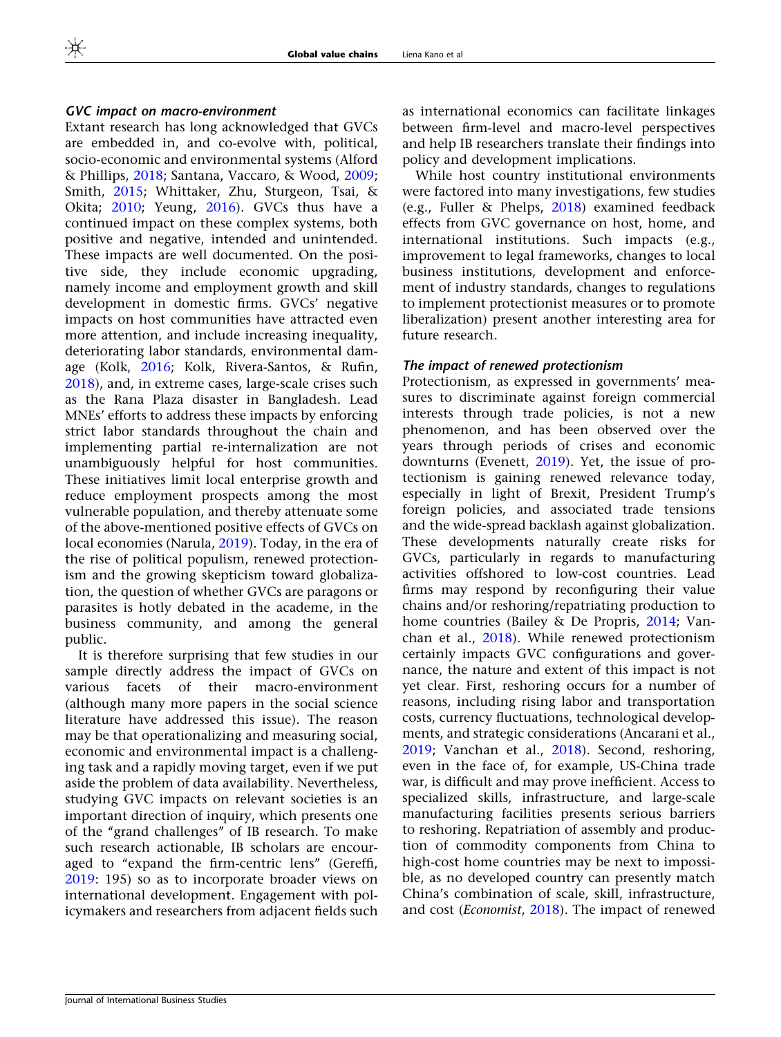Extant research has long acknowledged that GVCs are embedded in, and co-evolve with, political, socio-economic and environmental systems (Alford & Phillips, [2018;](#page-40-0) Santana, Vaccaro, & Wood, [2009;](#page-44-0) Smith, [2015](#page-44-0); Whittaker, Zhu, Sturgeon, Tsai, & Okita; [2010;](#page-44-0) Yeung, [2016\)](#page-45-0). GVCs thus have a continued impact on these complex systems, both positive and negative, intended and unintended. These impacts are well documented. On the positive side, they include economic upgrading, namely income and employment growth and skill development in domestic firms. GVCs' negative impacts on host communities have attracted even more attention, and include increasing inequality, deteriorating labor standards, environmental damage (Kolk, [2016](#page-43-0); Kolk, Rivera-Santos, & Rufin, [2018\)](#page-43-0), and, in extreme cases, large-scale crises such as the Rana Plaza disaster in Bangladesh. Lead MNEs' efforts to address these impacts by enforcing strict labor standards throughout the chain and implementing partial re-internalization are not unambiguously helpful for host communities. These initiatives limit local enterprise growth and reduce employment prospects among the most vulnerable population, and thereby attenuate some of the above-mentioned positive effects of GVCs on local economies (Narula, [2019\)](#page-43-0). Today, in the era of the rise of political populism, renewed protectionism and the growing skepticism toward globalization, the question of whether GVCs are paragons or parasites is hotly debated in the academe, in the business community, and among the general public.

It is therefore surprising that few studies in our sample directly address the impact of GVCs on various facets of their macro-environment (although many more papers in the social science literature have addressed this issue). The reason may be that operationalizing and measuring social, economic and environmental impact is a challenging task and a rapidly moving target, even if we put aside the problem of data availability. Nevertheless, studying GVC impacts on relevant societies is an important direction of inquiry, which presents one of the ''grand challenges'' of IB research. To make such research actionable, IB scholars are encouraged to "expand the firm-centric lens" (Gereffi, [2019:](#page-41-0) 195) so as to incorporate broader views on international development. Engagement with policymakers and researchers from adjacent fields such

as international economics can facilitate linkages between firm-level and macro-level perspectives and help IB researchers translate their findings into policy and development implications.

While host country institutional environments were factored into many investigations, few studies (e.g., Fuller & Phelps, [2018\)](#page-41-0) examined feedback effects from GVC governance on host, home, and international institutions. Such impacts (e.g., improvement to legal frameworks, changes to local business institutions, development and enforcement of industry standards, changes to regulations to implement protectionist measures or to promote liberalization) present another interesting area for future research.

## The impact of renewed protectionism

Protectionism, as expressed in governments' measures to discriminate against foreign commercial interests through trade policies, is not a new phenomenon, and has been observed over the years through periods of crises and economic downturns (Evenett, [2019\)](#page-41-0). Yet, the issue of protectionism is gaining renewed relevance today, especially in light of Brexit, President Trump's foreign policies, and associated trade tensions and the wide-spread backlash against globalization. These developments naturally create risks for GVCs, particularly in regards to manufacturing activities offshored to low-cost countries. Lead firms may respond by reconfiguring their value chains and/or reshoring/repatriating production to home countries (Bailey & De Propris, [2014;](#page-40-0) Vanchan et al., [2018\)](#page-44-0). While renewed protectionism certainly impacts GVC configurations and governance, the nature and extent of this impact is not yet clear. First, reshoring occurs for a number of reasons, including rising labor and transportation costs, currency fluctuations, technological developments, and strategic considerations (Ancarani et al., [2019;](#page-40-0) Vanchan et al., [2018\)](#page-44-0). Second, reshoring, even in the face of, for example, US-China trade war, is difficult and may prove inefficient. Access to specialized skills, infrastructure, and large-scale manufacturing facilities presents serious barriers to reshoring. Repatriation of assembly and production of commodity components from China to high-cost home countries may be next to impossible, as no developed country can presently match China's combination of scale, skill, infrastructure, and cost (Economist, [2018](#page-41-0)). The impact of renewed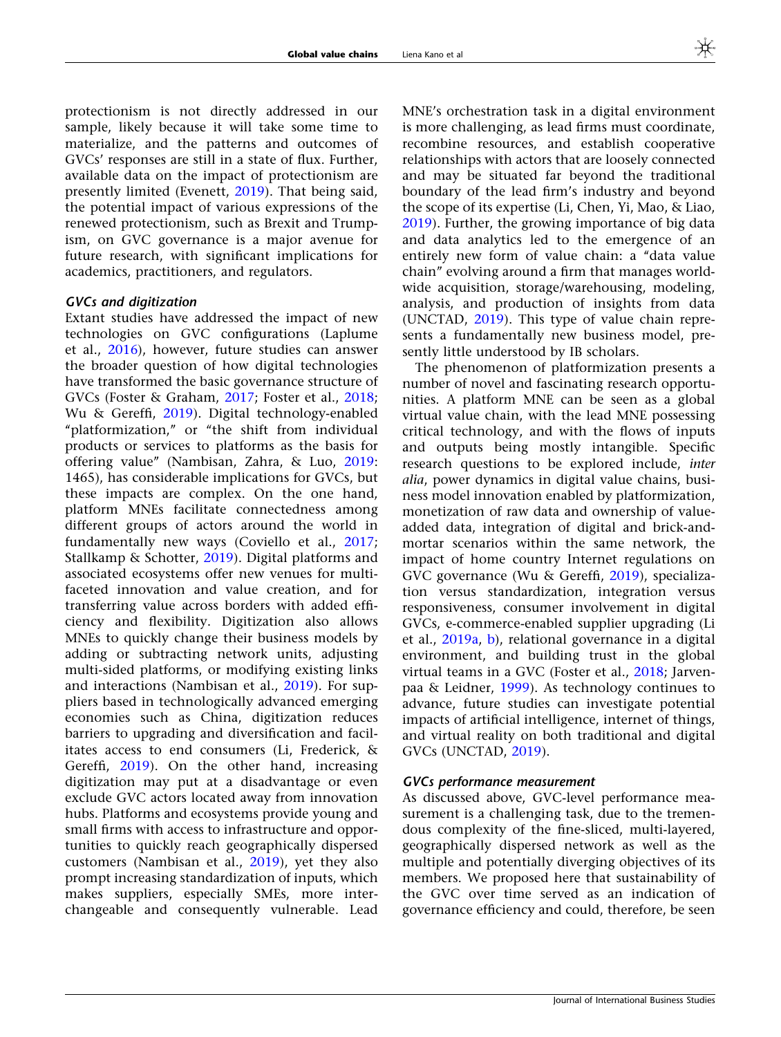protectionism is not directly addressed in our sample, likely because it will take some time to materialize, and the patterns and outcomes of GVCs' responses are still in a state of flux. Further, available data on the impact of protectionism are presently limited (Evenett, [2019\)](#page-41-0). That being said, the potential impact of various expressions of the renewed protectionism, such as Brexit and Trumpism, on GVC governance is a major avenue for future research, with significant implications for academics, practitioners, and regulators.

#### GVCs and digitization

Extant studies have addressed the impact of new technologies on GVC configurations (Laplume et al., [2016](#page-43-0)), however, future studies can answer the broader question of how digital technologies have transformed the basic governance structure of GVCs (Foster & Graham, [2017](#page-41-0); Foster et al., [2018;](#page-41-0) Wu & Gereffi, [2019](#page-44-0)). Digital technology-enabled "platformization," or "the shift from individual products or services to platforms as the basis for offering value'' (Nambisan, Zahra, & Luo, [2019:](#page-43-0) 1465), has considerable implications for GVCs, but these impacts are complex. On the one hand, platform MNEs facilitate connectedness among different groups of actors around the world in fundamentally new ways (Coviello et al., [2017;](#page-41-0) Stallkamp & Schotter, [2019](#page-44-0)). Digital platforms and associated ecosystems offer new venues for multifaceted innovation and value creation, and for transferring value across borders with added efficiency and flexibility. Digitization also allows MNEs to quickly change their business models by adding or subtracting network units, adjusting multi-sided platforms, or modifying existing links and interactions (Nambisan et al., [2019](#page-43-0)). For suppliers based in technologically advanced emerging economies such as China, digitization reduces barriers to upgrading and diversification and facilitates access to end consumers (Li, Frederick, & Gereffi, [2019](#page-43-0)). On the other hand, increasing digitization may put at a disadvantage or even exclude GVC actors located away from innovation hubs. Platforms and ecosystems provide young and small firms with access to infrastructure and opportunities to quickly reach geographically dispersed customers (Nambisan et al., [2019](#page-43-0)), yet they also prompt increasing standardization of inputs, which makes suppliers, especially SMEs, more interchangeable and consequently vulnerable. Lead MNE's orchestration task in a digital environment is more challenging, as lead firms must coordinate, recombine resources, and establish cooperative relationships with actors that are loosely connected and may be situated far beyond the traditional boundary of the lead firm's industry and beyond the scope of its expertise (Li, Chen, Yi, Mao, & Liao, [2019\)](#page-43-0). Further, the growing importance of big data and data analytics led to the emergence of an entirely new form of value chain: a "data value chain'' evolving around a firm that manages worldwide acquisition, storage/warehousing, modeling, analysis, and production of insights from data (UNCTAD, [2019\)](#page-44-0). This type of value chain represents a fundamentally new business model, presently little understood by IB scholars.

The phenomenon of platformization presents a number of novel and fascinating research opportunities. A platform MNE can be seen as a global virtual value chain, with the lead MNE possessing critical technology, and with the flows of inputs and outputs being mostly intangible. Specific research questions to be explored include, inter alia, power dynamics in digital value chains, business model innovation enabled by platformization, monetization of raw data and ownership of valueadded data, integration of digital and brick-andmortar scenarios within the same network, the impact of home country Internet regulations on GVC governance (Wu & Gereffi, [2019\)](#page-44-0), specialization versus standardization, integration versus responsiveness, consumer involvement in digital GVCs, e-commerce-enabled supplier upgrading (Li et al., [2019a](#page-43-0), [b\)](#page-43-0), relational governance in a digital environment, and building trust in the global virtual teams in a GVC (Foster et al., [2018](#page-41-0); Jarvenpaa & Leidner, [1999](#page-42-0)). As technology continues to advance, future studies can investigate potential impacts of artificial intelligence, internet of things, and virtual reality on both traditional and digital GVCs (UNCTAD, [2019](#page-44-0)).

#### GVCs performance measurement

As discussed above, GVC-level performance measurement is a challenging task, due to the tremendous complexity of the fine-sliced, multi-layered, geographically dispersed network as well as the multiple and potentially diverging objectives of its members. We proposed here that sustainability of the GVC over time served as an indication of governance efficiency and could, therefore, be seen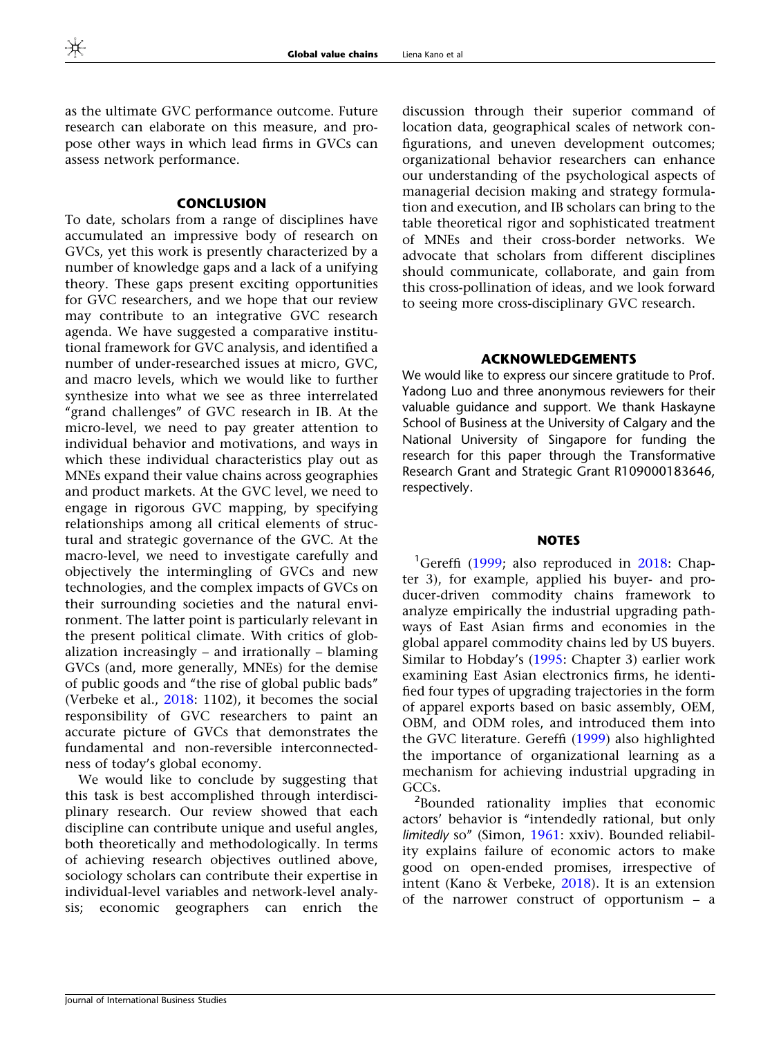as the ultimate GVC performance outcome. Future research can elaborate on this measure, and propose other ways in which lead firms in GVCs can assess network performance.

#### **CONCLUSION**

To date, scholars from a range of disciplines have accumulated an impressive body of research on GVCs, yet this work is presently characterized by a number of knowledge gaps and a lack of a unifying theory. These gaps present exciting opportunities for GVC researchers, and we hope that our review may contribute to an integrative GVC research agenda. We have suggested a comparative institutional framework for GVC analysis, and identified a number of under-researched issues at micro, GVC, and macro levels, which we would like to further synthesize into what we see as three interrelated "grand challenges" of GVC research in IB. At the micro-level, we need to pay greater attention to individual behavior and motivations, and ways in which these individual characteristics play out as MNEs expand their value chains across geographies and product markets. At the GVC level, we need to engage in rigorous GVC mapping, by specifying relationships among all critical elements of structural and strategic governance of the GVC. At the macro-level, we need to investigate carefully and objectively the intermingling of GVCs and new technologies, and the complex impacts of GVCs on their surrounding societies and the natural environment. The latter point is particularly relevant in the present political climate. With critics of globalization increasingly – and irrationally – blaming GVCs (and, more generally, MNEs) for the demise of public goods and ''the rise of global public bads'' (Verbeke et al., [2018:](#page-44-0) 1102), it becomes the social responsibility of GVC researchers to paint an accurate picture of GVCs that demonstrates the fundamental and non-reversible interconnectedness of today's global economy.

We would like to conclude by suggesting that this task is best accomplished through interdisciplinary research. Our review showed that each discipline can contribute unique and useful angles, both theoretically and methodologically. In terms of achieving research objectives outlined above, sociology scholars can contribute their expertise in individual-level variables and network-level analysis; economic geographers can enrich the

discussion through their superior command of location data, geographical scales of network configurations, and uneven development outcomes; organizational behavior researchers can enhance our understanding of the psychological aspects of managerial decision making and strategy formulation and execution, and IB scholars can bring to the table theoretical rigor and sophisticated treatment of MNEs and their cross-border networks. We advocate that scholars from different disciplines should communicate, collaborate, and gain from this cross-pollination of ideas, and we look forward to seeing more cross-disciplinary GVC research.

#### ACKNOWLEDGEMENTS

We would like to express our sincere gratitude to Prof. Yadong Luo and three anonymous reviewers for their valuable guidance and support. We thank Haskayne School of Business at the University of Calgary and the National University of Singapore for funding the research for this paper through the Transformative Research Grant and Strategic Grant R109000183646, respectively.

#### **NOTES**

<sup>1</sup>Gereffi [\(1999](#page-41-0); also reproduced in [2018](#page-41-0): Chapter 3), for example, applied his buyer- and producer-driven commodity chains framework to analyze empirically the industrial upgrading pathways of East Asian firms and economies in the global apparel commodity chains led by US buyers. Similar to Hobday's ([1995:](#page-42-0) Chapter 3) earlier work examining East Asian electronics firms, he identified four types of upgrading trajectories in the form of apparel exports based on basic assembly, OEM, OBM, and ODM roles, and introduced them into the GVC literature. Gereffi [\(1999](#page-41-0)) also highlighted the importance of organizational learning as a mechanism for achieving industrial upgrading in GCCs.

<sup>2</sup>Bounded rationality implies that economic actors' behavior is ''intendedly rational, but only limitedly so" (Simon, [1961](#page-44-0): xxiv). Bounded reliability explains failure of economic actors to make good on open-ended promises, irrespective of intent (Kano & Verbeke, [2018\)](#page-42-0). It is an extension of the narrower construct of opportunism – a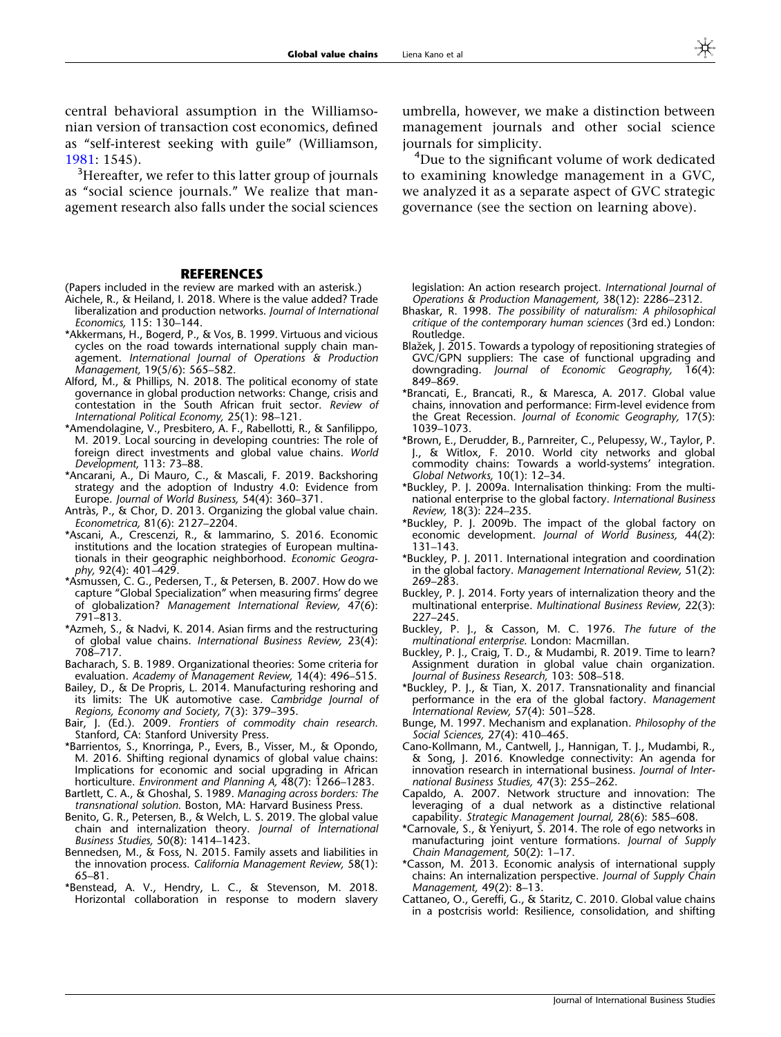<span id="page-40-0"></span>central behavioral assumption in the Williamsonian version of transaction cost economics, defined as ''self-interest seeking with guile'' (Williamson, [1981:](#page-44-0) 1545).

<sup>3</sup>Hereafter, we refer to this latter group of journals as ''social science journals.'' We realize that management research also falls under the social sciences

#### **REFERENCES**

(Papers included in the review are marked with an asterisk.)

- Aichele, R., & Heiland, I. 2018. Where is the value added? Trade liberalization and production networks. Journal of International Economics, 115: 130–144.
- \*Akkermans, H., Bogerd, P., & Vos, B. 1999. Virtuous and vicious cycles on the road towards international supply chain management. International Journal of Operations & Production Management, 19(5/6): 565–582.
- Alford, M., & Phillips, N. 2018. The political economy of state governance in global production networks: Change, crisis and contestation in the South African fruit sector. Review of International Political Economy, 25(1): 98–121.
- \*Amendolagine, V., Presbitero, A. F., Rabellotti, R., & Sanfilippo, M. 2019. Local sourcing in developing countries: The role of foreign direct investments and global value chains. World Development, 113: 73–88.
- \*Ancarani, A., Di Mauro, C., & Mascali, F. 2019. Backshoring strategy and the adoption of Industry 4.0: Evidence from Europe. Journal of World Business, 54(4): 360–371.
- Antràs, P., & Chor, D. 2013. Organizing the global value chain. Econometrica, 81(6): 2127–2204.
- \*Ascani, A., Crescenzi, R., & Iammarino, S. 2016. Economic institutions and the location strategies of European multinationals in their geographic neighborhood. Economic Geography, 92(4): 401–429.
- \*Asmussen, C. G., Pedersen, T., & Petersen, B. 2007. How do we capture ''Global Specialization'' when measuring firms' degree of globalization? Management International Review, 47(6): 791–813.
- \*Azmeh, S., & Nadvi, K. 2014. Asian firms and the restructuring of global value chains. International Business Review, 23(4): 708–717.
- Bacharach, S. B. 1989. Organizational theories: Some criteria for evaluation. Academy of Management Review, 14(4): 496–515.
- Bailey, D., & De Propris, L. 2014. Manufacturing reshoring and its limits: The UK automotive case. Cambridge Journal of Regions, Economy and Society, 7(3): 379–395.
- Bair, J. (Ed.). 2009. Frontiers of commodity chain research. Stanford, CA: Stanford University Press.
- \*Barrientos, S., Knorringa, P., Evers, B., Visser, M., & Opondo, M. 2016. Shifting regional dynamics of global value chains: Implications for economic and social upgrading in African horticulture. Environment and Planning A, 48(7): 1266–1283.
- Bartlett, C. A., & Ghoshal, S. 1989. Managing across borders: The transnational solution. Boston, MA: Harvard Business Press.
- Benito, G. R., Petersen, B., & Welch, L. S. 2019. The global value chain and internalization theory. Journal of International Business Studies, 50(8): 1414–1423.
- Bennedsen, M., & Foss, N. 2015. Family assets and liabilities in the innovation process. California Management Review, 58(1): 65–81.
- \*Benstead, A. V., Hendry, L. C., & Stevenson, M. 2018. Horizontal collaboration in response to modern slavery

umbrella, however, we make a distinction between management journals and other social science journals for simplicity.

<sup>4</sup>Due to the significant volume of work dedicated to examining knowledge management in a GVC, we analyzed it as a separate aspect of GVC strategic governance (see the section on learning above).

legislation: An action research project. International Journal of Operations & Production Management, 38(12): 2286–2312.

- Bhaskar, R. 1998. The possibility of naturalism: A philosophical critique of the contemporary human sciences (3rd ed.) London: Routledge.
- Blažek, J. 2015. Towards a typology of repositioning strategies of GVC/GPN suppliers: The case of functional upgrading and downgrading. *Iournal of Economic Geography*, 16(4): downgrading. Journal of Economic Geography, 849–869.
- \*Brancati, E., Brancati, R., & Maresca, A. 2017. Global value chains, innovation and performance: Firm-level evidence from the Great Recession. Journal of Economic Geography, 17(5): 1039–1073.
- \*Brown, E., Derudder, B., Parnreiter, C., Pelupessy, W., Taylor, P. J., & Witlox, F. 2010. World city networks and global commodity chains: Towards a world-systems' integration. Global Networks, 10(1): 12–34.
- \*Buckley, P. J. 2009a. Internalisation thinking: From the multinational enterprise to the global factory. International Business Review, 18(3): 224–235.
- \*Buckley, P. J. 2009b. The impact of the global factory on economic development. Journal of World Business, 44(2): 131–143.
- \*Buckley, P. J. 2011. International integration and coordination in the global factory. Management International Review, 51(2): 269–283.
- Buckley, P. J. 2014. Forty years of internalization theory and the multinational enterprise. Multinational Business Review, 22(3): 227–245.
- Buckley, P. J., & Casson, M. C. 1976. The future of the multinational enterprise. London: Macmillan.
- Buckley, P. J., Craig, T. D., & Mudambi, R. 2019. Time to learn? Assignment duration in global value chain organization. Journal of Business Research, 103: 508-518.
- \*Buckley, P. J., & Tian, X. 2017. Transnationality and financial performance in the era of the global factory. Management International Review, 57(4): 501–528.
- Bunge, M. 1997. Mechanism and explanation. Philosophy of the Social Sciences, 27(4): 410–465.
- Cano-Kollmann, M., Cantwell, J., Hannigan, T. J., Mudambi, R., & Song, J. 2016. Knowledge connectivity: An agenda for innovation research in international business. Journal of International Business Studies, 47(3): 255–262.
- Capaldo, A. 2007. Network structure and innovation: The leveraging of a dual network as a distinctive relational capability. Strategic Management Journal, 28(6): 585–608.
- \*Carnovale, S., & Yeniyurt, S. 2014. The role of ego networks in manufacturing joint venture formations. Journal of Supply Chain Management, 50(2): 1–17.
- \*Casson, M. 2013. Economic analysis of international supply chains: An internalization perspective. Journal of Supply Chain Management, 49(2): 8–13.
- Cattaneo, O., Gereffi, G., & Staritz, C. 2010. Global value chains in a postcrisis world: Resilience, consolidation, and shifting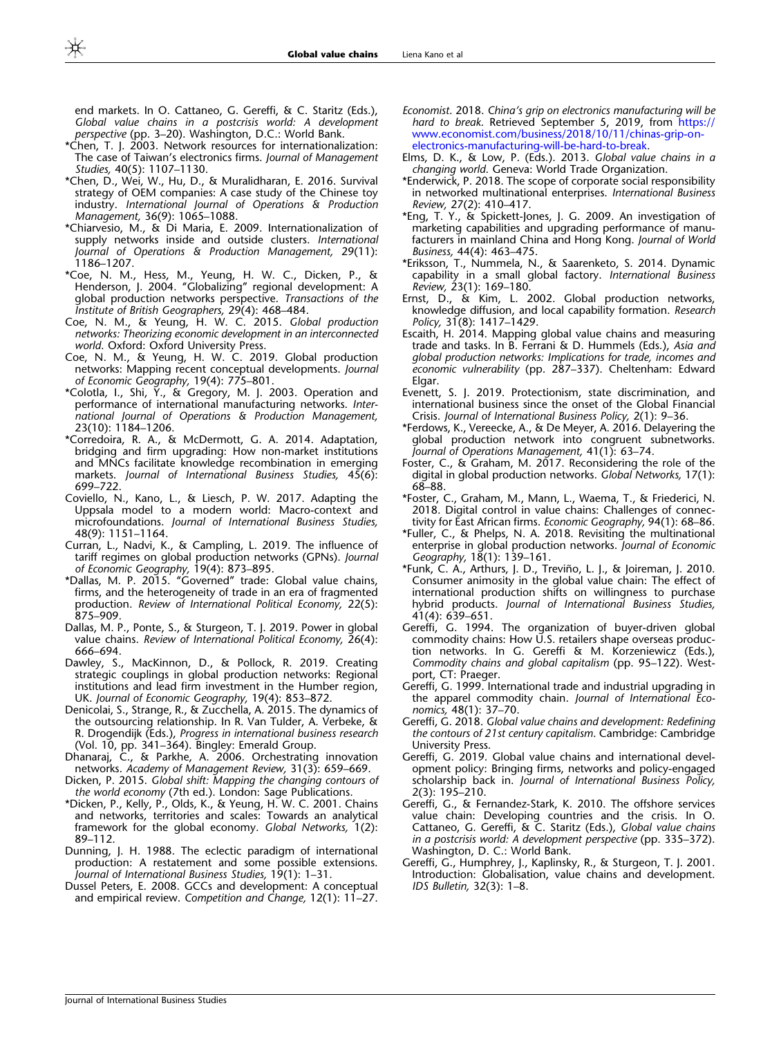<span id="page-41-0"></span>end markets. In O. Cattaneo, G. Gereffi, & C. Staritz (Eds.), Global value chains in a postcrisis world: A development perspective (pp. 3–20). Washington, D.C.: World Bank.

- \*Chen, T. J. 2003. Network resources for internationalization: The case of Taiwan's electronics firms. Journal of Management Studies, 40(5): 1107–1130.
- \*Chen, D., Wei, W., Hu, D., & Muralidharan, E. 2016. Survival strategy of OEM companies: A case study of the Chinese toy industry. International Journal of Operations & Production Management, 36(9): 1065–1088.
- \*Chiarvesio, M., & Di Maria, E. 2009. Internationalization of supply networks inside and outside clusters. International Journal of Operations & Production Management, 29(11): 1186–1207.
- \*Coe, N. M., Hess, M., Yeung, H. W. C., Dicken, P., & Henderson, J. 2004. ''Globalizing'' regional development: A global production networks perspective. Transactions of the Institute of British Geographers, 29(4): 468–484.
- Coe, N. M., & Yeung, H. W. C. 2015. Global production networks: Theorizing economic development in an interconnected world. Oxford: Oxford University Press.
- Coe, N. M., & Yeung, H. W. C. 2019. Global production networks: Mapping recent conceptual developments. Journal of Economic Geography, 19(4): 775–801.
- \*Colotla, I., Shi, Y., & Gregory, M. J. 2003. Operation and performance of international manufacturing networks. International Journal of Operations & Production Management, 23(10): 1184–1206.
- \*Corredoira, R. A., & McDermott, G. A. 2014. Adaptation, bridging and firm upgrading: How non-market institutions and MNCs facilitate knowledge recombination in emerging markets. Journal of International Business Studies, 45(6): 699–722.
- Coviello, N., Kano, L., & Liesch, P. W. 2017. Adapting the Uppsala model to a modern world: Macro-context and microfoundations. Journal of International Business Studies, 48(9): 1151–1164.
- Curran, L., Nadvi, K., & Campling, L. 2019. The influence of tariff regimes on global production networks (GPNs). Journal of Economic Geography, 19(4): 873–895.
- \*Dallas, M. P. 2015. ''Governed'' trade: Global value chains, firms, and the heterogeneity of trade in an era of fragmented production. Review of International Political Economy, 22(5): 875–909.
- Dallas, M. P., Ponte, S., & Sturgeon, T. J. 2019. Power in global value chains. Review of International Political Economy, 26(4): 666–694.
- Dawley, S., MacKinnon, D., & Pollock, R. 2019. Creating strategic couplings in global production networks: Regional institutions and lead firm investment in the Humber region, UK. Journal of Economic Geography, 19(4): 853–872.
- Denicolai, S., Strange, R., & Zucchella, A. 2015. The dynamics of the outsourcing relationship. In R. Van Tulder, A. Verbeke, & R. Drogendijk (Eds.), Progress in international business research (Vol. 10, pp. 341–364). Bingley: Emerald Group.
- Dhanaraj, C., & Parkhe, A. 2006. Orchestrating innovation networks. Academy of Management Review, 31(3): 659–669.
- Dicken, P. 2015. Global shift: Mapping the changing contours of the world economy (7th ed.). London: Sage Publications.
- \*Dicken, P., Kelly, P., Olds, K., & Yeung, H. W. C. 2001. Chains and networks, territories and scales: Towards an analytical framework for the global economy. Global Networks, 1(2): 89–112.
- Dunning, J. H. 1988. The eclectic paradigm of international production: A restatement and some possible extensions. Journal of International Business Studies, 19(1): 1–31.
- Dussel Peters, E. 2008. GCCs and development: A conceptual and empirical review. Competition and Change, 12(1): 11–27.
- Economist. 2018. China's grip on electronics manufacturing will be hard to break. Retrieved September 5, 2019, from [https://](https://www.economist.com/business/2018/10/11/chinas-grip-on-electronics-manufacturing-will-be-hard-to-break) [www.economist.com/business/2018/10/11/chinas-grip-on](https://www.economist.com/business/2018/10/11/chinas-grip-on-electronics-manufacturing-will-be-hard-to-break)[electronics-manufacturing-will-be-hard-to-break.](https://www.economist.com/business/2018/10/11/chinas-grip-on-electronics-manufacturing-will-be-hard-to-break)
- Elms, D. K., & Low, P. (Eds.). 2013. Global value chains in a changing world. Geneva: World Trade Organization.
- \*Enderwick, P. 2018. The scope of corporate social responsibility in networked multinational enterprises. International Business Review, 27(2): 410–417.
- \*Eng, T. Y., & Spickett-Jones, J. G. 2009. An investigation of marketing capabilities and upgrading performance of manufacturers in mainland China and Hong Kong. Journal of World Business, 44(4): 463–475.
- \*Eriksson, T., Nummela, N., & Saarenketo, S. 2014. Dynamic capability in a small global factory. International Business Review, 23(1): 169–180.
- Ernst, D., & Kim, L. 2002. Global production networks, knowledge diffusion, and local capability formation. Research Policy, 31(8): 1417-1429.
- Escaith, H. 2014. Mapping global value chains and measuring trade and tasks. In B. Ferrani & D. Hummels (Eds.), Asia and global production networks: Implications for trade, incomes and economic vulnerability (pp. 287–337). Cheltenham: Edward Elgar.
- Evenett, S. J. 2019. Protectionism, state discrimination, and international business since the onset of the Global Financial Crisis. Journal of International Business Policy, 2(1): 9–36.
- \*Ferdows, K., Vereecke, A., & De Meyer, A. 2016. Delayering the global production network into congruent subnetworks. Journal of Operations Management, 41(1): 63–74.
- Foster, C., & Graham, M. 2017. Reconsidering the role of the digital in global production networks. Global Networks, 17(1): 68–88.
- \*Foster, C., Graham, M., Mann, L., Waema, T., & Friederici, N. 2018. Digital control in value chains: Challenges of connectivity for East African firms. Economic Geography, 94(1): 68–86.
- \*Fuller, C., & Phelps, N. A. 2018. Revisiting the multinational enterprise in global production networks. Journal of Economic Geography, 18(1): 139–161.
- \*Funk, C. A., Arthurs, J. D., Treviño, L. J., & Joireman, J. 2010. Consumer animosity in the global value chain: The effect of international production shifts on willingness to purchase hybrid products. Journal of International Business Studies, 41(4): 639–651.
- Gereffi, G. 1994. The organization of buyer-driven global commodity chains: How U.S. retailers shape overseas production networks. In G. Gereffi & M. Korzeniewicz (Eds.), Commodity chains and global capitalism (pp. 95–122). Westport, CT: Praeger.
- Gereffi, G. 1999. International trade and industrial upgrading in the apparel commodity chain. Journal of International Economics, 48(1): 37–70.
- Gereffi, G. 2018. Global value chains and development: Redefining the contours of 21st century capitalism. Cambridge: Cambridge University Press.
- Gereffi, G. 2019. Global value chains and international development policy: Bringing firms, networks and policy-engaged scholarship back in. Journal of International Business Policy, 2(3): 195–210.
- Gereffi, G., & Fernandez-Stark, K. 2010. The offshore services value chain: Developing countries and the crisis. In O. Cattaneo, G. Gereffi, & C. Staritz (Eds.), Global value chains in a postcrisis world: A development perspective (pp. 335–372). Washington, D. C.: World Bank.
- Gereffi, G., Humphrey, J., Kaplinsky, R., & Sturgeon, T. J. 2001. Introduction: Globalisation, value chains and development. IDS Bulletin, 32(3): 1–8.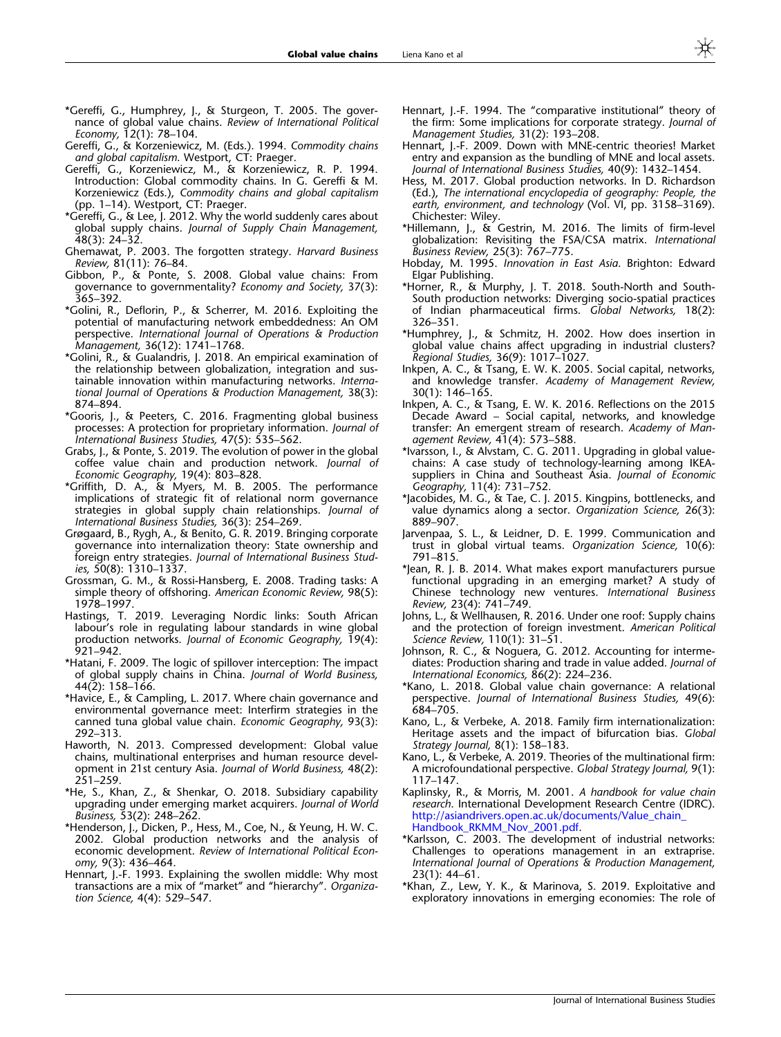- <span id="page-42-0"></span>\*Gereffi, G., Humphrey, J., & Sturgeon, T. 2005. The governance of global value chains. Review of International Political Economy, 12(1): 78–104.
- Gereffi, G., & Korzeniewicz, M. (Eds.). 1994. Commodity chains and global capitalism. Westport, CT: Praeger.
- Gereffi, G., Korzeniewicz, M., & Korzeniewicz, R. P. 1994. Introduction: Global commodity chains. In G. Gereffi & M. Korzeniewicz (Eds.), Commodity chains and global capitalism (pp. 1–14). Westport, CT: Praeger.
- \*Gereffi, G., & Lee, J. 2012. Why the world suddenly cares about global supply chains. Journal of Supply Chain Management, 48(3): 24–32.
- Ghemawat, P. 2003. The forgotten strategy. Harvard Business Review, 81(11): 76–84.
- Gibbon, P., & Ponte, S. 2008. Global value chains: From governance to governmentality? Economy and Society, 37(3): 365–392.
- \*Golini, R., Deflorin, P., & Scherrer, M. 2016. Exploiting the potential of manufacturing network embeddedness: An OM perspective. International Journal of Operations & Production Management, 36(12): 1741–1768.
- \*Golini, R., & Gualandris, J. 2018. An empirical examination of the relationship between globalization, integration and sustainable innovation within manufacturing networks. International Journal of Operations & Production Management, 38(3): 874–894.
- \*Gooris, J., & Peeters, C. 2016. Fragmenting global business processes: A protection for proprietary information. Journal of International Business Studies, 47(5): 535–562.
- Grabs, J., & Ponte, S. 2019. The evolution of power in the global coffee value chain and production network. Journal of Economic Geography, 19(4): 803–828.
- \*Griffith, D. A., & Myers, M. B. 2005. The performance implications of strategic fit of relational norm governance strategies in global supply chain relationships. Journal of International Business Studies, 36(3): 254-269.
- Grøgaard, B., Rygh, A., & Benito, G. R. 2019. Bringing corporate governance into internalization theory: State ownership and foreign entry strategies. Journal of International Business Studies, 50(8): 1310–1337.
- Grossman, G. M., & Rossi-Hansberg, E. 2008. Trading tasks: A simple theory of offshoring. American Economic Review, 98(5): 1978–1997.
- Hastings, T. 2019. Leveraging Nordic links: South African labour's role in regulating labour standards in wine global production networks. Journal of Economic Geography, 19(4): 921–942.
- \*Hatani, F. 2009. The logic of spillover interception: The impact of global supply chains in China. Journal of World Business, 44(2): 158–166.
- \*Havice, E., & Campling, L. 2017. Where chain governance and environmental governance meet: Interfirm strategies in the canned tuna global value chain. Economic Geography, 93(3): 292–313.
- Haworth, N. 2013. Compressed development: Global value chains, multinational enterprises and human resource development in 21st century Asia. Journal of World Business, 48(2): 251–259.
- \*He, S., Khan, Z., & Shenkar, O. 2018. Subsidiary capability upgrading under emerging market acquirers. Journal of World Business, 53(2): 248–262.
- \*Henderson, J., Dicken, P., Hess, M., Coe, N., & Yeung, H. W. C. 2002. Global production networks and the analysis of economic development. Review of International Political Economy, 9(3): 436–464.
- Hennart, J.-F. 1993. Explaining the swollen middle: Why most transactions are a mix of "market" and "hierarchy". Organization Science, 4(4): 529–547.
- Hennart, I.-F. 1994. The "comparative institutional" theory of the firm: Some implications for corporate strategy. Journal of Management Studies, 31(2): 193–208.
- Hennart, J.-F. 2009. Down with MNE-centric theories! Market entry and expansion as the bundling of MNE and local assets. Journal of International Business Studies, 40(9): 1432–1454.
- Hess, M. 2017. Global production networks. In D. Richardson (Ed.), The international encyclopedia of geography: People, the earth, environment, and technology (Vol. VI, pp. 3158–3169). Chichester: Wiley.
- \*Hillemann, J., & Gestrin, M. 2016. The limits of firm-level globalization: Revisiting the FSA/CSA matrix. International Business Review, 25(3): 767–775.
- Hobday, M. 1995. Innovation in East Asia. Brighton: Edward Elgar Publishing.
- \*Horner, R., & Murphy, J. T. 2018. South-North and South-South production networks: Diverging socio-spatial practices of Indian pharmaceutical firms. Global Networks, 18(2): 326–351.
- \*Humphrey, J., & Schmitz, H. 2002. How does insertion in global value chains affect upgrading in industrial clusters? Regional Studies, 36(9): 1017–1027.
- Inkpen, A. C., & Tsang, E. W. K. 2005. Social capital, networks, and knowledge transfer. Academy of Management Review, 30(1): 146–165.
- Inkpen, A. C., & Tsang, E. W. K. 2016. Reflections on the 2015 Decade Award – Social capital, networks, and knowledge transfer: An emergent stream of research. Academy of Management Review, 41(4): 573–588.
- \*Ivarsson, I., & Alvstam, C. G. 2011. Upgrading in global valuechains: A case study of technology-learning among IKEAsuppliers in China and Southeast Asia. Journal of Economic Geography, 11(4): 731–752.
- \*Jacobides, M. G., & Tae, C. J. 2015. Kingpins, bottlenecks, and value dynamics along a sector. Organization Science, 26(3): 889–907.
- Jarvenpaa, S. L., & Leidner, D. E. 1999. Communication and trust in global virtual teams. Organization Science, 10(6): 791–815.
- \*Jean, R. J. B. 2014. What makes export manufacturers pursue functional upgrading in an emerging market? A study of Chinese technology new ventures. International Business Review, 23(4): 741–749.
- Johns, L., & Wellhausen, R. 2016. Under one roof: Supply chains and the protection of foreign investment. American Political Science Review, 110(1): 31–51.
- Johnson, R. C., & Noguera, G. 2012. Accounting for intermediates: Production sharing and trade in value added. Journal of International Economics, 86(2): 224–236.
- \*Kano, L. 2018. Global value chain governance: A relational perspective. Journal of International Business Studies, 49(6): 684–705.
- Kano, L., & Verbeke, A. 2018. Family firm internationalization: Heritage assets and the impact of bifurcation bias. Global Strategy Journal, 8(1): 158–183.
- Kano, L., & Verbeke, A. 2019. Theories of the multinational firm: A microfoundational perspective. Global Strategy Journal, 9(1): 117–147.
- Kaplinsky, R., & Morris, M. 2001. A handbook for value chain research. International Development Research Centre (IDRC). [http://asiandrivers.open.ac.uk/documents/Value\\_chain\\_](http://asiandrivers.open.ac.uk/documents/Value_chain_Handbook_RKMM_Nov_2001.pdf) [Handbook\\_RKMM\\_Nov\\_2001.pdf.](http://asiandrivers.open.ac.uk/documents/Value_chain_Handbook_RKMM_Nov_2001.pdf)
- \*Karlsson, C. 2003. The development of industrial networks: Challenges to operations management in an extraprise. International Journal of Operations & Production Management, 23(1): 44–61.
- \*Khan, Z., Lew, Y. K., & Marinova, S. 2019. Exploitative and exploratory innovations in emerging economies: The role of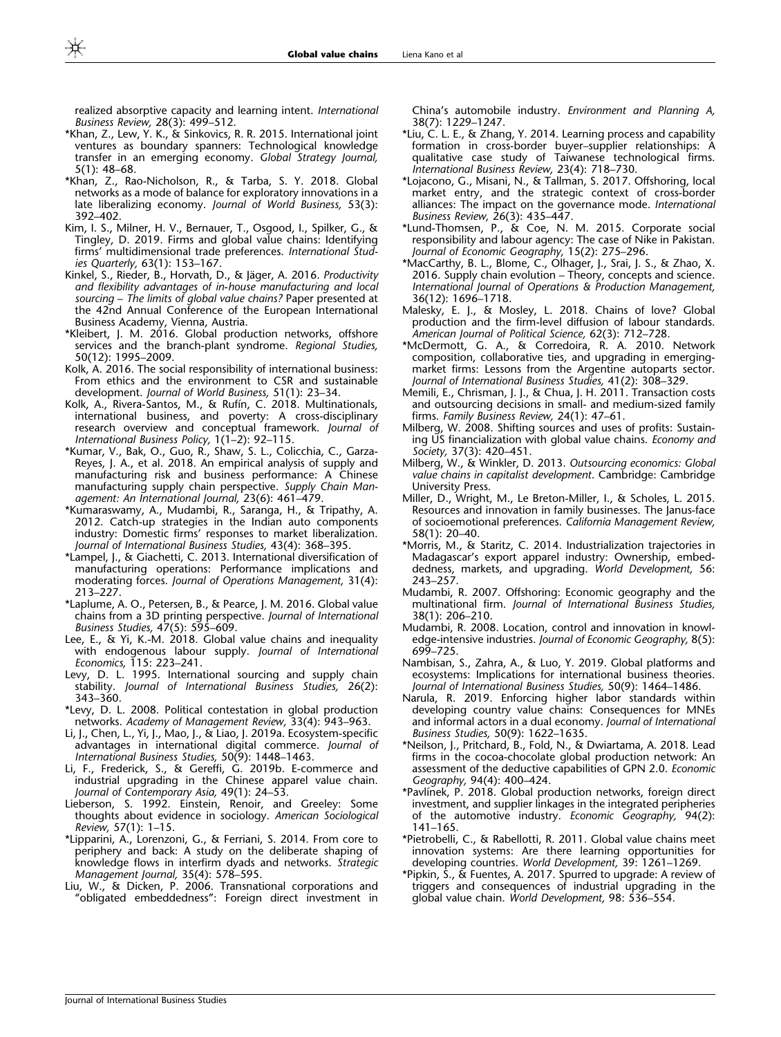<span id="page-43-0"></span>realized absorptive capacity and learning intent. International Business Review, 28(3): 499–512.

- \*Khan, Z., Lew, Y. K., & Sinkovics, R. R. 2015. International joint ventures as boundary spanners: Technological knowledge transfer in an emerging economy. Global Strategy Journal, 5(1): 48–68.
- \*Khan, Z., Rao-Nicholson, R., & Tarba, S. Y. 2018. Global networks as a mode of balance for exploratory innovations in a late liberalizing economy. Journal of World Business, 53(3): 392–402.
- Kim, I. S., Milner, H. V., Bernauer, T., Osgood, I., Spilker, G., & Tingley, D. 2019. Firms and global value chains: Identifying firms' multidimensional trade preferences. International Studies Quarterly, 63(1): 153–167.
- Kinkel, S., Rieder, B., Horvath, D., & Jäger, A. 2016. Productivity and flexibility advantages of in-house manufacturing and local sourcing – The limits of global value chains? Paper presented at the 42nd Annual Conference of the European International Business Academy, Vienna, Austria.
- \*Kleibert, J. M. 2016. Global production networks, offshore services and the branch-plant syndrome. Regional Studies, 50(12): 1995–2009.
- Kolk, A. 2016. The social responsibility of international business: From ethics and the environment to CSR and sustainable development. Journal of World Business, 51(1): 23–34.
- Kolk, A., Rivera-Santos, M., & Rufín, C. 2018. Multinationals, international business, and poverty: A cross-disciplinary research overview and conceptual framework. Journal of International Business Policy, 1(1–2): 92–115.
- \*Kumar, V., Bak, O., Guo, R., Shaw, S. L., Colicchia, C., Garza-Reyes, J. A., et al. 2018. An empirical analysis of supply and manufacturing risk and business performance: A Chinese manufacturing supply chain perspective. Supply Chain Management: An International Journal, 23(6): 461–479.
- \*Kumaraswamy, A., Mudambi, R., Saranga, H., & Tripathy, A. 2012. Catch-up strategies in the Indian auto components industry: Domestic firms' responses to market liberalization. Journal of International Business Studies, 43(4): 368–395.
- \*Lampel, J., & Giachetti, C. 2013. International diversification of manufacturing operations: Performance implications and moderating forces. Journal of Operations Management, 31(4): 213–227.
- \*Laplume, A. O., Petersen, B., & Pearce, J. M. 2016. Global value chains from a 3D printing perspective. Journal of International Business Studies, 47(5): 595–609.
- Lee, E., & Yi, K.-M. 2018. Global value chains and inequality with endogenous labour supply. Journal of International Economics, 115: 223–241.
- Levy, D. L. 1995. International sourcing and supply chain stability. Journal of International Business Studies, 26(2): 343–360.
- \*Levy, D. L. 2008. Political contestation in global production networks. Academy of Management Review, 33(4): 943–963.
- Li, J., Chen, L., Yi, J., Mao, J., & Liao, J. 2019a. Ecosystem-specific advantages in international digital commerce. Journal of International Business Studies, 50(9): 1448–1463.
- Li, F., Frederick, S., & Gereffi, G. 2019b. E-commerce and industrial upgrading in the Chinese apparel value chain. Journal of Contemporary Asia, 49(1): 24–53.
- Lieberson, S. 1992. Einstein, Renoir, and Greeley: Some thoughts about evidence in sociology. American Sociological Review, 57(1): 1–15.
- \*Lipparini, A., Lorenzoni, G., & Ferriani, S. 2014. From core to periphery and back: A study on the deliberate shaping of knowledge flows in interfirm dyads and networks. Strategic Management Journal, 35(4): 578–595.
- Liu, W., & Dicken, P. 2006. Transnational corporations and ''obligated embeddedness'': Foreign direct investment in

China's automobile industry. Environment and Planning A, 38(7): 1229–1247.

- \*Liu, C. L. E., & Zhang, Y. 2014. Learning process and capability formation in cross-border buyer–supplier relationships: A qualitative case study of Taiwanese technological firms. International Business Review, 23(4): 718–730.
- \*Lojacono, G., Misani, N., & Tallman, S. 2017. Offshoring, local market entry, and the strategic context of cross-border alliances: The impact on the governance mode. International Business Review, 26(3): 435–447.
- \*Lund-Thomsen, P., & Coe, N. M. 2015. Corporate social responsibility and labour agency: The case of Nike in Pakistan. Journal of Economic Geography, 15(2): 275–296.
- \*MacCarthy, B. L., Blome, C., Olhager, J., Srai, J. S., & Zhao, X. 2016. Supply chain evolution – Theory, concepts and science. International Journal of Operations & Production Management, 36(12): 1696–1718.
- Malesky, E. J., & Mosley, L. 2018. Chains of love? Global production and the firm-level diffusion of labour standards. American Journal of Political Science, 62(3): 712–728.
- \*McDermott, G. A., & Corredoira, R. A. 2010. Network composition, collaborative ties, and upgrading in emergingmarket firms: Lessons from the Argentine autoparts sector. Journal of International Business Studies, 41(2): 308–329.
- Memili, E., Chrisman, J. J., & Chua, J. H. 2011. Transaction costs and outsourcing decisions in small- and medium-sized family firms. Family Business Review, 24(1): 47–61.
- Milberg, W. 2008. Shifting sources and uses of profits: Sustaining US financialization with global value chains. Economy and Society, 37(3): 420–451.
- Milberg, W., & Winkler, D. 2013. Outsourcing economics: Global value chains in capitalist development. Cambridge: Cambridge University Press.
- Miller, D., Wright, M., Le Breton-Miller, I., & Scholes, L. 2015. Resources and innovation in family businesses. The Janus-face of socioemotional preferences. California Management Review, 58(1): 20–40.
- \*Morris, M., & Staritz, C. 2014. Industrialization trajectories in Madagascar's export apparel industry: Ownership, embeddedness, markets, and upgrading. World Development, 56: 243–257.
- Mudambi, R. 2007. Offshoring: Economic geography and the multinational firm. Journal of International Business Studies, 38(1): 206–210.
- Mudambi, R. 2008. Location, control and innovation in knowledge-intensive industries. Journal of Economic Geography, 8(5): 699–725.
- Nambisan, S., Zahra, A., & Luo, Y. 2019. Global platforms and ecosystems: Implications for international business theories. Journal of International Business Studies, 50(9): 1464–1486.
- Narula, R. 2019. Enforcing higher labor standards within developing country value chains: Consequences for MNEs and informal actors in a dual economy. Journal of International Business Studies, 50(9): 1622–1635.
- \*Neilson, J., Pritchard, B., Fold, N., & Dwiartama, A. 2018. Lead firms in the cocoa-chocolate global production network: An assessment of the deductive capabilities of GPN 2.0. Economic Geography, 94(4): 400–424.
- \*Pavlı´nek, P. 2018. Global production networks, foreign direct investment, and supplier linkages in the integrated peripheries of the automotive industry. Economic Geography, 94(2): 141–165.
- \*Pietrobelli, C., & Rabellotti, R. 2011. Global value chains meet innovation systems: Are there learning opportunities for developing countries. World Development, 39: 1261–1269.
- \*Pipkin, S., & Fuentes, A. 2017. Spurred to upgrade: A review of triggers and consequences of industrial upgrading in the global value chain. World Development, 98: 536–554.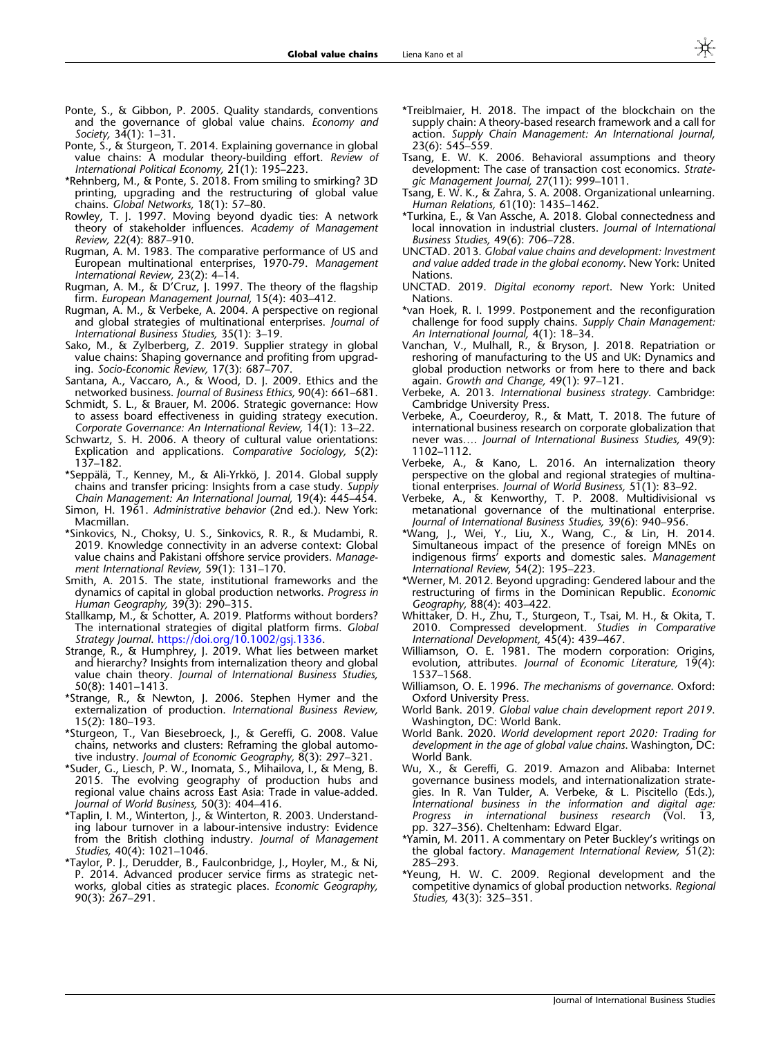- <span id="page-44-0"></span>Ponte, S., & Gibbon, P. 2005. Quality standards, conventions and the governance of global value chains. Economy and Society,  $34(1)$ : 1–31.
- Ponte, S., & Sturgeon, T. 2014. Explaining governance in global value chains: A modular theory-building effort. Review of International Political Economy, 21(1): 195–223.
- \*Rehnberg, M., & Ponte, S. 2018. From smiling to smirking? 3D printing, upgrading and the restructuring of global value chains. Global Networks, 18(1): 57–80.
- Rowley, T. J. 1997. Moving beyond dyadic ties: A network theory of stakeholder influences. Academy of Management Review, 22(4): 887–910.
- Rugman, A. M. 1983. The comparative performance of US and European multinational enterprises, 1970-79. Management International Review, 23(2): 4–14.
- Rugman, A. M., & D'Cruz, J. 1997. The theory of the flagship firm. European Management Journal, 15(4): 403–412.
- Rugman, A. M., & Verbeke, A. 2004. A perspective on regional and global strategies of multinational enterprises. Journal of International Business Studies, 35(1): 3–19.
- Sako, M., & Zylberberg, Z. 2019. Supplier strategy in global value chains: Shaping governance and profiting from upgrading. Socio-Economic Review, 17(3): 687–707.
- Santana, A., Vaccaro, A., & Wood, D. J. 2009. Ethics and the networked business. Journal of Business Ethics, 90(4): 661–681.
- Schmidt, S. L., & Brauer, M. 2006. Strategic governance: How to assess board effectiveness in guiding strategy execution. Corporate Governance: An International Review, 14(1): 13–22.
- Schwartz, S. H. 2006. A theory of cultural value orientations: Explication and applications. Comparative Sociology, 5(2): 137–182.
- \*Seppälä, T., Kenney, M., & Ali-Yrkkö, J. 2014. Global supply chains and transfer pricing: Insights from a case study. Supply Chain Management: An International Journal, 19(4): 445–454.
- Simon, H. 1961. Administrative behavior (2nd ed.). New York: Macmillan.
- \*Sinkovics, N., Choksy, U. S., Sinkovics, R. R., & Mudambi, R. 2019. Knowledge connectivity in an adverse context: Global value chains and Pakistani offshore service providers. Management International Review, 59(1): 131–170.
- Smith, A. 2015. The state, institutional frameworks and the dynamics of capital in global production networks. Progress in Human Geography, 39(3): 290–315.
- Stallkamp, M., & Schotter, A. 2019. Platforms without borders? The international strategies of digital platform firms. Global Strategy Journal. [https://doi.org/10.1002/gsj.1336.](http://dx.doi.org/10.1002/gsj.1336)
- Strange, R., & Humphrey, J. 2019. What lies between market and hierarchy? Insights from internalization theory and global value chain theory. Journal of International Business Studies, 50(8): 1401–1413.
- \*Strange, R., & Newton, J. 2006. Stephen Hymer and the externalization of production. International Business Review, 15(2): 180–193.
- \*Sturgeon, T., Van Biesebroeck, J., & Gereffi, G. 2008. Value chains, networks and clusters: Reframing the global automotive industry. Journal of Economic Geography, 8(3): 297–321.
- \*Suder, G., Liesch, P. W., Inomata, S., Mihailova, I., & Meng, B. 2015. The evolving geography of production hubs and regional value chains across East Asia: Trade in value-added. Journal of World Business, 50(3): 404–416.
- \*Taplin, I. M., Winterton, J., & Winterton, R. 2003. Understanding labour turnover in a labour-intensive industry: Evidence from the British clothing industry. Journal of Management Studies, 40(4): 1021–1046.
- \*Taylor, P. J., Derudder, B., Faulconbridge, J., Hoyler, M., & Ni, P. 2014. Advanced producer service firms as strategic networks, global cities as strategic places. Economic Geography, 90(3): 267–291.
- \*Treiblmaier, H. 2018. The impact of the blockchain on the supply chain: A theory-based research framework and a call for action. Supply Chain Management: An International Journal, 23(6): 545–559.
- Tsang, E. W. K. 2006. Behavioral assumptions and theory development: The case of transaction cost economics. Strategic Management Journal, 27(11): 999–1011.
- Tsang, E. W. K., & Zahra, S. A. 2008. Organizational unlearning. Human Relations, 61(10): 1435–1462.
- \*Turkina, E., & Van Assche, A. 2018. Global connectedness and local innovation in industrial clusters. Journal of International Business Studies, 49(6): 706–728.
- UNCTAD. 2013. Global value chains and development: Investment and value added trade in the global economy. New York: United Nations.
- UNCTAD. 2019. Digital economy report. New York: United Nations.
- \*van Hoek, R. I. 1999. Postponement and the reconfiguration challenge for food supply chains. Supply Chain Management: An International Journal, 4(1): 18–34.
- Vanchan, V., Mulhall, R., & Bryson, J. 2018. Repatriation or reshoring of manufacturing to the US and UK: Dynamics and global production networks or from here to there and back again. Growth and Change, 49(1): 97–121.
- Verbeke, A. 2013. International business strategy. Cambridge: Cambridge University Press.
- Verbeke, A., Coeurderoy, R., & Matt, T. 2018. The future of international business research on corporate globalization that never was.... Journal of International Business Studies, 49(9): 1102–1112.
- Verbeke, A., & Kano, L. 2016. An internalization theory perspective on the global and regional strategies of multinational enterprises. Journal of World Business, 51(1): 83-92.
- Verbeke, A., & Kenworthy, T. P. 2008. Multidivisional vs metanational governance of the multinational enterprise. Journal of International Business Studies, 39(6): 940–956.
- \*Wang, J., Wei, Y., Liu, X., Wang, C., & Lin, H. 2014. Simultaneous impact of the presence of foreign MNEs on indigenous firms' exports and domestic sales. Management International Review, 54(2): 195–223.
- \*Werner, M. 2012. Beyond upgrading: Gendered labour and the restructuring of firms in the Dominican Republic. Economic Geography, 88(4): 403–422.
- Whittaker, D. H., Zhu, T., Sturgeon, T., Tsai, M. H., & Okita, T. 2010. Compressed development. Studies in Comparative International Development, 45(4): 439–467.
- Williamson, O. E. 1981. The modern corporation: Origins, evolution, attributes. Journal of Economic Literature, 19(4): 1537–1568.
- Williamson, O. E. 1996. The mechanisms of governance. Oxford: Oxford University Press.
- World Bank. 2019. Global value chain development report 2019. Washington, DC: World Bank.
- World Bank. 2020. World development report 2020: Trading for development in the age of global value chains. Washington, DC: World Bank.
- Wu, X., & Gereffi, G. 2019. Amazon and Alibaba: Internet governance business models, and internationalization strategies. In R. Van Tulder, A. Verbeke, & L. Piscitello (Eds.), International business in the information and digital age: Progress in international business research (Vol. 13, pp. 327–356). Cheltenham: Edward Elgar.
- \*Yamin, M. 2011. A commentary on Peter Buckley's writings on the global factory. Management International Review, 51(2): 285–293.
- \*Yeung, H. W. C. 2009. Regional development and the competitive dynamics of global production networks. Regional Studies, 43(3): 325–351.